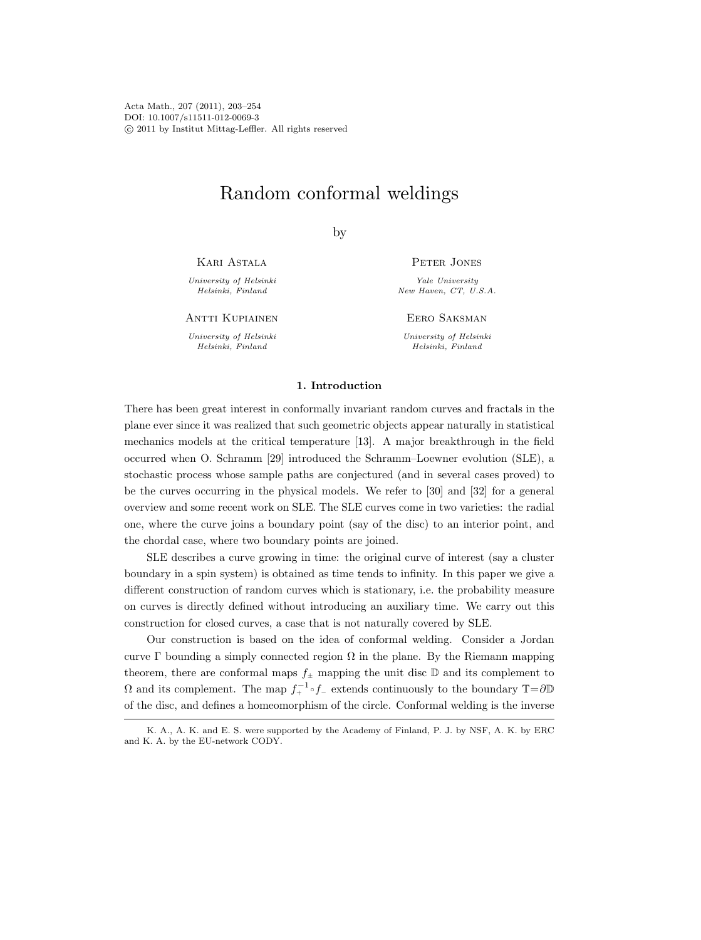Acta Math., 207 (2011), 203–254 DOI: 10.1007/s11511-012-0069-3 c 2011 by Institut Mittag-Leffler. All rights reserved

# Random conformal weldings

by

Kari Astala

University of Helsinki Helsinki, Finland

ANTTI KUPIAINEN

University of Helsinki Helsinki, Finland

PETER JONES

Yale University New Haven, CT, U.S.A.

Eero Saksman

University of Helsinki Helsinki, Finland

# 1. Introduction

There has been great interest in conformally invariant random curves and fractals in the plane ever since it was realized that such geometric objects appear naturally in statistical mechanics models at the critical temperature [13]. A major breakthrough in the field occurred when O. Schramm [29] introduced the Schramm–Loewner evolution (SLE), a stochastic process whose sample paths are conjectured (and in several cases proved) to be the curves occurring in the physical models. We refer to [30] and [32] for a general overview and some recent work on SLE. The SLE curves come in two varieties: the radial one, where the curve joins a boundary point (say of the disc) to an interior point, and the chordal case, where two boundary points are joined.

SLE describes a curve growing in time: the original curve of interest (say a cluster boundary in a spin system) is obtained as time tends to infinity. In this paper we give a different construction of random curves which is stationary, i.e. the probability measure on curves is directly defined without introducing an auxiliary time. We carry out this construction for closed curves, a case that is not naturally covered by SLE.

Our construction is based on the idea of conformal welding. Consider a Jordan curve Γ bounding a simply connected region  $\Omega$  in the plane. By the Riemann mapping theorem, there are conformal maps  $f_{\pm}$  mapping the unit disc  $\mathbb D$  and its complement to  $\Omega$  and its complement. The map  $f_+^{-1} \circ f_-$  extends continuously to the boundary  $\mathbb{T}=\partial \mathbb{D}$ of the disc, and defines a homeomorphism of the circle. Conformal welding is the inverse

K. A., A. K. and E. S. were supported by the Academy of Finland, P. J. by NSF, A. K. by ERC and K. A. by the EU-network CODY.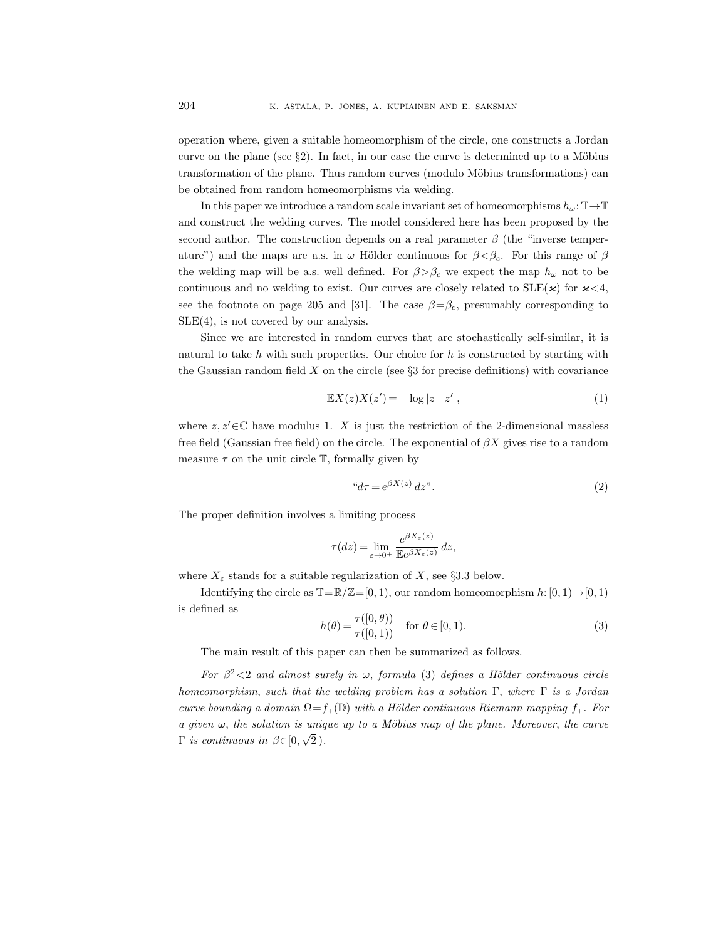operation where, given a suitable homeomorphism of the circle, one constructs a Jordan curve on the plane (see  $\S 2$ ). In fact, in our case the curve is determined up to a Möbius transformation of the plane. Thus random curves (modulo Möbius transformations) can be obtained from random homeomorphisms via welding.

In this paper we introduce a random scale invariant set of homeomorphisms  $h_{\omega}:\mathbb{T}\to\mathbb{T}$ and construct the welding curves. The model considered here has been proposed by the second author. The construction depends on a real parameter  $\beta$  (the "inverse temperature") and the maps are a.s. in  $\omega$  Hölder continuous for  $\beta < \beta_c$ . For this range of  $\beta$ the welding map will be a.s. well defined. For  $\beta > \beta_c$  we expect the map  $h_{\omega}$  not to be continuous and no welding to exist. Our curves are closely related to  $SLE(\boldsymbol{\varkappa})$  for  $\boldsymbol{\varkappa} < 4$ , see the footnote on page 205 and [31]. The case  $\beta = \beta_c$ , presumably corresponding to SLE(4), is not covered by our analysis.

Since we are interested in random curves that are stochastically self-similar, it is natural to take h with such properties. Our choice for h is constructed by starting with the Gaussian random field  $X$  on the circle (see  $\S 3$  for precise definitions) with covariance

$$
\mathbb{E}X(z)X(z') = -\log|z - z'|,\tag{1}
$$

where  $z, z' \in \mathbb{C}$  have modulus 1. X is just the restriction of the 2-dimensional massless free field (Gaussian free field) on the circle. The exponential of  $\beta X$  gives rise to a random measure  $\tau$  on the unit circle  $\mathbb T$ , formally given by

$$
"d\tau = e^{\beta X(z)} dz". \tag{2}
$$

The proper definition involves a limiting process

$$
\tau(dz) = \lim_{\varepsilon \to 0^+} \frac{e^{\beta X_\varepsilon(z)}}{\mathbb{E}e^{\beta X_\varepsilon(z)}} dz,
$$

where  $X_{\varepsilon}$  stands for a suitable regularization of X, see §3.3 below.

Identifying the circle as  $\mathbb{T}=\mathbb{R}/\mathbb{Z}=[0, 1)$ , our random homeomorphism  $h: [0, 1) \rightarrow [0, 1)$ is defined as

$$
h(\theta) = \frac{\tau([0,\theta))}{\tau([0,1))} \quad \text{for } \theta \in [0,1). \tag{3}
$$

The main result of this paper can then be summarized as follows.

For  $\beta^2$  < 2 and almost surely in  $\omega$ , formula (3) defines a Hölder continuous circle homeomorphism, such that the welding problem has a solution  $\Gamma$ , where  $\Gamma$  is a Jordan curve bounding a domain  $\Omega = f_+(\mathbb{D})$  with a Hölder continuous Riemann mapping  $f_+$ . For a given  $\omega$ , the solution is unique up to a Möbius map of the plane. Moreover, the curve  $\Gamma$  is continuous in  $\beta \in [0, 1]$ √  $\, 2$  ).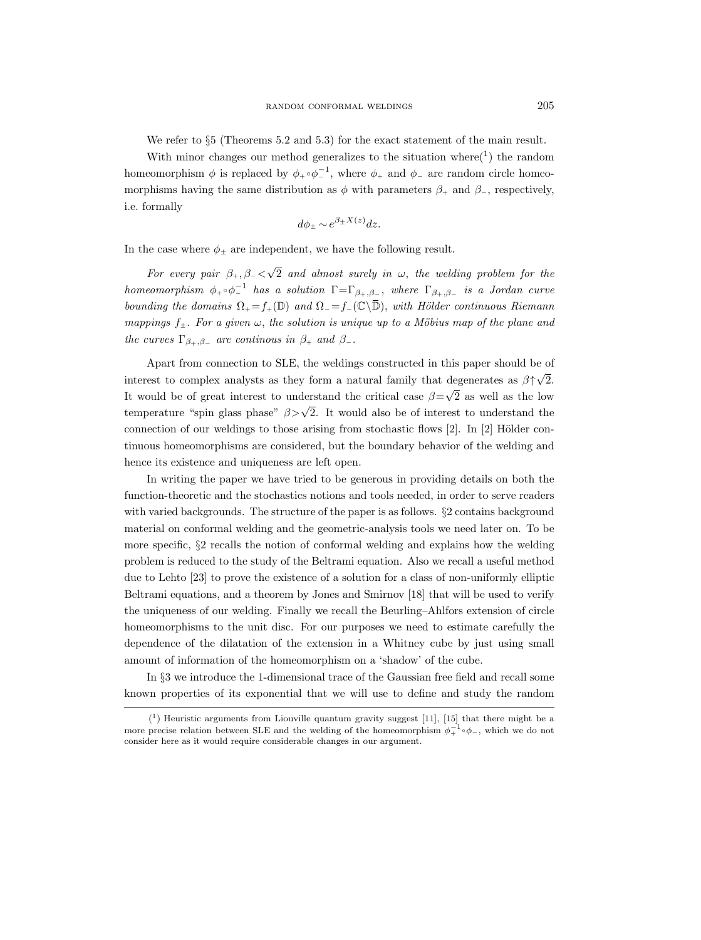We refer to  $\S5$  (Theorems 5.2 and 5.3) for the exact statement of the main result.

With minor changes our method generalizes to the situation where  $(1)$  the random homeomorphism  $\phi$  is replaced by  $\phi_+ \circ \phi_-^{-1}$ , where  $\phi_+$  and  $\phi_-$  are random circle homeomorphisms having the same distribution as  $\phi$  with parameters  $\beta_+$  and  $\beta_-$ , respectively, i.e. formally

$$
d\phi_{\pm} \sim e^{\beta_{\pm}X(z)}dz.
$$

In the case where  $\phi_{\pm}$  are independent, we have the following result.

For every pair  $\beta_+,\beta_-$ √ 2 and almost surely in  $\omega$ , the welding problem for the homeomorphism  $\phi_+ \circ \phi_-^{-1}$  has a solution  $\Gamma = \Gamma_{\beta_+, \beta_-}$ , where  $\Gamma_{\beta_+, \beta_-}$  is a Jordan curve bounding the domains  $\Omega_+ = f_+(\mathbb{D})$  and  $\Omega_- = f_-(\mathbb{C}\setminus\overline{\mathbb{D}})$ , with Hölder continuous Riemann mappings  $f_{\pm}$ . For a given  $\omega$ , the solution is unique up to a Möbius map of the plane and the curves  $\Gamma_{\beta_+,\beta_-}$  are continuos in  $\beta_+$  and  $\beta_-$ .

Apart from connection to SLE, the weldings constructed in this paper should be of interest to complex analysts as they form a natural family that degenerates as  $\beta \uparrow$ √ 2. It would be of great interest to understand the critical case  $\beta$ = √ 2 as well as the low temperature "spin glass phase"  $\beta > \sqrt{2}$ . It would also be of interest to understand the connection of our weldings to those arising from stochastic flows  $[2]$ . In  $[2]$  Hölder continuous homeomorphisms are considered, but the boundary behavior of the welding and hence its existence and uniqueness are left open.

In writing the paper we have tried to be generous in providing details on both the function-theoretic and the stochastics notions and tools needed, in order to serve readers with varied backgrounds. The structure of the paper is as follows. §2 contains background material on conformal welding and the geometric-analysis tools we need later on. To be more specific, §2 recalls the notion of conformal welding and explains how the welding problem is reduced to the study of the Beltrami equation. Also we recall a useful method due to Lehto [23] to prove the existence of a solution for a class of non-uniformly elliptic Beltrami equations, and a theorem by Jones and Smirnov [18] that will be used to verify the uniqueness of our welding. Finally we recall the Beurling–Ahlfors extension of circle homeomorphisms to the unit disc. For our purposes we need to estimate carefully the dependence of the dilatation of the extension in a Whitney cube by just using small amount of information of the homeomorphism on a 'shadow' of the cube.

In §3 we introduce the 1-dimensional trace of the Gaussian free field and recall some known properties of its exponential that we will use to define and study the random

 $(1)$  Heuristic arguments from Liouville quantum gravity suggest [11], [15] that there might be a more precise relation between SLE and the welding of the homeomorphism  $\phi_+^{-1} \circ \phi_-,$  which we do not consider here as it would require considerable changes in our argument.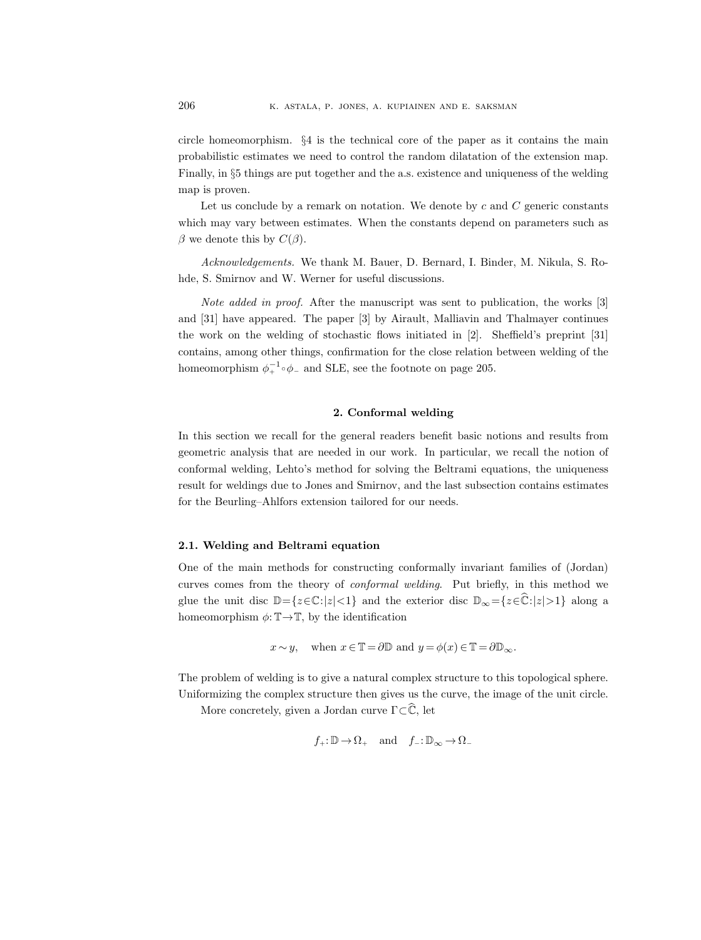circle homeomorphism. §4 is the technical core of the paper as it contains the main probabilistic estimates we need to control the random dilatation of the extension map. Finally, in §5 things are put together and the a.s. existence and uniqueness of the welding map is proven.

Let us conclude by a remark on notation. We denote by c and  $C$  generic constants which may vary between estimates. When the constants depend on parameters such as  $\beta$  we denote this by  $C(\beta)$ .

Acknowledgements. We thank M. Bauer, D. Bernard, I. Binder, M. Nikula, S. Rohde, S. Smirnov and W. Werner for useful discussions.

Note added in proof. After the manuscript was sent to publication, the works [3] and [31] have appeared. The paper [3] by Airault, Malliavin and Thalmayer continues the work on the welding of stochastic flows initiated in  $[2]$ . Sheffield's preprint  $[31]$ contains, among other things, confirmation for the close relation between welding of the homeomorphism  $\phi_+^{-1} \circ \phi_-$  and SLE, see the footnote on page 205.

#### 2. Conformal welding

In this section we recall for the general readers benefit basic notions and results from geometric analysis that are needed in our work. In particular, we recall the notion of conformal welding, Lehto's method for solving the Beltrami equations, the uniqueness result for weldings due to Jones and Smirnov, and the last subsection contains estimates for the Beurling–Ahlfors extension tailored for our needs.

#### 2.1. Welding and Beltrami equation

One of the main methods for constructing conformally invariant families of (Jordan) curves comes from the theory of conformal welding. Put briefly, in this method we glue the unit disc  $\mathbb{D}=\{z\in\mathbb{C}:|z|<1\}$  and the exterior disc  $\mathbb{D}_{\infty}=\{z\in\mathbb{C}:|z|>1\}$  along a homeomorphism  $\phi: \mathbb{T} \to \mathbb{T}$ , by the identification

$$
x \sim y
$$
, when  $x \in \mathbb{T} = \partial \mathbb{D}$  and  $y = \phi(x) \in \mathbb{T} = \partial \mathbb{D}_{\infty}$ .

The problem of welding is to give a natural complex structure to this topological sphere. Uniformizing the complex structure then gives us the curve, the image of the unit circle.

More concretely, given a Jordan curve  $\Gamma \subset \widehat{\mathbb{C}}$ , let

$$
f_+ \colon\! \mathbb{D} \!\to \! \Omega_+ \quad \text{and} \quad f_- \colon\! \mathbb{D}_\infty \!\to \! \Omega_-
$$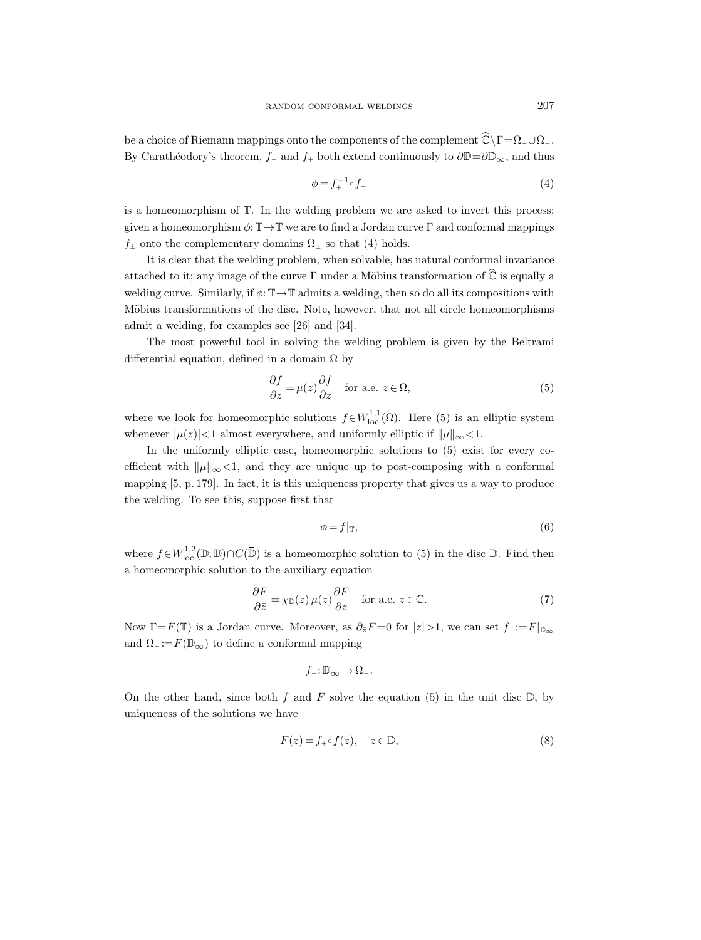be a choice of Riemann mappings onto the components of the complement  $\widehat{\mathbb{C}}\setminus\Gamma=\Omega_+\cup\Omega_-$ . By Carathéodory's theorem,  $f_$  and  $f_+$  both extend continuously to  $\partial \mathbb{D}=\partial \mathbb{D}_{\infty}$ , and thus

$$
\phi = f_+^{-1} \circ f_- \tag{4}
$$

is a homeomorphism of T. In the welding problem we are asked to invert this process; given a homeomorphism  $\phi: \mathbb{T} \to \mathbb{T}$  we are to find a Jordan curve Γ and conformal mappings  $f_{\pm}$  onto the complementary domains  $\Omega_{\pm}$  so that (4) holds.

It is clear that the welding problem, when solvable, has natural conformal invariance attached to it; any image of the curve  $\Gamma$  under a Möbius transformation of  $\hat{\mathbb{C}}$  is equally a welding curve. Similarly, if  $\phi: \mathbb{T} \to \mathbb{T}$  admits a welding, then so do all its compositions with Möbius transformations of the disc. Note, however, that not all circle homeomorphisms admit a welding, for examples see [26] and [34].

The most powerful tool in solving the welding problem is given by the Beltrami differential equation, defined in a domain  $\Omega$  by

$$
\frac{\partial f}{\partial \bar{z}} = \mu(z) \frac{\partial f}{\partial z} \quad \text{for a.e. } z \in \Omega,
$$
\n(5)

where we look for homeomorphic solutions  $f \in W^{1,1}_{loc}(\Omega)$ . Here (5) is an elliptic system whenever  $|\mu(z)| < 1$  almost everywhere, and uniformly elliptic if  $\|\mu\|_{\infty} < 1$ .

In the uniformly elliptic case, homeomorphic solutions to (5) exist for every coefficient with  $\|\mu\|_{\infty}$ <1, and they are unique up to post-composing with a conformal mapping [5, p. 179]. In fact, it is this uniqueness property that gives us a way to produce the welding. To see this, suppose first that

$$
\phi = f|_{\mathbb{T}},\tag{6}
$$

where  $f \in W^{1,2}_{loc}(\mathbb{D}; \mathbb{D}) \cap C(\overline{\mathbb{D}})$  is a homeomorphic solution to (5) in the disc  $\mathbb{D}$ . Find then a homeomorphic solution to the auxiliary equation

$$
\frac{\partial F}{\partial \bar{z}} = \chi_{\mathbb{D}}(z) \,\mu(z) \frac{\partial F}{\partial z} \quad \text{for a.e. } z \in \mathbb{C}.\tag{7}
$$

Now  $\Gamma = F(\mathbb{T})$  is a Jordan curve. Moreover, as  $\partial_{\bar{z}}F = 0$  for  $|z| > 1$ , we can set  $f_- := F|_{\mathbb{D}_{\infty}}$ and  $\Omega$ <sub>−</sub> := $F(\mathbb{D}_{\infty})$  to define a conformal mapping

$$
f_- \colon\! \mathbb{D}_{\infty} \to \Omega_-.
$$

On the other hand, since both f and F solve the equation (5) in the unit disc  $\mathbb{D}$ , by uniqueness of the solutions we have

$$
F(z) = f_+ \circ f(z), \quad z \in \mathbb{D}, \tag{8}
$$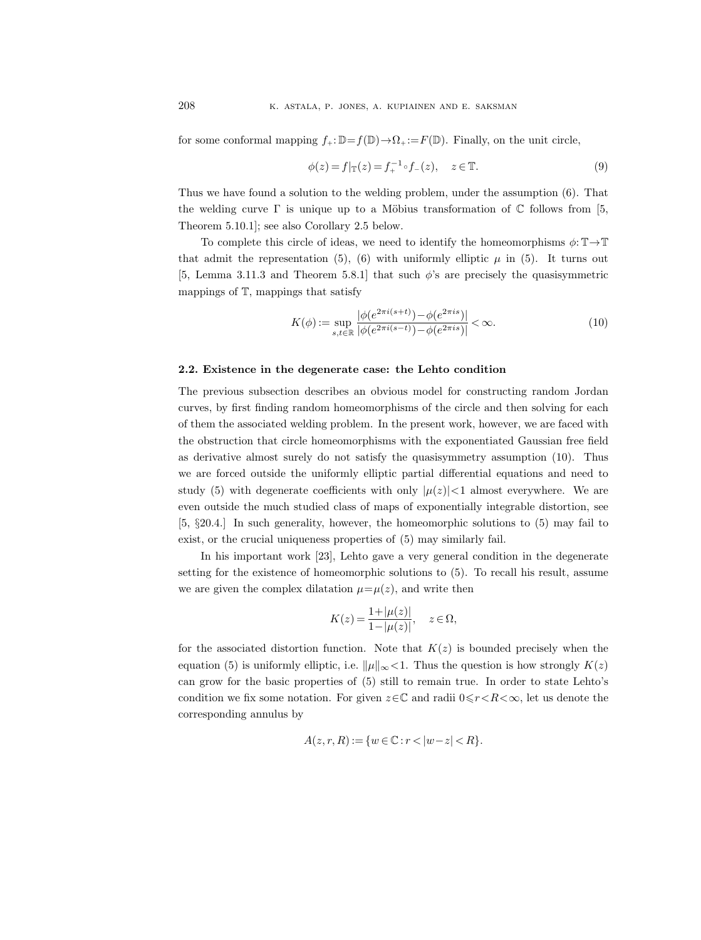for some conformal mapping  $f_+:\mathbb{D}=f(\mathbb{D})\to\Omega_+:=F(\mathbb{D})$ . Finally, on the unit circle,

$$
\phi(z) = f|_{\mathbb{T}}(z) = f_{+}^{-1} \circ f_{-}(z), \quad z \in \mathbb{T}.
$$
\n(9)

Thus we have found a solution to the welding problem, under the assumption (6). That the welding curve  $\Gamma$  is unique up to a Möbius transformation of  $\mathbb C$  follows from [5, Theorem 5.10.1]; see also Corollary 2.5 below.

To complete this circle of ideas, we need to identify the homeomorphisms  $\phi: \mathbb{T} \to \mathbb{T}$ that admit the representation (5), (6) with uniformly elliptic  $\mu$  in (5). It turns out [5, Lemma 3.11.3 and Theorem 5.8.1] that such  $\phi$ 's are precisely the quasisymmetric mappings of  $T$ , mappings that satisfy

$$
K(\phi) := \sup_{s,t \in \mathbb{R}} \frac{|\phi(e^{2\pi i(s+t)}) - \phi(e^{2\pi is})|}{|\phi(e^{2\pi i(s-t)}) - \phi(e^{2\pi is})|} < \infty.
$$
 (10)

#### 2.2. Existence in the degenerate case: the Lehto condition

The previous subsection describes an obvious model for constructing random Jordan curves, by first finding random homeomorphisms of the circle and then solving for each of them the associated welding problem. In the present work, however, we are faced with the obstruction that circle homeomorphisms with the exponentiated Gaussian free field as derivative almost surely do not satisfy the quasisymmetry assumption (10). Thus we are forced outside the uniformly elliptic partial differential equations and need to study (5) with degenerate coefficients with only  $|\mu(z)| < 1$  almost everywhere. We are even outside the much studied class of maps of exponentially integrable distortion, see [5, §20.4.] In such generality, however, the homeomorphic solutions to (5) may fail to exist, or the crucial uniqueness properties of (5) may similarly fail.

In his important work [23], Lehto gave a very general condition in the degenerate setting for the existence of homeomorphic solutions to (5). To recall his result, assume we are given the complex dilatation  $\mu = \mu(z)$ , and write then

$$
K(z) = \frac{1 + |\mu(z)|}{1 - |\mu(z)|}, \quad z \in \Omega,
$$

for the associated distortion function. Note that  $K(z)$  is bounded precisely when the equation (5) is uniformly elliptic, i.e.  $\|\mu\|_{\infty}$  < 1. Thus the question is how strongly  $K(z)$ can grow for the basic properties of (5) still to remain true. In order to state Lehto's condition we fix some notation. For given  $z \in \mathbb{C}$  and radii  $0 \leq r < R < \infty$ , let us denote the corresponding annulus by

$$
A(z, r, R) := \{ w \in \mathbb{C} : r < |w - z| < R \}.
$$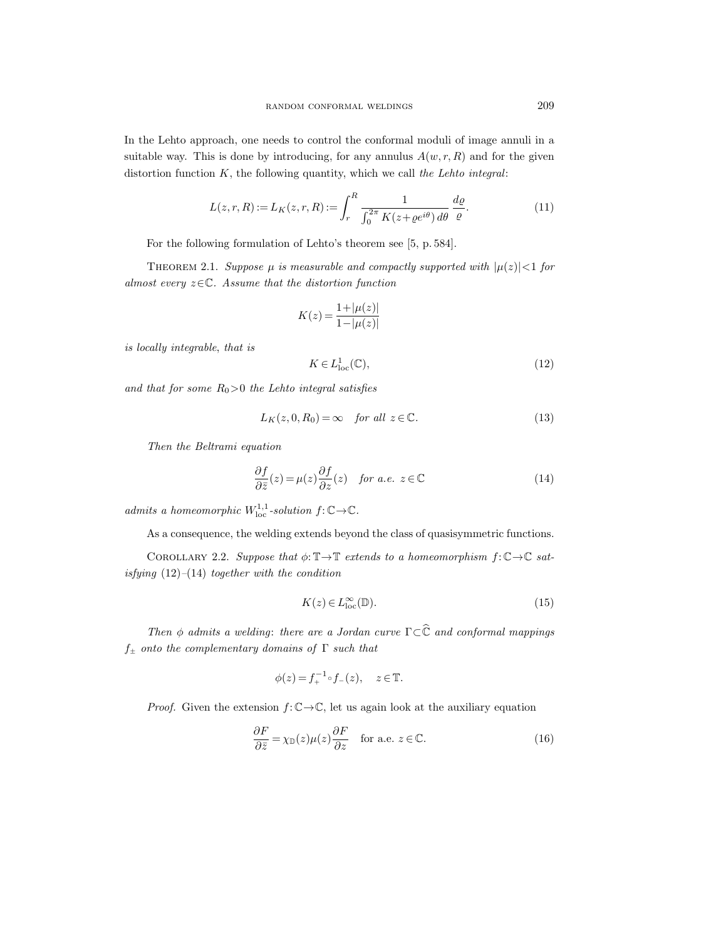suitable way. This is done by introducing, for any annulus  $A(w, r, R)$  and for the given distortion function  $K$ , the following quantity, which we call the Lehto integral:

$$
L(z,r,R) := L_K(z,r,R) := \int_r^R \frac{1}{\int_0^{2\pi} K(z + \varrho e^{i\theta}) d\theta} \frac{d\varrho}{\varrho}.
$$
 (11)

For the following formulation of Lehto's theorem see [5, p. 584].

THEOREM 2.1. Suppose  $\mu$  is measurable and compactly supported with  $|\mu(z)| < 1$  for almost every  $z \in \mathbb{C}$ . Assume that the distortion function

$$
K(z) = \frac{1 + |\mu(z)|}{1 - |\mu(z)|}
$$

is locally integrable, that is

$$
K \in L^1_{\text{loc}}(\mathbb{C}),\tag{12}
$$

and that for some  $R_0>0$  the Lehto integral satisfies

$$
L_K(z,0,R_0) = \infty \quad \text{for all } z \in \mathbb{C}.\tag{13}
$$

Then the Beltrami equation

$$
\frac{\partial f}{\partial \bar{z}}(z) = \mu(z) \frac{\partial f}{\partial z}(z) \quad \text{for a.e. } z \in \mathbb{C}
$$
 (14)

admits a homeomorphic  $W^{1,1}_{\text{loc}}$ -solution  $f: \mathbb{C} \to \mathbb{C}$ .

As a consequence, the welding extends beyond the class of quasisymmetric functions.

COROLLARY 2.2. Suppose that  $\phi: \mathbb{T} \to \mathbb{T}$  extends to a homeomorphism  $f: \mathbb{C} \to \mathbb{C}$  satisfying  $(12)$ – $(14)$  together with the condition

$$
K(z) \in L_{\text{loc}}^{\infty}(\mathbb{D}).\tag{15}
$$

Then  $\phi$  admits a welding: there are a Jordan curve  $\Gamma \subset \widehat{\mathbb{C}}$  and conformal mappings  $f_{\pm}$  onto the complementary domains of  $\Gamma$  such that

$$
\phi(z) = f_+^{-1} \circ f_-(z), \quad z \in \mathbb{T}.
$$

*Proof.* Given the extension  $f: \mathbb{C} \to \mathbb{C}$ , let us again look at the auxiliary equation

$$
\frac{\partial F}{\partial \bar{z}} = \chi_{\mathbb{D}}(z)\mu(z)\frac{\partial F}{\partial z} \quad \text{for a.e. } z \in \mathbb{C}.
$$
 (16)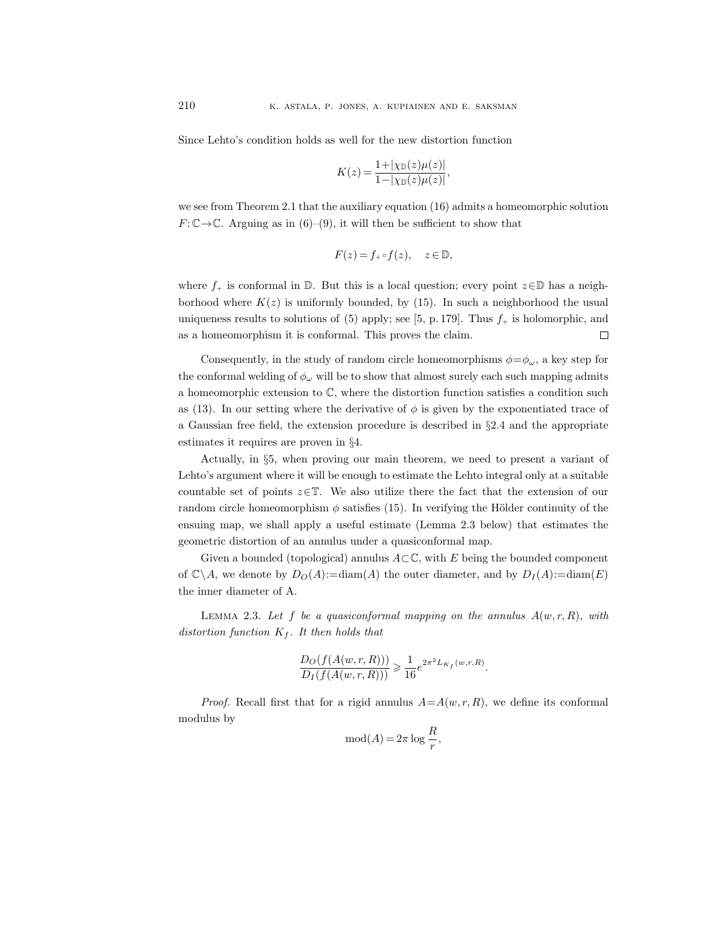Since Lehto's condition holds as well for the new distortion function

$$
K(z) = \frac{1 + |\chi_{\mathbb{D}}(z)\mu(z)|}{1 - |\chi_{\mathbb{D}}(z)\mu(z)|},
$$

we see from Theorem 2.1 that the auxiliary equation (16) admits a homeomorphic solution  $F: \mathbb{C} \to \mathbb{C}$ . Arguing as in (6)–(9), it will then be sufficient to show that

$$
F(z) = f_+ \circ f(z), \quad z \in \mathbb{D},
$$

where  $f_+$  is conformal in D. But this is a local question; every point  $z \in \mathbb{D}$  has a neighborhood where  $K(z)$  is uniformly bounded, by (15). In such a neighborhood the usual uniqueness results to solutions of (5) apply; see [5, p. 179]. Thus  $f_{+}$  is holomorphic, and as a homeomorphism it is conformal. This proves the claim.  $\Box$ 

Consequently, in the study of random circle homeomorphisms  $\phi = \phi_\omega$ , a key step for the conformal welding of  $\phi_{\omega}$  will be to show that almost surely each such mapping admits a homeomorphic extension to  $\mathbb{C}$ , where the distortion function satisfies a condition such as (13). In our setting where the derivative of  $\phi$  is given by the exponentiated trace of a Gaussian free field, the extension procedure is described in §2.4 and the appropriate estimates it requires are proven in §4.

Actually, in §5, when proving our main theorem, we need to present a variant of Lehto's argument where it will be enough to estimate the Lehto integral only at a suitable countable set of points  $z \in \mathbb{T}$ . We also utilize there the fact that the extension of our random circle homeomorphism  $\phi$  satisfies (15). In verifying the Hölder continuity of the ensuing map, we shall apply a useful estimate (Lemma 2.3 below) that estimates the geometric distortion of an annulus under a quasiconformal map.

Given a bounded (topological) annulus  $A\subset\mathbb{C}$ , with E being the bounded component of  $\mathbb{C}\backslash A$ , we denote by  $D_O(A)=$ diam $(A)$  the outer diameter, and by  $D_I(A)=$ diam $(E)$ the inner diameter of A.

LEMMA 2.3. Let f be a quasiconformal mapping on the annulus  $A(w, r, R)$ , with distortion function  $K_f$ . It then holds that

$$
\frac{D_O(f(A(w,r,R)))}{D_I(f(A(w,r,R)))} \geq \frac{1}{16}e^{2\pi^2 L_{K_f}(w,r,R)}.
$$

*Proof.* Recall first that for a rigid annulus  $A=A(w, r, R)$ , we define its conformal modulus by

$$
\operatorname{mod}(A) = 2\pi \log \frac{R}{r},
$$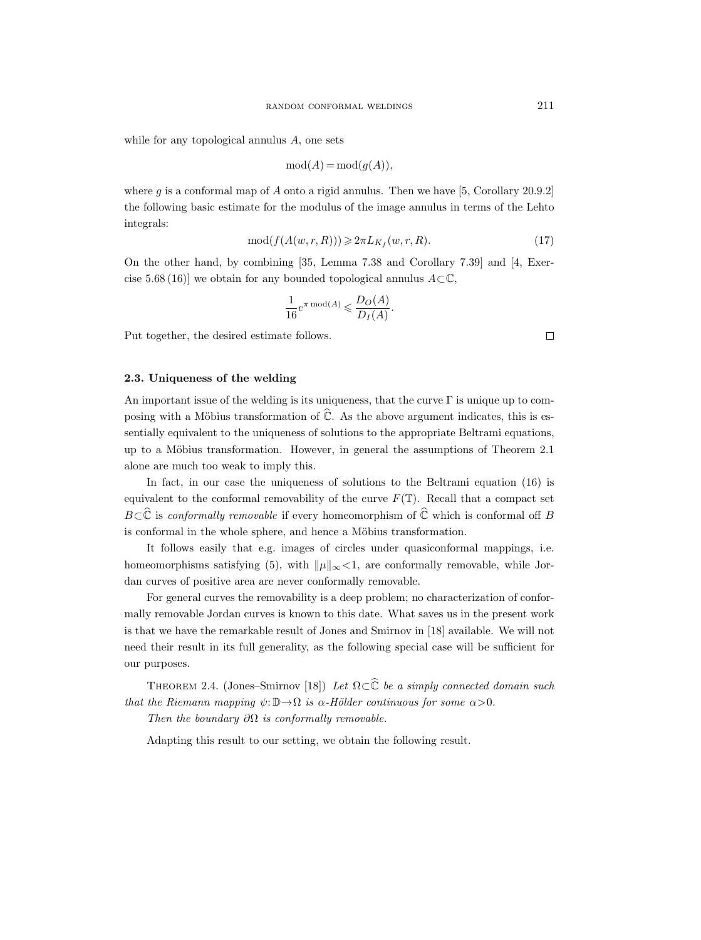while for any topological annulus A, one sets

$$
\operatorname{mod}(A) = \operatorname{mod}(g(A)),
$$

where g is a conformal map of A onto a rigid annulus. Then we have [5, Corollary 20.9.2] the following basic estimate for the modulus of the image annulus in terms of the Lehto integrals:

$$
\text{mod}(f(A(w,r,R))) \geqslant 2\pi L_{K_f}(w,r,R). \tag{17}
$$

On the other hand, by combining [35, Lemma 7.38 and Corollary 7.39] and [4, Exercise 5.68 (16)] we obtain for any bounded topological annulus  $A\subset\mathbb{C}$ ,

$$
\frac{1}{16}e^{\pi \operatorname{mod}(A)} \leqslant \frac{D_O(A)}{D_I(A)}.
$$

Put together, the desired estimate follows.

#### 2.3. Uniqueness of the welding

An important issue of the welding is its uniqueness, that the curve Γ is unique up to composing with a Möbius transformation of  $\widehat{\mathbb{C}}$ . As the above argument indicates, this is essentially equivalent to the uniqueness of solutions to the appropriate Beltrami equations, up to a Möbius transformation. However, in general the assumptions of Theorem 2.1 alone are much too weak to imply this.

In fact, in our case the uniqueness of solutions to the Beltrami equation (16) is equivalent to the conformal removability of the curve  $F(\mathbb{T})$ . Recall that a compact set  $B\subset\widehat{\mathbb{C}}$  is conformally removable if every homeomorphism of  $\widehat{\mathbb{C}}$  which is conformal off B is conformal in the whole sphere, and hence a Möbius transformation.

It follows easily that e.g. images of circles under quasiconformal mappings, i.e. homeomorphisms satisfying (5), with  $\|\mu\|_{\infty}$ <1, are conformally removable, while Jordan curves of positive area are never conformally removable.

For general curves the removability is a deep problem; no characterization of conformally removable Jordan curves is known to this date. What saves us in the present work is that we have the remarkable result of Jones and Smirnov in [18] available. We will not need their result in its full generality, as the following special case will be sufficient for our purposes.

THEOREM 2.4. (Jones–Smirnov [18]) Let  $\Omega \subset \widehat{\mathbb{C}}$  be a simply connected domain such that the Riemann mapping  $\psi: \mathbb{D} \to \Omega$  is  $\alpha$ -Hölder continuous for some  $\alpha > 0$ . Then the boundary  $\partial\Omega$  is conformally removable.

Adapting this result to our setting, we obtain the following result.

 $\Box$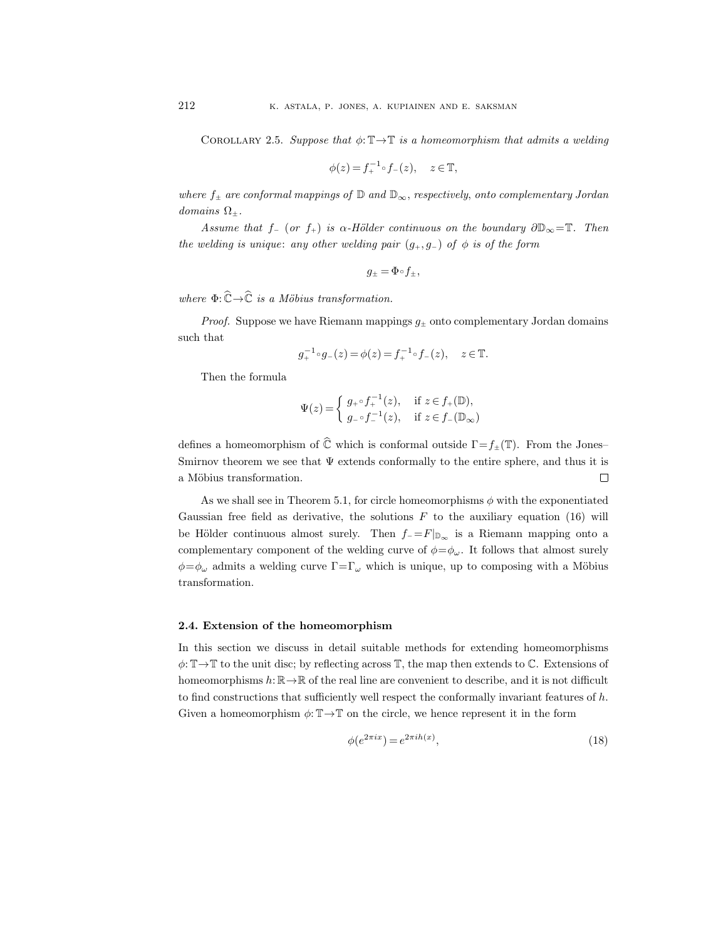COROLLARY 2.5. Suppose that  $\phi: \mathbb{T} \to \mathbb{T}$  is a homeomorphism that admits a welding

$$
\phi(z) = f_+^{-1} \circ f_-(z), \quad z \in \mathbb{T},
$$

where  $f_{\pm}$  are conformal mappings of  $\mathbb{D}$  and  $\mathbb{D}_{\infty}$ , respectively, onto complementary Jordan domains  $\Omega_{\pm}$ .

Assume that  $f_-(or f_+)$  is  $\alpha$ -Hölder continuous on the boundary  $\partial\mathbb{D}_{\infty}=\mathbb{T}$ . Then the welding is unique: any other welding pair  $(g_+, g_-)$  of  $\phi$  is of the form

$$
g_{\pm}=\Phi\!\circ\!f_{\pm},
$$

where  $\Phi: \widehat{\mathbb{C}} \to \widehat{\mathbb{C}}$  is a Möbius transformation.

*Proof.* Suppose we have Riemann mappings  $g_{\pm}$  onto complementary Jordan domains such that

$$
g_+^{-1} \circ g_-(z) = \phi(z) = f_+^{-1} \circ f_-(z), \quad z \in \mathbb{T}.
$$

Then the formula

$$
\Psi(z) = \begin{cases} g_{+} \circ f_{+}^{-1}(z), & \text{if } z \in f_{+}(\mathbb{D}), \\ g_{-} \circ f_{-}^{-1}(z), & \text{if } z \in f_{-}(\mathbb{D}_{\infty}) \end{cases}
$$

defines a homeomorphism of  $\widehat{\mathbb{C}}$  which is conformal outside  $\Gamma = f_{\pm}(\mathbb{T})$ . From the Jones– Smirnov theorem we see that  $\Psi$  extends conformally to the entire sphere, and thus it is a Möbius transformation.  $\Box$ 

As we shall see in Theorem 5.1, for circle homeomorphisms  $\phi$  with the exponentiated Gaussian free field as derivative, the solutions  $F$  to the auxiliary equation (16) will be Hölder continuous almost surely. Then  $f = F|_{\mathbb{D}_{\infty}}$  is a Riemann mapping onto a complementary component of the welding curve of  $\phi = \phi_\omega$ . It follows that almost surely  $\phi = \phi_\omega$  admits a welding curve  $\Gamma = \Gamma_\omega$  which is unique, up to composing with a Möbius transformation.

# 2.4. Extension of the homeomorphism

In this section we discuss in detail suitable methods for extending homeomorphisms  $\phi: \mathbb{T} \to \mathbb{T}$  to the unit disc; by reflecting across  $\mathbb{T}$ , the map then extends to  $\mathbb{C}$ . Extensions of homeomorphisms  $h: \mathbb{R} \to \mathbb{R}$  of the real line are convenient to describe, and it is not difficult to find constructions that sufficiently well respect the conformally invariant features of  $h$ . Given a homeomorphism  $\phi: \mathbb{T} \to \mathbb{T}$  on the circle, we hence represent it in the form

$$
\phi(e^{2\pi ix}) = e^{2\pi ih(x)},\tag{18}
$$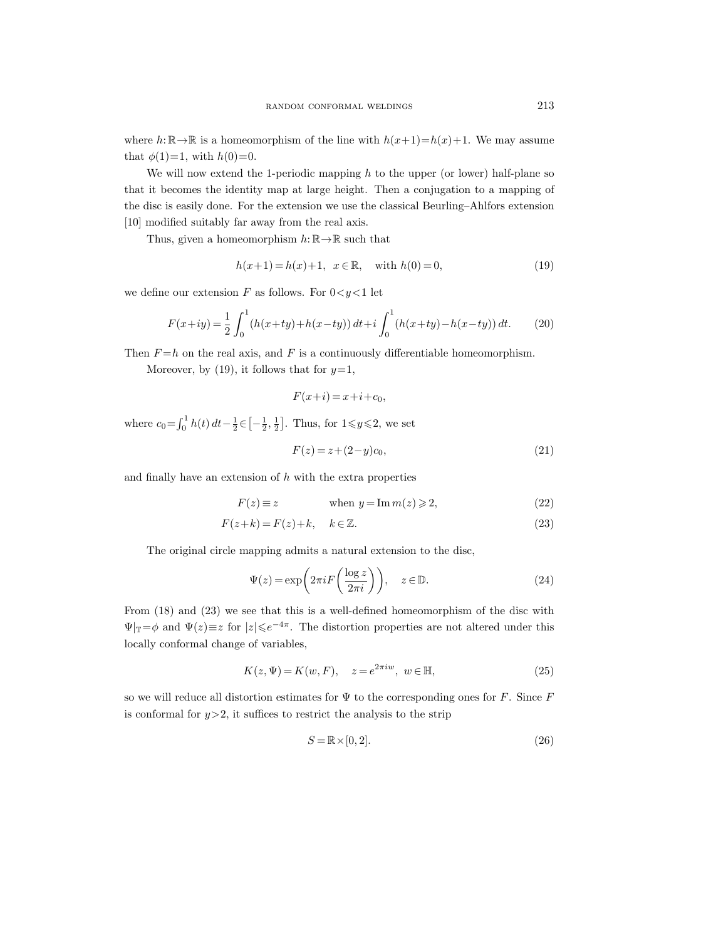where  $h: \mathbb{R} \to \mathbb{R}$  is a homeomorphism of the line with  $h(x+1)=h(x)+1$ . We may assume that  $\phi(1)=1$ , with  $h(0)=0$ .

We will now extend the 1-periodic mapping  $h$  to the upper (or lower) half-plane so that it becomes the identity map at large height. Then a conjugation to a mapping of the disc is easily done. For the extension we use the classical Beurling–Ahlfors extension [10] modified suitably far away from the real axis.

Thus, given a homeomorphism  $h: \mathbb{R} \to \mathbb{R}$  such that

$$
h(x+1) = h(x) + 1, \ \ x \in \mathbb{R}, \quad \text{with } h(0) = 0,
$$
\n(19)

we define our extension F as follows. For  $0 < y < 1$  let

$$
F(x+iy) = \frac{1}{2} \int_0^1 (h(x+ty) + h(x-ty)) dt + i \int_0^1 (h(x+ty) - h(x-ty)) dt.
$$
 (20)

Then  $F = h$  on the real axis, and F is a continuously differentiable homeomorphism.

Moreover, by (19), it follows that for  $y=1$ ,

$$
F(x+i) = x+i+c_0,
$$

where  $c_0 = \int_0^1 h(t) dt - \frac{1}{2} \in \left[ -\frac{1}{2}, \frac{1}{2} \right]$ . Thus, for  $1 \leq y \leq 2$ , we set

$$
F(z) = z + (2 - y)c_0,
$$
\n(21)

and finally have an extension of  $h$  with the extra properties

$$
F(z) \equiv z \qquad \text{when } y = \text{Im } m(z) \geqslant 2,
$$
 (22)

$$
F(z+k) = F(z) + k, \quad k \in \mathbb{Z}.
$$
\n<sup>(23)</sup>

The original circle mapping admits a natural extension to the disc,

$$
\Psi(z) = \exp\left(2\pi i F\left(\frac{\log z}{2\pi i}\right)\right), \quad z \in \mathbb{D}.\tag{24}
$$

From (18) and (23) we see that this is a well-defined homeomorphism of the disc with  $\Psi|_{\mathbb{T}}=\phi$  and  $\Psi(z)\equiv z$  for  $|z|\leqslant e^{-4\pi}$ . The distortion properties are not altered under this locally conformal change of variables,

$$
K(z, \Psi) = K(w, F), \quad z = e^{2\pi i w}, \ w \in \mathbb{H}, \tag{25}
$$

so we will reduce all distortion estimates for  $\Psi$  to the corresponding ones for F. Since F is conformal for  $y>2$ , it suffices to restrict the analysis to the strip

$$
S = \mathbb{R} \times [0, 2]. \tag{26}
$$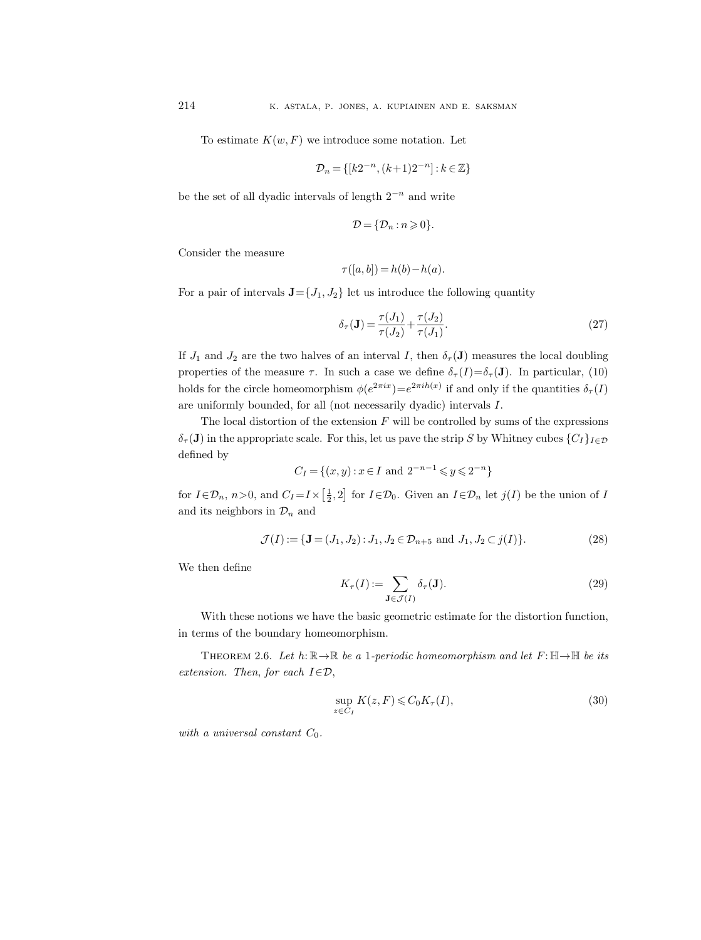To estimate  $K(w, F)$  we introduce some notation. Let

$$
\mathcal{D}_n=\{[k2^{-n},(k+1)2^{-n}]:k\in\mathbb{Z}\}
$$

be the set of all dyadic intervals of length  $2^{-n}$  and write

$$
\mathcal{D} = \{ \mathcal{D}_n : n \geqslant 0 \}.
$$

Consider the measure

$$
\tau([a,b]) = h(b) - h(a).
$$

For a pair of intervals  $\mathbf{J} = \{J_1, J_2\}$  let us introduce the following quantity

$$
\delta_{\tau}(\mathbf{J}) = \frac{\tau(J_1)}{\tau(J_2)} + \frac{\tau(J_2)}{\tau(J_1)}.
$$
\n(27)

If  $J_1$  and  $J_2$  are the two halves of an interval I, then  $\delta_{\tau}(\mathbf{J})$  measures the local doubling properties of the measure  $\tau$ . In such a case we define  $\delta_{\tau}(I)=\delta_{\tau}(\mathbf{J})$ . In particular, (10) holds for the circle homeomorphism  $\phi(e^{2\pi ix}) = e^{2\pi ih(x)}$  if and only if the quantities  $\delta_{\tau}(I)$ are uniformly bounded, for all (not necessarily dyadic) intervals I.

The local distortion of the extension  $F$  will be controlled by sums of the expressions  $\delta_{\tau}(\mathbf{J})$  in the appropriate scale. For this, let us pave the strip S by Whitney cubes  $\{C_I\}_{I\in\mathcal{D}}$ defined by

$$
C_I = \{(x, y) : x \in I \text{ and } 2^{-n-1} \leq y \leq 2^{-n}\}\
$$

for  $I \in \mathcal{D}_n$ ,  $n > 0$ , and  $C_I = I \times \left[\frac{1}{2}, 2\right]$  for  $I \in \mathcal{D}_0$ . Given an  $I \in \mathcal{D}_n$  let  $j(I)$  be the union of I and its neighbors in  $\mathcal{D}_n$  and

$$
\mathcal{J}(I) := \{ \mathbf{J} = (J_1, J_2) : J_1, J_2 \in \mathcal{D}_{n+5} \text{ and } J_1, J_2 \subset j(I) \}. \tag{28}
$$

We then define

$$
K_{\tau}(I) := \sum_{\mathbf{J} \in \mathcal{J}(I)} \delta_{\tau}(\mathbf{J}). \tag{29}
$$

With these notions we have the basic geometric estimate for the distortion function, in terms of the boundary homeomorphism.

THEOREM 2.6. Let  $h: \mathbb{R} \to \mathbb{R}$  be a 1-periodic homeomorphism and let  $F: \mathbb{H} \to \mathbb{H}$  be its extension. Then, for each  $I \in \mathcal{D}$ ,

$$
\sup_{z \in C_I} K(z, F) \leqslant C_0 K_\tau(I),\tag{30}
$$

with a universal constant  $C_0$ .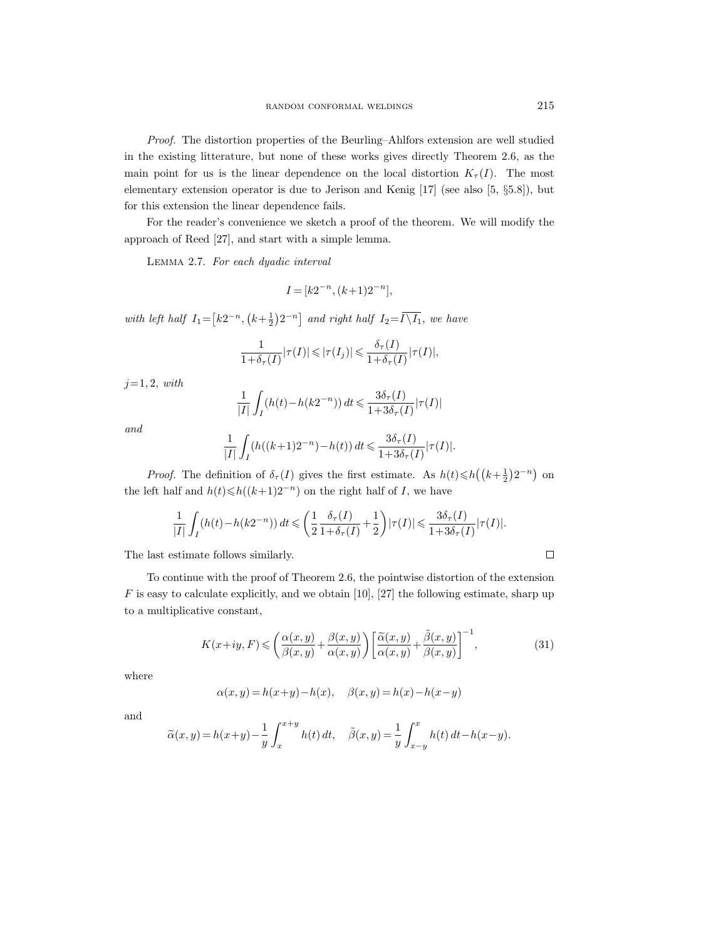Proof. The distortion properties of the Beurling–Ahlfors extension are well studied in the existing litterature, but none of these works gives directly Theorem 2.6, as the main point for us is the linear dependence on the local distortion  $K_{\tau}(I)$ . The most elementary extension operator is due to Jerison and Kenig [17] (see also [5, §5.8]), but for this extension the linear dependence fails.

For the reader's convenience we sketch a proof of the theorem. We will modify the approach of Reed [27], and start with a simple lemma.

Lemma 2.7. For each dyadic interval

$$
I\!=\![k2^{-n},(k\!+\!1)2^{-n}],
$$

with left half  $I_1 = [k2^{-n}, (k+\frac{1}{2})2^{-n}]$  and right half  $I_2 = \overline{I \setminus I_1}$ , we have

$$
\frac{1}{1+\delta_{\tau}(I)}|\tau(I)| \leq |\tau(I_j)| \leq \frac{\delta_{\tau}(I)}{1+\delta_{\tau}(I)}|\tau(I)|,
$$

 $j=1, 2, with$ 

$$
\frac{1}{|I|} \int_I (h(t) - h(k2^{-n})) dt \leq \frac{3\delta_\tau(I)}{1 + 3\delta_\tau(I)} |\tau(I)|
$$

and

$$
\frac{1}{|I|} \int_I (h((k+1)2^{-n}) - h(t)) dt \leq \frac{3\delta_\tau(I)}{1 + 3\delta_\tau(I)} |\tau(I)|.
$$

*Proof.* The definition of  $\delta_{\tau}(I)$  gives the first estimate. As  $h(t) \leq h((k+\frac{1}{2})2^{-n})$  on the left half and  $h(t) \leq h((k+1)2^{-n})$  on the right half of I, we have

$$
\frac{1}{|I|}\int_I (h(t)-h(k2^{-n})) dt \leqslant \left(\frac{1}{2}\frac{\delta_\tau(I)}{1+\delta_\tau(I)}+\frac{1}{2}\right)|\tau(I)| \leqslant \frac{3\delta_\tau(I)}{1+3\delta_\tau(I)}|\tau(I)|.
$$

The last estimate follows similarly.

To continue with the proof of Theorem 2.6, the pointwise distortion of the extension  $F$  is easy to calculate explicitly, and we obtain [10], [27] the following estimate, sharp up to a multiplicative constant,

$$
K(x+iy, F) \leqslant \left(\frac{\alpha(x,y)}{\beta(x,y)} + \frac{\beta(x,y)}{\alpha(x,y)}\right) \left[\frac{\widetilde{\alpha}(x,y)}{\alpha(x,y)} + \frac{\widetilde{\beta}(x,y)}{\beta(x,y)}\right]^{-1},\tag{31}
$$

where

$$
\alpha(x,y)=h(x+y)-h(x),\quad \beta(x,y)=h(x)-h(x-y)
$$

and

$$
\widetilde{\alpha}(x, y) = h(x+y) - \frac{1}{y} \int_{x}^{x+y} h(t) dt, \quad \widetilde{\beta}(x, y) = \frac{1}{y} \int_{x-y}^{x} h(t) dt - h(x-y).
$$

 $\Box$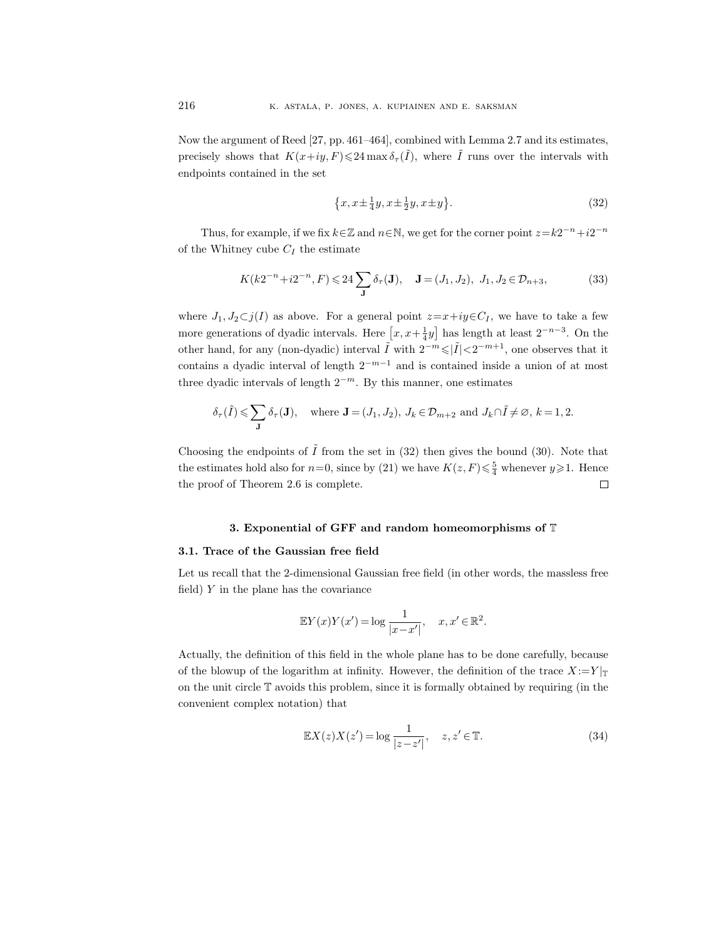Now the argument of Reed [27, pp. 461–464], combined with Lemma 2.7 and its estimates, precisely shows that  $K(x+iy, F) \leq 24 \max \delta_{\tau}(\tilde{I})$ , where  $\tilde{I}$  runs over the intervals with endpoints contained in the set

$$
\{x, x \pm \frac{1}{4}y, x \pm \frac{1}{2}y, x \pm y\}.
$$
 (32)

Thus, for example, if we fix  $k \in \mathbb{Z}$  and  $n \in \mathbb{N}$ , we get for the corner point  $z = k2^{-n} + i2^{-n}$ of the Whitney cube  $C_I$  the estimate

$$
K(k2^{-n}+i2^{-n}, F) \leq 24 \sum_{\mathbf{J}} \delta_{\tau}(\mathbf{J}), \quad \mathbf{J} = (J_1, J_2), \ J_1, J_2 \in \mathcal{D}_{n+3},\tag{33}
$$

where  $J_1, J_2 \subset j(I)$  as above. For a general point  $z=x+iy\in C_I$ , we have to take a few more generations of dyadic intervals. Here  $[x, x+\frac{1}{4}y]$  has length at least  $2^{-n-3}$ . On the other hand, for any (non-dyadic) interval  $\tilde{I}$  with  $2^{-m} \leqslant |\tilde{I}| < 2^{-m+1}$ , one observes that it contains a dyadic interval of length  $2^{-m-1}$  and is contained inside a union of at most three dyadic intervals of length  $2^{-m}$ . By this manner, one estimates

$$
\delta_{\tau}(\tilde{I}) \leqslant \sum_{\mathbf{J}} \delta_{\tau}(\mathbf{J}), \quad \text{where } \mathbf{J} = (J_1, J_2), \ J_k \in \mathcal{D}_{m+2} \text{ and } J_k \cap \tilde{I} \neq \varnothing, \ k = 1, 2.
$$

Choosing the endpoints of  $\tilde{I}$  from the set in (32) then gives the bound (30). Note that the estimates hold also for  $n=0$ , since by (21) we have  $K(z, F) \leq \frac{5}{4}$  whenever  $y \geq 1$ . Hence the proof of Theorem 2.6 is complete.  $\Box$ 

# 3. Exponential of GFF and random homeomorphisms of T

#### 3.1. Trace of the Gaussian free field

Let us recall that the 2-dimensional Gaussian free field (in other words, the massless free field)  $Y$  in the plane has the covariance

$$
\mathbb{E}Y(x)Y(x') = \log \frac{1}{|x - x'|}, \quad x, x' \in \mathbb{R}^2.
$$

Actually, the definition of this field in the whole plane has to be done carefully, because of the blowup of the logarithm at infinity. However, the definition of the trace  $X:=Y|_{\mathbb{T}}$ on the unit circle T avoids this problem, since it is formally obtained by requiring (in the convenient complex notation) that

$$
\mathbb{E}X(z)X(z') = \log \frac{1}{|z - z'|}, \quad z, z' \in \mathbb{T}.
$$
\n(34)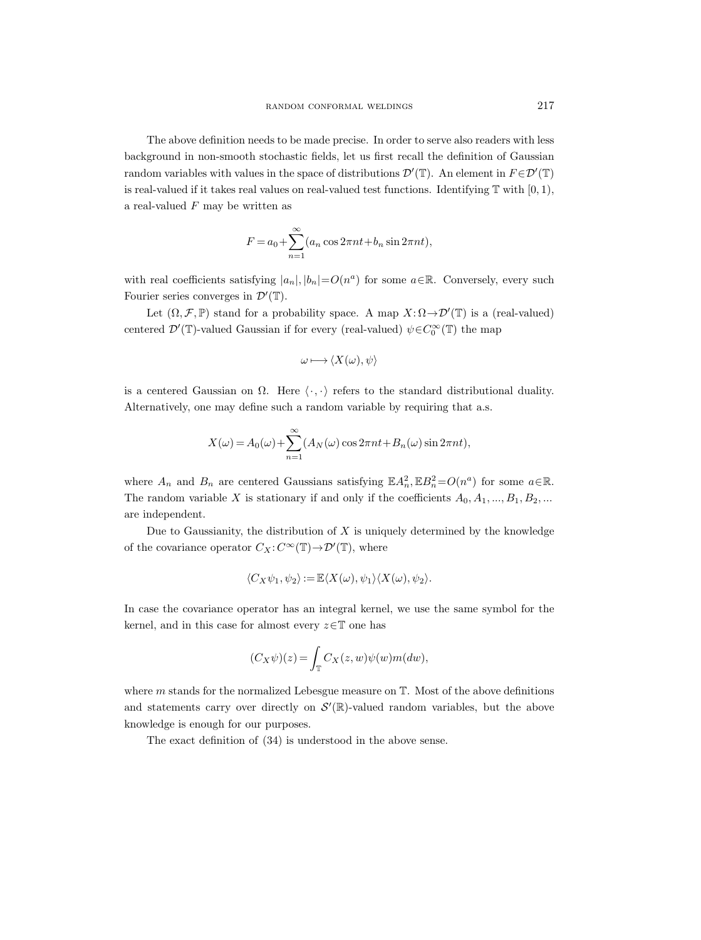The above definition needs to be made precise. In order to serve also readers with less background in non-smooth stochastic fields, let us first recall the definition of Gaussian random variables with values in the space of distributions  $\mathcal{D}'(\mathbb{T})$ . An element in  $F \in \mathcal{D}'(\mathbb{T})$ is real-valued if it takes real values on real-valued test functions. Identifying  $\mathbb T$  with  $[0, 1)$ , a real-valued  $F$  may be written as

$$
F = a_0 + \sum_{n=1}^{\infty} (a_n \cos 2\pi nt + b_n \sin 2\pi nt),
$$

with real coefficients satisfying  $|a_n|, |b_n| = O(n^a)$  for some  $a \in \mathbb{R}$ . Conversely, every such Fourier series converges in  $\mathcal{D}'(\mathbb{T})$ .

Let  $(\Omega, \mathcal{F}, \mathbb{P})$  stand for a probability space. A map  $X : \Omega \to \mathcal{D}'(\mathbb{T})$  is a (real-valued) centered  $\mathcal{D}'(\mathbb{T})$ -valued Gaussian if for every (real-valued)  $\psi \in C_0^{\infty}(\mathbb{T})$  the map

$$
\omega \longmapsto \langle X(\omega), \psi \rangle
$$

is a centered Gaussian on  $\Omega$ . Here  $\langle \cdot, \cdot \rangle$  refers to the standard distributional duality. Alternatively, one may define such a random variable by requiring that a.s.

$$
X(\omega) = A_0(\omega) + \sum_{n=1}^{\infty} (A_N(\omega) \cos 2\pi nt + B_n(\omega) \sin 2\pi nt),
$$

where  $A_n$  and  $B_n$  are centered Gaussians satisfying  $\mathbb{E} A_n^2$ ,  $\mathbb{E} B_n^2 = O(n^a)$  for some  $a \in \mathbb{R}$ . The random variable X is stationary if and only if the coefficients  $A_0, A_1, ..., B_1, B_2, ...$ are independent.

Due to Gaussianity, the distribution of  $X$  is uniquely determined by the knowledge of the covariance operator  $C_X: C^\infty(\mathbb{T}) \to \mathcal{D}'(\mathbb{T})$ , where

$$
\langle C_X \psi_1, \psi_2 \rangle := \mathbb{E} \langle X(\omega), \psi_1 \rangle \langle X(\omega), \psi_2 \rangle.
$$

In case the covariance operator has an integral kernel, we use the same symbol for the kernel, and in this case for almost every  $z \in \mathbb{T}$  one has

$$
(C_X \psi)(z) = \int_{\mathbb{T}} C_X(z, w) \psi(w) m(dw),
$$

where  $m$  stands for the normalized Lebesgue measure on  $T$ . Most of the above definitions and statements carry over directly on  $\mathcal{S}'(\mathbb{R})$ -valued random variables, but the above knowledge is enough for our purposes.

The exact definition of (34) is understood in the above sense.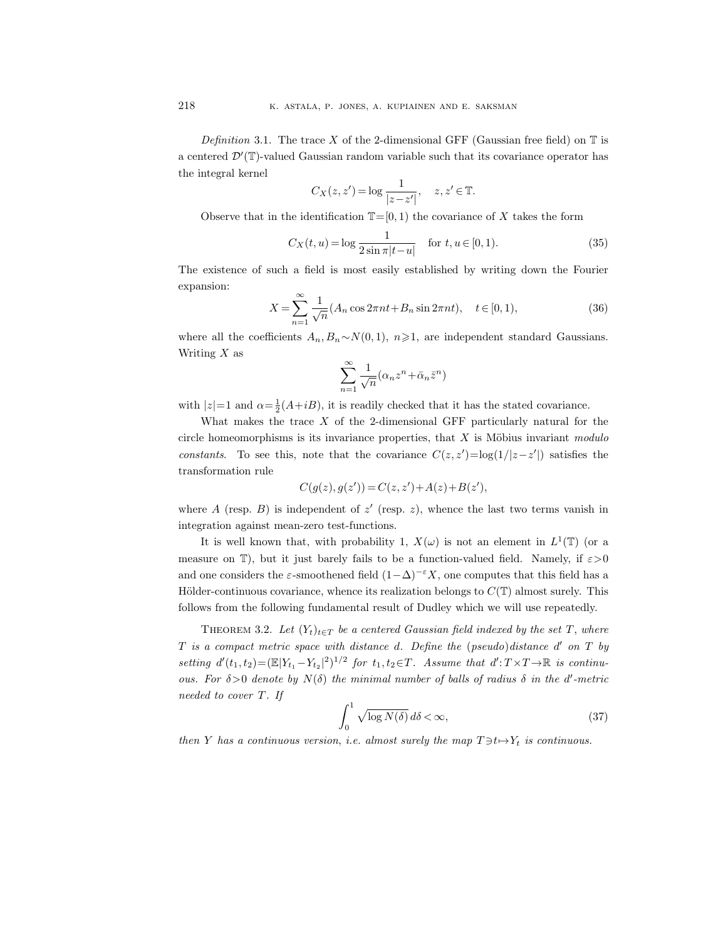Definition 3.1. The trace X of the 2-dimensional GFF (Gaussian free field) on  $\mathbb T$  is a centered  $\mathcal{D}'(\mathbb{T})$ -valued Gaussian random variable such that its covariance operator has the integral kernel

$$
C_X(z, z') = \log \frac{1}{|z - z'|}, \quad z, z' \in \mathbb{T}.
$$

Observe that in the identification  $\mathbb{T}=[0,1)$  the covariance of X takes the form

$$
C_X(t, u) = \log \frac{1}{2\sin \pi |t - u|} \quad \text{for } t, u \in [0, 1).
$$
 (35)

The existence of such a field is most easily established by writing down the Fourier expansion:

$$
X = \sum_{n=1}^{\infty} \frac{1}{\sqrt{n}} (A_n \cos 2\pi nt + B_n \sin 2\pi nt), \quad t \in [0, 1),
$$
 (36)

where all the coefficients  $A_n, B_n \sim N(0, 1), n \geq 1$ , are independent standard Gaussians. Writing  $X$  as

$$
\sum_{n=1}^{\infty} \frac{1}{\sqrt{n}} (\alpha_n z^n + \bar{\alpha}_n \bar{z}^n)
$$

with  $|z|=1$  and  $\alpha = \frac{1}{2}(A+iB)$ , it is readily checked that it has the stated covariance.

What makes the trace  $X$  of the 2-dimensional GFF particularly natural for the circle homeomorphisms is its invariance properties, that  $X$  is Möbius invariant modulo constants. To see this, note that the covariance  $C(z, z') = \log(1/|z-z'|)$  satisfies the transformation rule

$$
C(g(z), g(z')) = C(z, z') + A(z) + B(z'),
$$

where A (resp. B) is independent of  $z'$  (resp. z), whence the last two terms vanish in integration against mean-zero test-functions.

It is well known that, with probability 1,  $X(\omega)$  is not an element in  $L^1(\mathbb{T})$  (or a measure on T), but it just barely fails to be a function-valued field. Namely, if  $\varepsilon > 0$ and one considers the  $\varepsilon$ -smoothened field  $(1-\Delta)^{-\varepsilon}X$ , one computes that this field has a Hölder-continuous covariance, whence its realization belongs to  $C(T)$  almost surely. This follows from the following fundamental result of Dudley which we will use repeatedly.

THEOREM 3.2. Let  $(Y_t)_{t\in T}$  be a centered Gaussian field indexed by the set T, where  $T$  is a compact metric space with distance d. Define the (pseudo)distance  $d'$  on  $T$  by setting  $d'(t_1, t_2) = (\mathbb{E}|Y_{t_1} - Y_{t_2}|^2)^{1/2}$  for  $t_1, t_2 \in T$ . Assume that  $d': T \times T \to \mathbb{R}$  is continuous. For  $\delta > 0$  denote by  $N(\delta)$  the minimal number of balls of radius  $\delta$  in the d'-metric needed to cover T. If

$$
\int_0^1 \sqrt{\log N(\delta)} \, d\delta < \infty,\tag{37}
$$

then Y has a continuous version, i.e. almost surely the map  $T \ni t \mapsto Y_t$  is continuous.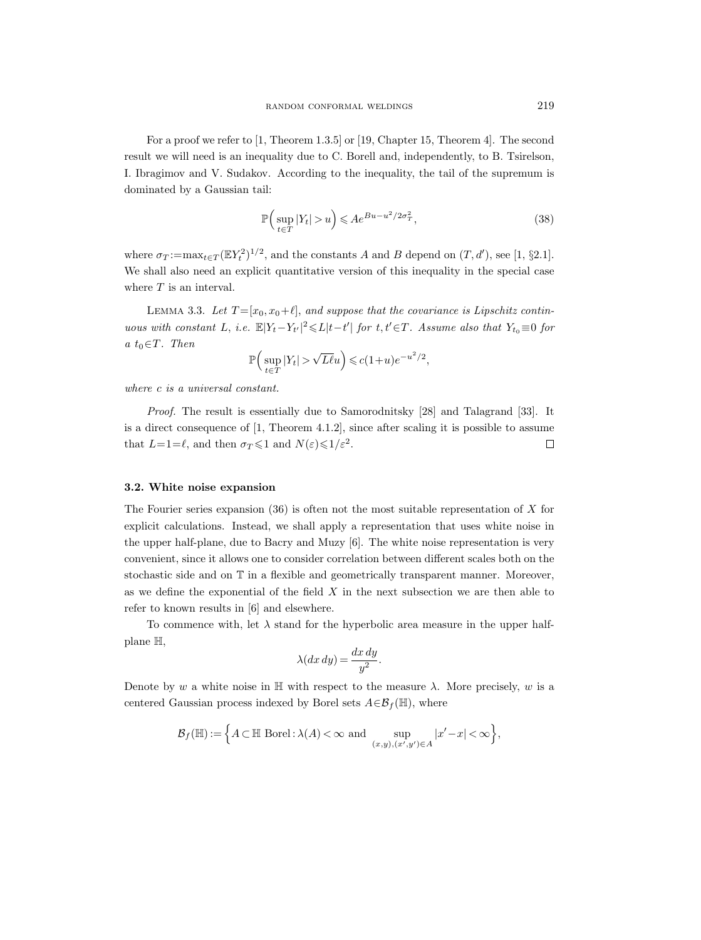For a proof we refer to [1, Theorem 1.3.5] or [19, Chapter 15, Theorem 4]. The second result we will need is an inequality due to C. Borell and, independently, to B. Tsirelson, I. Ibragimov and V. Sudakov. According to the inequality, the tail of the supremum is dominated by a Gaussian tail:

$$
\mathbb{P}\Big(\sup_{t\in T}|Y_t|>u\Big)\leqslant Ae^{Bu-u^2/2\sigma_T^2},\tag{38}
$$

where  $\sigma_T := \max_{t \in T} (\mathbb{E}Y_t^2)^{1/2}$ , and the constants A and B depend on  $(T, d')$ , see [1, §2.1]. We shall also need an explicit quantitative version of this inequality in the special case where  $T$  is an interval.

LEMMA 3.3. Let  $T = [x_0, x_0 + \ell]$ , and suppose that the covariance is Lipschitz continuous with constant L, i.e.  $\mathbb{E}|Y_t - Y_{t'}|^2 \leq L|t-t'|$  for  $t, t' \in T$ . Assume also that  $Y_{t_0} \equiv 0$  for a  $t_0 \in T$ . Then

$$
\mathbb{P}\Big(\sup_{t\in T}|Y_t| > \sqrt{L\ell}u\Big) \leqslant c(1+u)e^{-u^2/2},
$$

where c is a universal constant.

Proof. The result is essentially due to Samorodnitsky [28] and Talagrand [33]. It is a direct consequence of  $[1,$  Theorem 4.1.2], since after scaling it is possible to assume that  $L=1=\ell$ , and then  $\sigma_T \leq 1$  and  $N(\varepsilon) \leq 1/\varepsilon^2$ .  $\Box$ 

# 3.2. White noise expansion

The Fourier series expansion  $(36)$  is often not the most suitable representation of X for explicit calculations. Instead, we shall apply a representation that uses white noise in the upper half-plane, due to Bacry and Muzy [6]. The white noise representation is very convenient, since it allows one to consider correlation between different scales both on the stochastic side and on T in a flexible and geometrically transparent manner. Moreover, as we define the exponential of the field  $X$  in the next subsection we are then able to refer to known results in [6] and elsewhere.

To commence with, let  $\lambda$  stand for the hyperbolic area measure in the upper halfplane H,

$$
\lambda(dx\,dy) = \frac{dx\,dy}{y^2}.
$$

Denote by w a white noise in H with respect to the measure  $\lambda$ . More precisely, w is a centered Gaussian process indexed by Borel sets  $A \in \mathcal{B}_f(\mathbb{H})$ , where

$$
\mathcal{B}_f(\mathbb{H}) := \Big\{ A \subset \mathbb{H} \text{ Borel}: \lambda(A) < \infty \text{ and } \sup_{(x,y),(x',y') \in A} |x' - x| < \infty \Big\},\
$$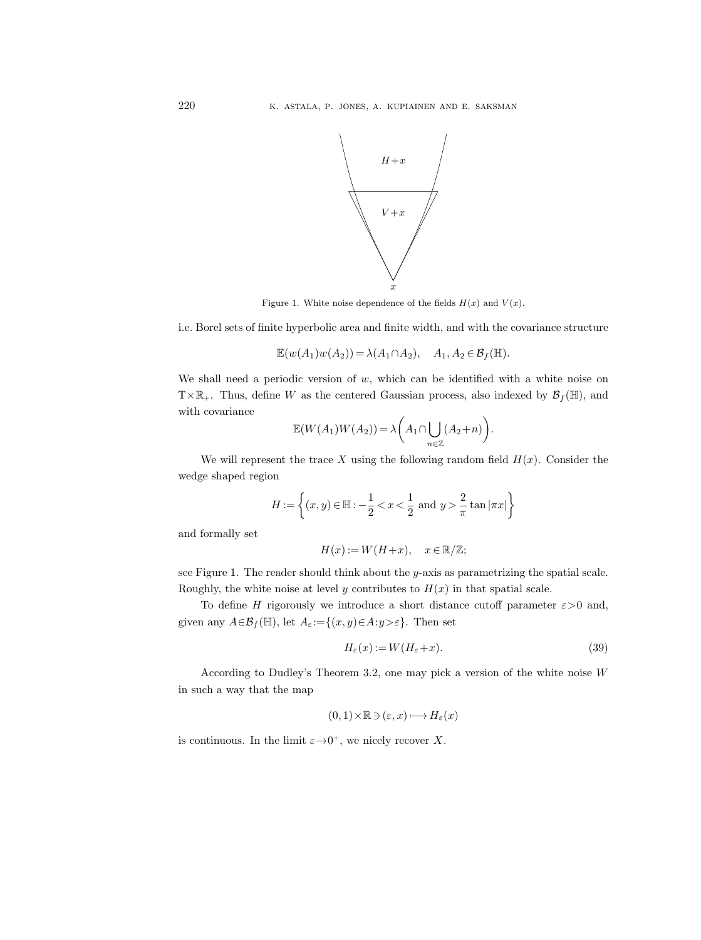

Figure 1. White noise dependence of the fields  $H(x)$  and  $V(x)$ .

i.e. Borel sets of finite hyperbolic area and finite width, and with the covariance structure

$$
\mathbb{E}(w(A_1)w(A_2)) = \lambda(A_1 \cap A_2), \quad A_1, A_2 \in \mathcal{B}_f(\mathbb{H}).
$$

We shall need a periodic version of  $w$ , which can be identified with a white noise on  $T\times\mathbb{R}_+$ . Thus, define W as the centered Gaussian process, also indexed by  $\mathcal{B}_f(\mathbb{H})$ , and with covariance

$$
\mathbb{E}(W(A_1)W(A_2)) = \lambda \left(A_1 \cap \bigcup_{n \in \mathbb{Z}} (A_2 + n)\right)
$$

We will represent the trace X using the following random field  $H(x)$ . Consider the wedge shaped region

$$
H:=\left\{(x,y)\in \mathbb{H}:-\frac{1}{2}\frac{2}{\pi}\tan|\pi x|\right\}
$$

and formally set

$$
H(x) := W(H+x), \quad x \in \mathbb{R}/\mathbb{Z};
$$

see Figure 1. The reader should think about the  $y$ -axis as parametrizing the spatial scale. Roughly, the white noise at level y contributes to  $H(x)$  in that spatial scale.

To define H rigorously we introduce a short distance cutoff parameter  $\varepsilon > 0$  and, given any  $A \in \mathcal{B}_f(\mathbb{H})$ , let  $A_\varepsilon := \{(x, y) \in A : y > \varepsilon\}$ . Then set

$$
H_{\varepsilon}(x) := W(H_{\varepsilon} + x). \tag{39}
$$

.

According to Dudley's Theorem 3.2, one may pick a version of the white noise W in such a way that the map

$$
(0,1)\!\times\!\mathbb{R}\!\ni\!(\varepsilon,x)\!\longmapsto\!H_\varepsilon(x)
$$

is continuous. In the limit  $\varepsilon \rightarrow 0^+$ , we nicely recover X.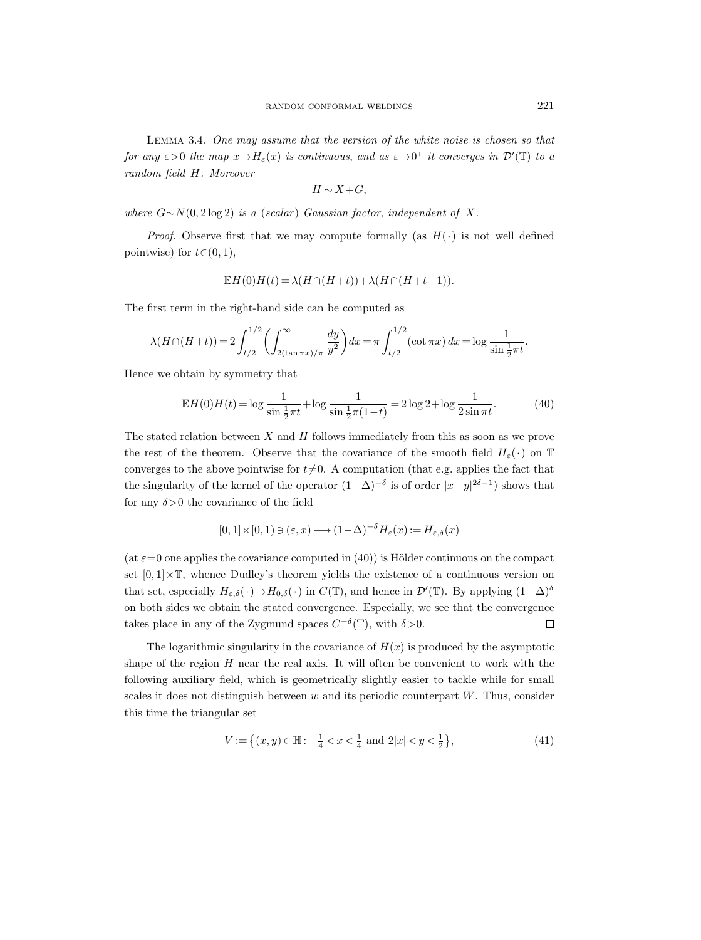Lemma 3.4. One may assume that the version of the white noise is chosen so that for any  $\varepsilon > 0$  the map  $x \mapsto H_{\varepsilon}(x)$  is continuous, and as  $\varepsilon \to 0^+$  it converges in  $\mathcal{D}'(\mathbb{T})$  to a random field H. Moreover

$$
H \sim X + G,
$$

where  $G \sim N(0, 2 \log 2)$  is a (scalar) Gaussian factor, independent of X.

*Proof.* Observe first that we may compute formally (as  $H(\cdot)$  is not well defined pointwise) for  $t \in (0, 1)$ ,

$$
\mathbb{E}H(0)H(t) = \lambda(H \cap (H+t)) + \lambda(H \cap (H+t-1)).
$$

The first term in the right-hand side can be computed as

$$
\lambda(H \cap (H+t)) = 2 \int_{t/2}^{1/2} \left( \int_{2(\tan \pi x)/\pi}^{\infty} \frac{dy}{y^2} \right) dx = \pi \int_{t/2}^{1/2} (\cot \pi x) dx = \log \frac{1}{\sin \frac{1}{2} \pi t}.
$$

Hence we obtain by symmetry that

$$
\mathbb{E}H(0)H(t) = \log \frac{1}{\sin \frac{1}{2}\pi t} + \log \frac{1}{\sin \frac{1}{2}\pi(1-t)} = 2\log 2 + \log \frac{1}{2\sin \pi t}.
$$
 (40)

The stated relation between  $X$  and  $H$  follows immediately from this as soon as we prove the rest of the theorem. Observe that the covariance of the smooth field  $H_{\varepsilon}(\cdot)$  on T converges to the above pointwise for  $t\neq0$ . A computation (that e.g. applies the fact that the singularity of the kernel of the operator  $(1-\Delta)^{-\delta}$  is of order  $|x-y|^{2\delta-1}$ ) shows that for any  $\delta$  > 0 the covariance of the field

$$
[0,1] \times [0,1) \ni (\varepsilon, x) \longmapsto (1-\Delta)^{-\delta} H_{\varepsilon}(x) := H_{\varepsilon,\delta}(x)
$$

(at  $\varepsilon=0$  one applies the covariance computed in (40)) is Hölder continuous on the compact set  $[0, 1] \times \mathbb{T}$ , whence Dudley's theorem yields the existence of a continuous version on that set, especially  $H_{\varepsilon,\delta}(\cdot) \to H_{0,\delta}(\cdot)$  in  $C(\mathbb{T})$ , and hence in  $\mathcal{D}'(\mathbb{T})$ . By applying  $(1-\Delta)^{\delta}$ on both sides we obtain the stated convergence. Especially, we see that the convergence takes place in any of the Zygmund spaces  $C^{-\delta}(\mathbb{T})$ , with  $\delta > 0$ .  $\Box$ 

The logarithmic singularity in the covariance of  $H(x)$  is produced by the asymptotic shape of the region  $H$  near the real axis. It will often be convenient to work with the following auxiliary field, which is geometrically slightly easier to tackle while for small scales it does not distinguish between  $w$  and its periodic counterpart  $W$ . Thus, consider this time the triangular set

$$
V := \left\{ (x, y) \in \mathbb{H} : -\frac{1}{4} < x < \frac{1}{4} \text{ and } 2|x| < y < \frac{1}{2} \right\},\tag{41}
$$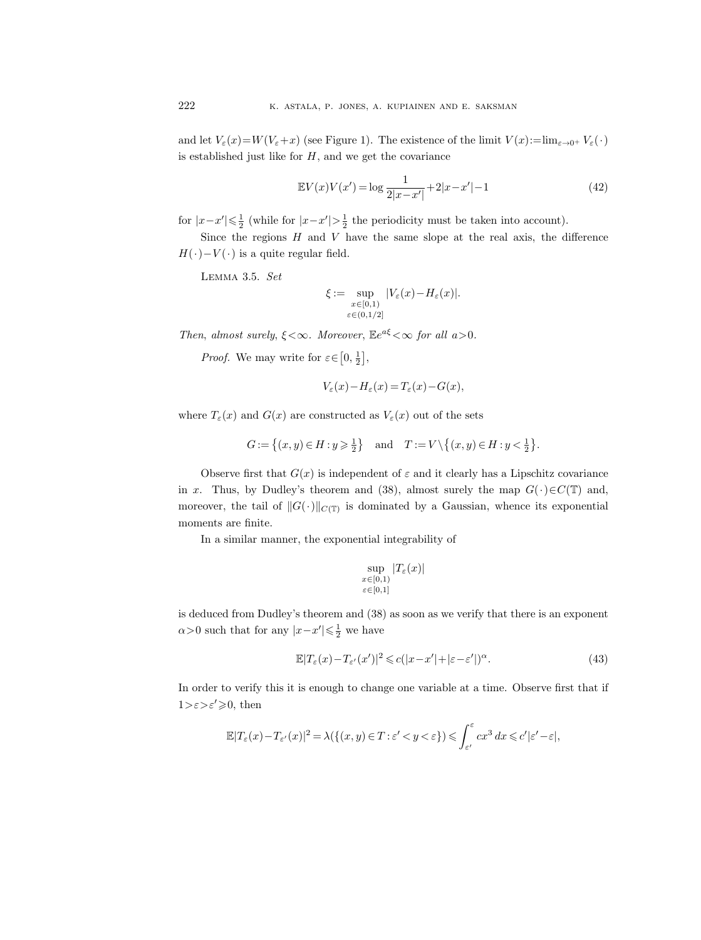and let  $V_{\varepsilon}(x)=W(V_{\varepsilon}+x)$  (see Figure 1). The existence of the limit  $V(x):=\lim_{\varepsilon\to 0^+} V_{\varepsilon}(\cdot)$ is established just like for  $H$ , and we get the covariance

$$
\mathbb{E}V(x)V(x') = \log \frac{1}{2|x-x'|} + 2|x-x'| - 1
$$
\n(42)

for  $|x-x'| \leq \frac{1}{2}$  (while for  $|x-x'| > \frac{1}{2}$  the periodicity must be taken into account).

Since the regions  $H$  and  $V$  have the same slope at the real axis, the difference  $H(\cdot)-V(\cdot)$  is a quite regular field.

Lemma 3.5. Set

$$
\xi:=\sup_{\substack{x\in[0,1)\\ \varepsilon\in(0,1/2]}}|V_{\varepsilon}(x)-H_{\varepsilon}(x)|.
$$

Then, almost surely,  $\xi < \infty$ . Moreover,  $\mathbb{E}e^{a\xi} < \infty$  for all  $a > 0$ .

*Proof.* We may write for  $\varepsilon \in [0, \frac{1}{2}],$ 

$$
V_{\varepsilon}(x) - H_{\varepsilon}(x) = T_{\varepsilon}(x) - G(x),
$$

where  $T_{\varepsilon}(x)$  and  $G(x)$  are constructed as  $V_{\varepsilon}(x)$  out of the sets

$$
G\mathop{{:}{=}} \left\{(x,y)\,{\in}\, H\,{:}\, y\,{\geqslant}\, \tfrac{1}{2}\right\}\quad\text{and}\quad T\mathop{{:}{=}} V\,\backslash\,\big\{(x,y)\,{\in}\, H\,{:}\, y\,{<}\, \tfrac{1}{2}\big\}.
$$

Observe first that  $G(x)$  is independent of  $\varepsilon$  and it clearly has a Lipschitz covariance in x. Thus, by Dudley's theorem and (38), almost surely the map  $G(\cdot) \in C(\mathbb{T})$  and, moreover, the tail of  $||G(\cdot)||_{C(\mathbb{T})}$  is dominated by a Gaussian, whence its exponential moments are finite.

In a similar manner, the exponential integrability of

$$
\sup_{\substack{x \in [0,1) \\ \varepsilon \in [0,1]}} |T_{\varepsilon}(x)|
$$

is deduced from Dudley's theorem and (38) as soon as we verify that there is an exponent  $\alpha$ >0 such that for any  $|x-x'| \leq \frac{1}{2}$  we have

$$
\mathbb{E}|T_{\varepsilon}(x) - T_{\varepsilon'}(x')|^2 \leqslant c(|x - x'| + |\varepsilon - \varepsilon'|)^{\alpha}.
$$
\n(43)

In order to verify this it is enough to change one variable at a time. Observe first that if  $1>\varepsilon>\varepsilon'\geqslant0$ , then

$$
\mathbb{E} |T_{\varepsilon}(x) - T_{\varepsilon'}(x)|^2 = \lambda(\{(x,y) \in T: \varepsilon' < y < \varepsilon\}) \leqslant \int_{\varepsilon'}^{\varepsilon} cx^3 \, dx \leqslant c' |\varepsilon' - \varepsilon|,
$$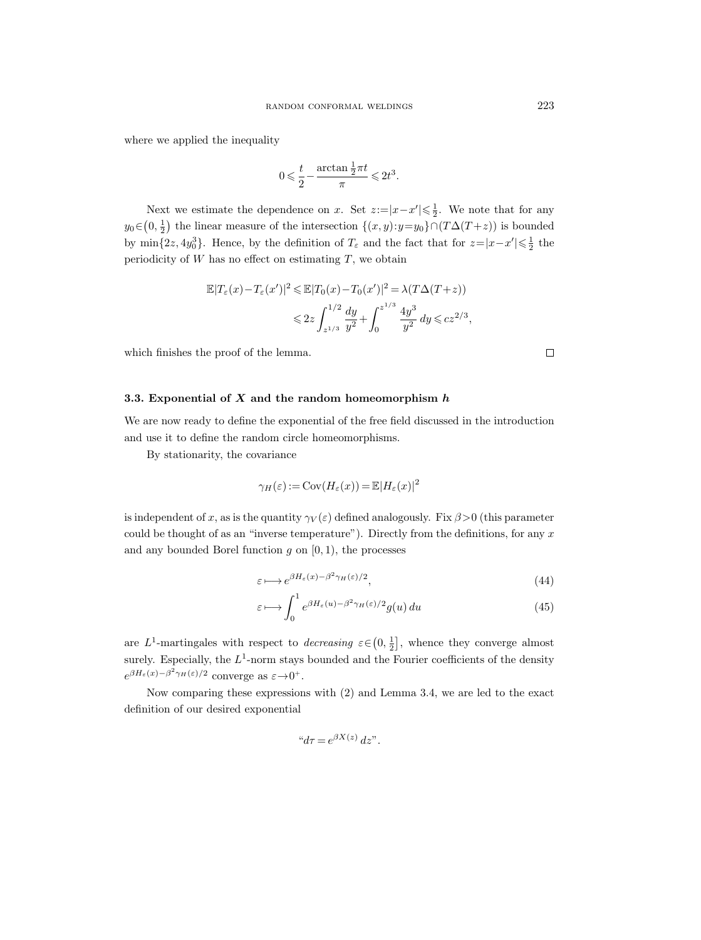where we applied the inequality

$$
0 \leqslant \frac{t}{2} - \frac{\arctan\frac{1}{2}\pi t}{\pi} \leqslant 2t^3.
$$

Next we estimate the dependence on x. Set  $z:=|x-x'|\leq \frac{1}{2}$ . We note that for any y<sub>0</sub>∈(0, $\frac{1}{2}$ ) the linear measure of the intersection  $\{(x, y): y=y_0\} \cap (T\Delta(T+z))$  is bounded by  $\min\{2z, 4y_0^3\}$ . Hence, by the definition of  $T_\varepsilon$  and the fact that for  $z=|x-x'|\leqslant \frac{1}{2}$  the periodicity of  $W$  has no effect on estimating  $T$ , we obtain

$$
\mathbb{E}|T_{\varepsilon}(x) - T_{\varepsilon}(x')|^2 \le \mathbb{E}|T_0(x) - T_0(x')|^2 = \lambda(T\Delta(T+z))
$$
  

$$
\le 2z \int_{z^{1/3}}^{1/2} \frac{dy}{y^2} + \int_0^{z^{1/3}} \frac{4y^3}{y^2} dy \le cz^{2/3},
$$

which finishes the proof of the lemma.

# 3.3. Exponential of  $X$  and the random homeomorphism  $h$

We are now ready to define the exponential of the free field discussed in the introduction and use it to define the random circle homeomorphisms.

By stationarity, the covariance

$$
\gamma_H(\varepsilon) := \text{Cov}(H_{\varepsilon}(x)) = \mathbb{E}|H_{\varepsilon}(x)|^2
$$

is independent of x, as is the quantity  $\gamma_V(\varepsilon)$  defined analogously. Fix  $\beta > 0$  (this parameter could be thought of as an "inverse temperature"). Directly from the definitions, for any  $x$ and any bounded Borel function  $g$  on  $[0, 1)$ , the processes

$$
\varepsilon \longmapsto e^{\beta H_{\varepsilon}(x) - \beta^2 \gamma_H(\varepsilon)/2},\tag{44}
$$

$$
\varepsilon \longmapsto \int_0^1 e^{\beta H_\varepsilon(u) - \beta^2 \gamma_H(\varepsilon)/2} g(u) \, du \tag{45}
$$

are  $L^1$ -martingales with respect to *decreasing*  $\varepsilon \in (0, \frac{1}{2}]$ , whence they converge almost surely. Especially, the  $L^1$ -norm stays bounded and the Fourier coefficients of the density  $e^{\beta H_{\varepsilon}(x) - \beta^2 \gamma_H(\varepsilon)/2}$  converge as  $\varepsilon \to 0^+$ .

Now comparing these expressions with (2) and Lemma 3.4, we are led to the exact definition of our desired exponential

$$
"d\tau = e^{\beta X(z)} dz".
$$

 $\Box$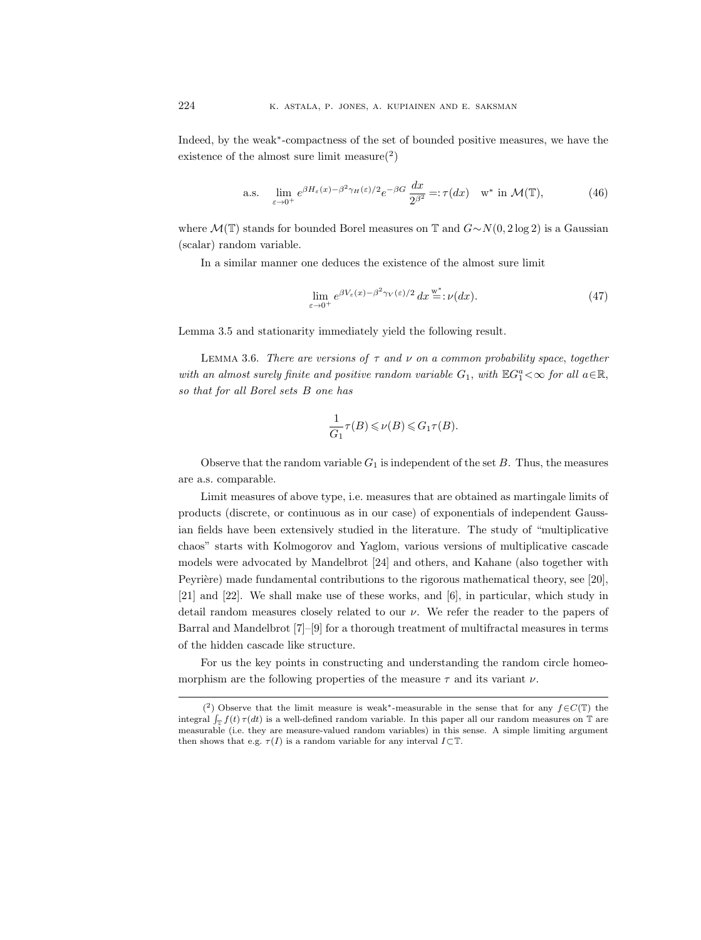Indeed, by the weak<sup>∗</sup> -compactness of the set of bounded positive measures, we have the existence of the almost sure limit measure $(2)$ 

a.s. 
$$
\lim_{\varepsilon \to 0^+} e^{\beta H_{\varepsilon}(x) - \beta^2 \gamma_H(\varepsilon)/2} e^{-\beta G} \frac{dx}{2^{\beta^2}} =: \tau(dx) \quad \text{w* in } \mathcal{M}(\mathbb{T}), \tag{46}
$$

where  $\mathcal{M}(\mathbb{T})$  stands for bounded Borel measures on T and  $G \sim N(0, 2 \log 2)$  is a Gaussian (scalar) random variable.

In a similar manner one deduces the existence of the almost sure limit

$$
\lim_{\varepsilon \to 0^+} e^{\beta V_{\varepsilon}(x) - \beta^2 \gamma_V(\varepsilon)/2} dx \stackrel{\text{w}^*}{=}:\nu(dx). \tag{47}
$$

Lemma 3.5 and stationarity immediately yield the following result.

LEMMA 3.6. There are versions of  $\tau$  and  $\nu$  on a common probability space, together with an almost surely finite and positive random variable  $G_1$ , with  $\mathbb{E}G_1^a<\infty$  for all  $a\in\mathbb{R}$ , so that for all Borel sets B one has

$$
\frac{1}{G_1}\tau(B)\leqslant\nu(B)\leqslant G_1\tau(B).
$$

Observe that the random variable  $G_1$  is independent of the set  $B$ . Thus, the measures are a.s. comparable.

Limit measures of above type, i.e. measures that are obtained as martingale limits of products (discrete, or continuous as in our case) of exponentials of independent Gaussian fields have been extensively studied in the literature. The study of "multiplicative chaos" starts with Kolmogorov and Yaglom, various versions of multiplicative cascade models were advocated by Mandelbrot [24] and others, and Kahane (also together with Peyrière) made fundamental contributions to the rigorous mathematical theory, see [20], [21] and [22]. We shall make use of these works, and [6], in particular, which study in detail random measures closely related to our  $\nu$ . We refer the reader to the papers of Barral and Mandelbrot [7]–[9] for a thorough treatment of multifractal measures in terms of the hidden cascade like structure.

For us the key points in constructing and understanding the random circle homeomorphism are the following properties of the measure  $\tau$  and its variant  $\nu$ .

<sup>(&</sup>lt;sup>2</sup>) Observe that the limit measure is weak<sup>\*</sup>-measurable in the sense that for any  $f \in C(\mathbb{T})$  the integral  $\int_{\mathbb{T}} f(t) \tau(dt)$  is a well-defined random variable. In this paper all our random measures on T are measurable (i.e. they are measure-valued random variables) in this sense. A simple limiting argument then shows that e.g.  $\tau(I)$  is a random variable for any interval  $I\subset\mathbb{T}$ .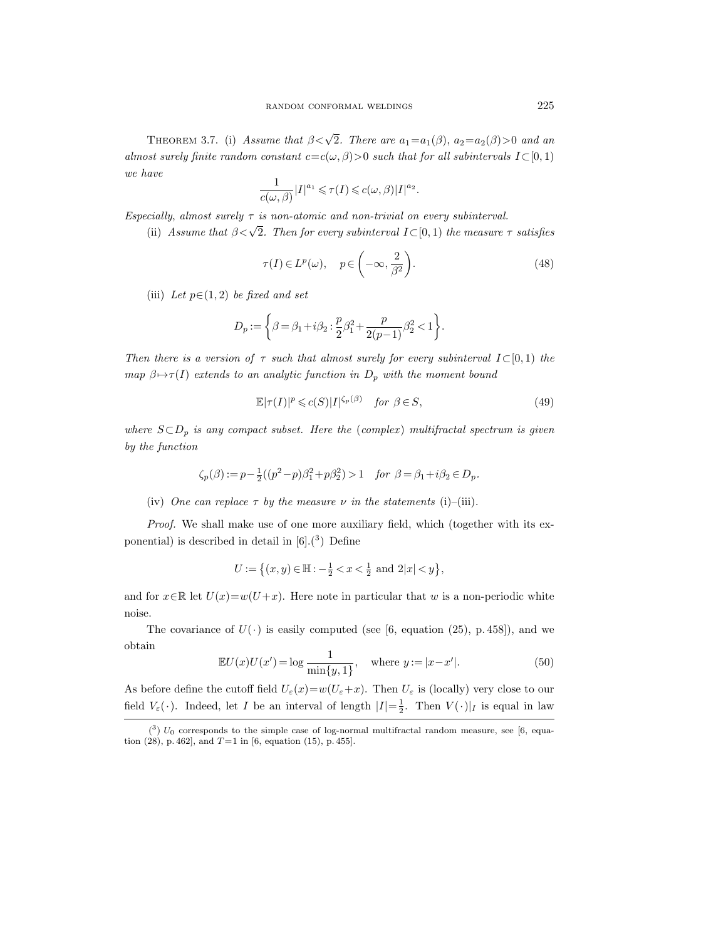THEOREM 3.7. (i) Assume that  $\beta < \sqrt{2}$ . There are  $a_1 = a_1(\beta)$ ,  $a_2 = a_2(\beta) > 0$  and an almost surely finite random constant  $c=c(\omega, \beta)>0$  such that for all subintervals  $I\subset [0,1)$ we have

$$
\frac{1}{c(\omega,\beta)}|I|^{a_1}\leqslant \tau(I)\leqslant c(\omega,\beta)|I|^{a_2}.
$$

Especially, almost surely  $\tau$  is non-atomic and non-trivial on every subinterval.

(ii) Assume that  $\beta < \sqrt{2}$ . Then for every subinterval  $I \subset [0, 1)$  the measure  $\tau$  satisfies

$$
\tau(I) \in L^p(\omega), \quad p \in \left(-\infty, \frac{2}{\beta^2}\right). \tag{48}
$$

(iii) Let  $p \in (1, 2)$  be fixed and set

$$
D_p:=\bigg\{\beta=\beta_1+i\beta_2:\frac{p}{2}\beta_1^2+\frac{p}{2(p-1)}\beta_2^2<1\bigg\}.
$$

Then there is a version of  $\tau$  such that almost surely for every subinterval  $I\subset [0,1)$  the map  $\beta \mapsto \tau(I)$  extends to an analytic function in  $D_p$  with the moment bound

$$
\mathbb{E}|\tau(I)|^p \leqslant c(S)|I|^{\zeta_p(\beta)} \quad \text{for } \beta \in S,\tag{49}
$$

where  $S \subset D_p$  is any compact subset. Here the (complex) multifractal spectrum is given by the function

$$
\zeta_p(\beta) := p - \frac{1}{2}((p^2 - p)\beta_1^2 + p\beta_2^2) > 1 \quad \text{for } \beta = \beta_1 + i\beta_2 \in D_p.
$$

(iv) One can replace  $\tau$  by the measure  $\nu$  in the statements (i)–(iii).

Proof. We shall make use of one more auxiliary field, which (together with its exponential) is described in detail in  $[6] \cdot (3)$  Define

$$
U:=\left\{(x,y)\in \mathbb{H}:-\tfrac{1}{2}
$$

and for  $x \in \mathbb{R}$  let  $U(x) = w(U + x)$ . Here note in particular that w is a non-periodic white noise.

The covariance of  $U(\cdot)$  is easily computed (see [6, equation (25), p. 458]), and we obtain

$$
\mathbb{E}U(x)U(x') = \log \frac{1}{\min\{y, 1\}}, \quad \text{where } y := |x - x'|.
$$
 (50)

As before define the cutoff field  $U_{\varepsilon}(x)=w(U_{\varepsilon}+x)$ . Then  $U_{\varepsilon}$  is (locally) very close to our field  $V_{\varepsilon}(\cdot)$ . Indeed, let I be an interval of length  $|I| = \frac{1}{2}$ . Then  $V(\cdot)|_I$  is equal in law

 $(3)$   $U_0$  corresponds to the simple case of log-normal multifractal random measure, see [6, equation (28), p. 462], and  $T=1$  in [6, equation (15), p. 455].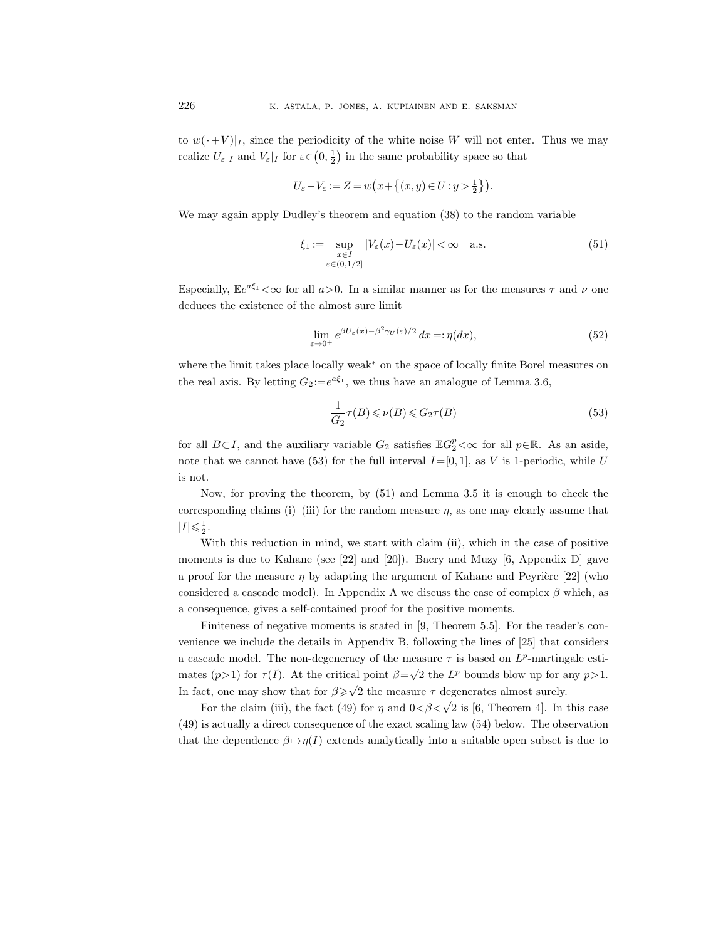to  $w(\cdot+V)|_I$ , since the periodicity of the white noise W will not enter. Thus we may realize  $U_{\varepsilon}|_I$  and  $V_{\varepsilon}|_I$  for  $\varepsilon \in (0, \frac{1}{2})$  in the same probability space so that

$$
U_{\varepsilon}-V_{\varepsilon}:=Z=w\big(x+\big\{(x,y)\in U:y>\frac{1}{2}\big\}\big).
$$

We may again apply Dudley's theorem and equation (38) to the random variable

$$
\xi_1 := \sup_{\substack{x \in I \\ \varepsilon \in (0, 1/2]}} |V_{\varepsilon}(x) - U_{\varepsilon}(x)| < \infty \quad \text{a.s.} \tag{51}
$$

Especially,  $\mathbb{E}e^{a\xi_1} < \infty$  for all  $a > 0$ . In a similar manner as for the measures  $\tau$  and  $\nu$  one deduces the existence of the almost sure limit

$$
\lim_{\varepsilon \to 0^+} e^{\beta U_{\varepsilon}(x) - \beta^2 \gamma_U(\varepsilon)/2} dx =: \eta(dx),
$$
\n(52)

where the limit takes place locally weak<sup>∗</sup> on the space of locally finite Borel measures on the real axis. By letting  $G_2 = e^{a\xi_1}$ , we thus have an analogue of Lemma 3.6,

$$
\frac{1}{G_2}\tau(B) \leqslant \nu(B) \leqslant G_2\tau(B)
$$
\n<sup>(53)</sup>

for all  $B\subset I$ , and the auxiliary variable  $G_2$  satisfies  $\mathbb{E}G_2^p<\infty$  for all  $p\in\mathbb{R}$ . As an aside, note that we cannot have (53) for the full interval  $I=[0,1]$ , as V is 1-periodic, while U is not.

Now, for proving the theorem, by (51) and Lemma 3.5 it is enough to check the corresponding claims (i)–(iii) for the random measure  $\eta$ , as one may clearly assume that  $|I| \leqslant \frac{1}{2}$ .

With this reduction in mind, we start with claim (ii), which in the case of positive moments is due to Kahane (see [22] and [20]). Bacry and Muzy [6, Appendix D] gave a proof for the measure  $\eta$  by adapting the argument of Kahane and Peyrière [22] (who considered a cascade model). In Appendix A we discuss the case of complex  $\beta$  which, as a consequence, gives a self-contained proof for the positive moments.

Finiteness of negative moments is stated in [9, Theorem 5.5]. For the reader's convenience we include the details in Appendix B, following the lines of [25] that considers a cascade model. The non-degeneracy of the measure  $\tau$  is based on  $L^p$ -martingale estimates  $(p>1)$  for  $\tau(I)$ . At the critical point  $\beta =$ √  $\overline{2}$  the  $L^p$  bounds blow up for any  $p > 1$ . In fact, one may show that for  $\beta \geqslant \sqrt{\ }$ 2 the measure  $\tau$  degenerates almost surely.

For the claim (iii), the fact (49) for  $\eta$  and  $0 < \beta < \sqrt{2}$  is [6, Theorem 4]. In this case (49) is actually a direct consequence of the exact scaling law (54) below. The observation that the dependence  $\beta \mapsto \eta(I)$  extends analytically into a suitable open subset is due to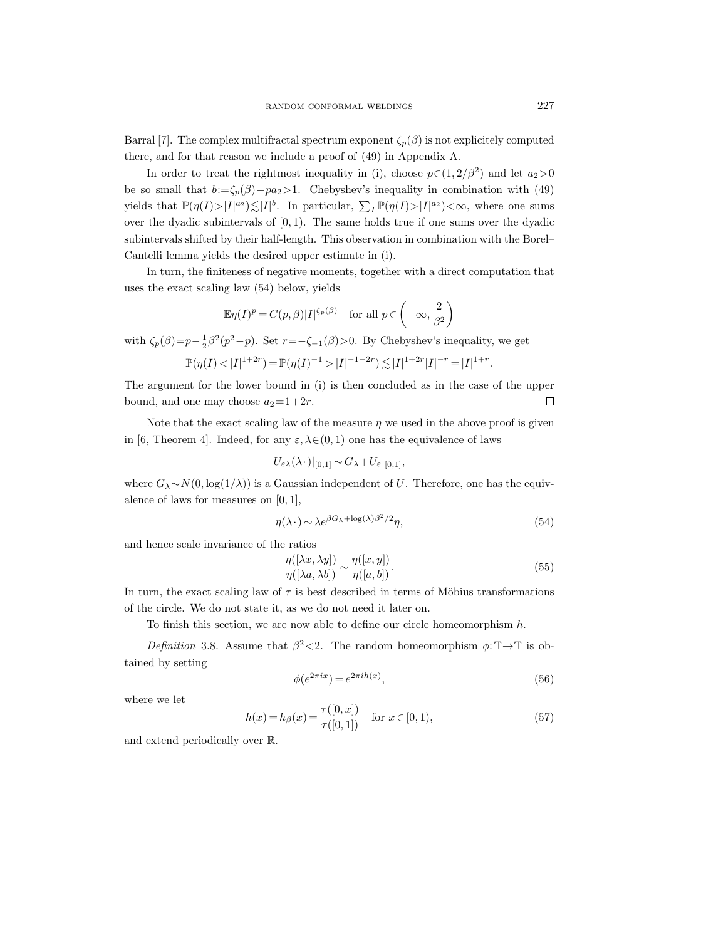Barral [7]. The complex multifractal spectrum exponent  $\zeta_p(\beta)$  is not explicitely computed there, and for that reason we include a proof of (49) in Appendix A.

In order to treat the rightmost inequality in (i), choose  $p \in (1, 2/\beta^2)$  and let  $a_2 > 0$ be so small that  $b:=\zeta_p(\beta)-pa_2>1$ . Chebyshev's inequality in combination with (49) yields that  $\mathbb{P}(\eta(I) > |I|^{a_2}) \lesssim |I|^b$ . In particular,  $\sum_I \mathbb{P}(\eta(I) > |I|^{a_2}) < \infty$ , where one sums over the dyadic subintervals of  $[0, 1)$ . The same holds true if one sums over the dyadic subintervals shifted by their half-length. This observation in combination with the Borel– Cantelli lemma yields the desired upper estimate in (i).

In turn, the finiteness of negative moments, together with a direct computation that uses the exact scaling law (54) below, yields

$$
\mathbb{E}\eta(I)^p = C(p,\beta)|I|^{\zeta_p(\beta)} \quad \text{for all } p \in \left(-\infty, \frac{2}{\beta^2}\right)
$$

with  $\zeta_p(\beta) = p - \frac{1}{2}\beta^2(p^2 - p)$ . Set  $r = -\zeta_{-1}(\beta) > 0$ . By Chebyshev's inequality, we get

$$
\mathbb{P}(\eta(I) < |I|^{1+2r}) = \mathbb{P}(\eta(I)^{-1} > |I|^{-1-2r}) \lesssim |I|^{1+2r} |I|^{-r} = |I|^{1+r}.
$$

The argument for the lower bound in (i) is then concluded as in the case of the upper bound, and one may choose  $a_2=1+2r$ .  $\overline{\phantom{a}}$ 

Note that the exact scaling law of the measure  $\eta$  we used in the above proof is given in [6, Theorem 4]. Indeed, for any  $\varepsilon, \lambda \in (0, 1)$  one has the equivalence of laws

$$
U_{\varepsilon\lambda}(\lambda\cdot)|_{[0,1]}\sim G_{\lambda}+U_{\varepsilon}|_{[0,1]},
$$

where  $G_{\lambda} \sim N(0, \log(1/\lambda))$  is a Gaussian independent of U. Therefore, one has the equivalence of laws for measures on  $[0, 1]$ ,

$$
\eta(\lambda \cdot) \sim \lambda e^{\beta G_{\lambda} + \log(\lambda)\beta^2/2} \eta,\tag{54}
$$

and hence scale invariance of the ratios

$$
\frac{\eta([\lambda x, \lambda y])}{\eta([\lambda a, \lambda b])} \sim \frac{\eta([x, y])}{\eta([a, b])}.\tag{55}
$$

In turn, the exact scaling law of  $\tau$  is best described in terms of Möbius transformations of the circle. We do not state it, as we do not need it later on.

To finish this section, we are now able to define our circle homeomorphism  $h$ .

Definition 3.8. Assume that  $\beta^2 < 2$ . The random homeomorphism  $\phi: \mathbb{T} \to \mathbb{T}$  is obtained by setting

$$
\phi(e^{2\pi ix}) = e^{2\pi i h(x)},\tag{56}
$$

where we let

$$
h(x) = h_{\beta}(x) = \frac{\tau([0, x])}{\tau([0, 1])} \quad \text{for } x \in [0, 1), \tag{57}
$$

and extend periodically over R.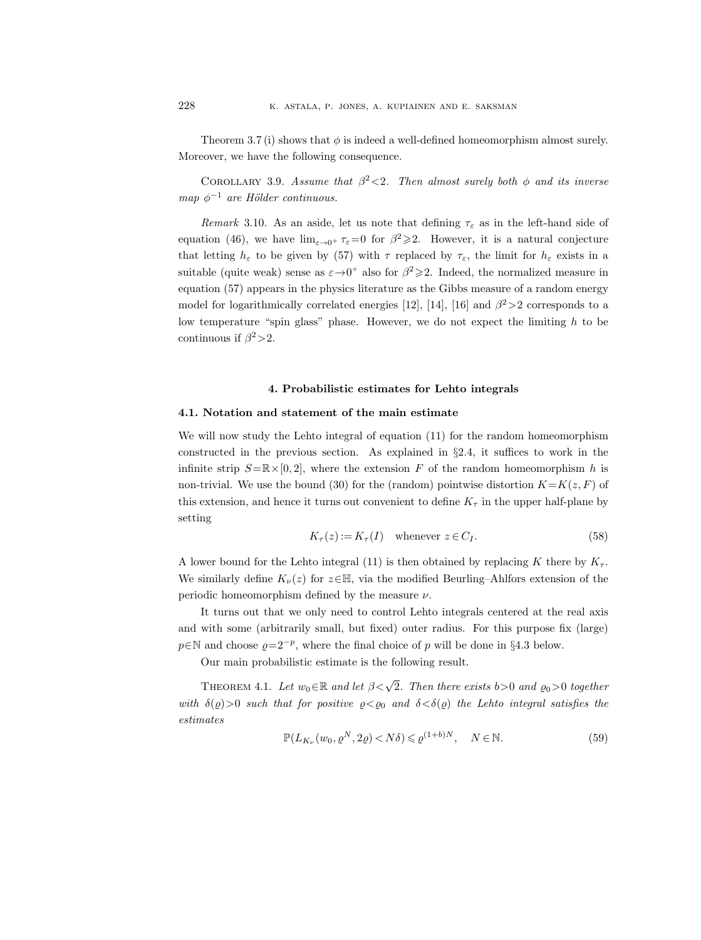Theorem 3.7 (i) shows that  $\phi$  is indeed a well-defined homeomorphism almost surely. Moreover, we have the following consequence.

COROLLARY 3.9. Assume that  $\beta^2 < 2$ . Then almost surely both  $\phi$  and its inverse map  $\phi^{-1}$  are Hölder continuous.

Remark 3.10. As an aside, let us note that defining  $\tau_{\varepsilon}$  as in the left-hand side of equation (46), we have  $\lim_{\varepsilon \to 0^+} \tau_{\varepsilon} = 0$  for  $\beta^2 \geq 2$ . However, it is a natural conjecture that letting  $h_{\varepsilon}$  to be given by (57) with  $\tau$  replaced by  $\tau_{\varepsilon}$ , the limit for  $h_{\varepsilon}$  exists in a suitable (quite weak) sense as  $\varepsilon \rightarrow 0^+$  also for  $\beta^2 \geq 2$ . Indeed, the normalized measure in equation (57) appears in the physics literature as the Gibbs measure of a random energy model for logarithmically correlated energies [12], [14], [16] and  $\beta^2 > 2$  corresponds to a low temperature "spin glass" phase. However, we do not expect the limiting  $h$  to be continuous if  $\beta^2$  > 2.

#### 4. Probabilistic estimates for Lehto integrals

#### 4.1. Notation and statement of the main estimate

We will now study the Lehto integral of equation (11) for the random homeomorphism constructed in the previous section. As explained in §2.4, it suffices to work in the infinite strip  $S=\mathbb{R}\times[0,2]$ , where the extension F of the random homeomorphism h is non-trivial. We use the bound (30) for the (random) pointwise distortion  $K=K(z, F)$  of this extension, and hence it turns out convenient to define  $K_{\tau}$  in the upper half-plane by setting

$$
K_{\tau}(z) := K_{\tau}(I) \quad \text{whenever } z \in C_I. \tag{58}
$$

A lower bound for the Lehto integral (11) is then obtained by replacing K there by  $K_{\tau}$ . We similarly define  $K_{\nu}(z)$  for  $z \in \mathbb{H}$ , via the modified Beurling–Ahlfors extension of the periodic homeomorphism defined by the measure  $\nu$ .

It turns out that we only need to control Lehto integrals centered at the real axis and with some (arbitrarily small, but fixed) outer radius. For this purpose fix (large)  $p \in \mathbb{N}$  and choose  $\varrho = 2^{-p}$ , where the final choice of p will be done in §4.3 below.

Our main probabilistic estimate is the following result.

THEOREM 4.1. Let  $w_0 \in \mathbb{R}$  and let  $\beta < \sqrt{2}$ . Then there exists  $b > 0$  and  $\varrho_0 > 0$  together with  $\delta(\varrho)>0$  such that for positive  $\varrho<\varrho_0$  and  $\delta<\delta(\varrho)$  the Lehto integral satisfies the estimates

$$
\mathbb{P}(L_{K_{\nu}}(w_0, \varrho^N, 2\varrho) < N\delta) \leqslant \varrho^{(1+b)N}, \quad N \in \mathbb{N}.\tag{59}
$$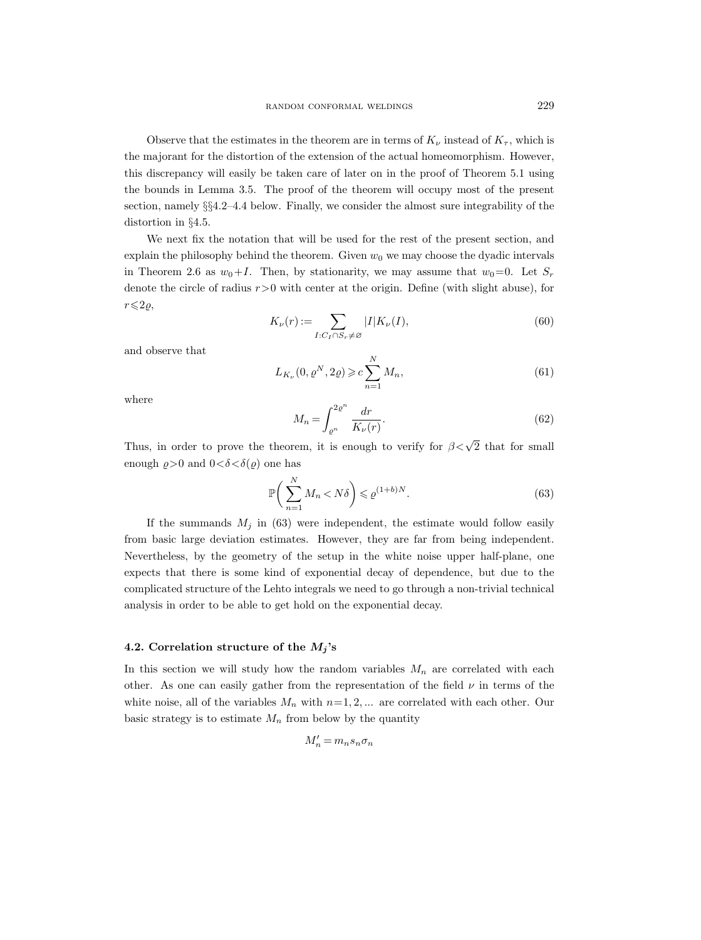Observe that the estimates in the theorem are in terms of  $K_{\nu}$  instead of  $K_{\tau}$ , which is the majorant for the distortion of the extension of the actual homeomorphism. However, this discrepancy will easily be taken care of later on in the proof of Theorem 5.1 using the bounds in Lemma 3.5. The proof of the theorem will occupy most of the present section, namely §§4.2–4.4 below. Finally, we consider the almost sure integrability of the distortion in §4.5.

We next fix the notation that will be used for the rest of the present section, and explain the philosophy behind the theorem. Given  $w_0$  we may choose the dyadic intervals in Theorem 2.6 as  $w_0+I$ . Then, by stationarity, we may assume that  $w_0=0$ . Let  $S_r$ denote the circle of radius  $r>0$  with center at the origin. Define (with slight abuse), for  $r\leqslant 2\varrho,$ 

$$
K_{\nu}(r) := \sum_{I:C_I \cap S_r \neq \varnothing} |I| K_{\nu}(I),\tag{60}
$$

and observe that

$$
L_{K_{\nu}}(0, \varrho^{N}, 2\varrho) \geqslant c \sum_{n=1}^{N} M_{n},
$$
\n(61)

where

$$
M_n = \int_{\varrho^n}^{2\varrho^n} \frac{dr}{K_\nu(r)}.\tag{62}
$$

Thus, in order to prove the theorem, it is enough to verify for  $\beta < \sqrt{2}$  that for small enough  $\rho > 0$  and  $0 < \delta < \delta(\rho)$  one has

$$
\mathbb{P}\bigg(\sum_{n=1}^{N} M_n < N\delta\bigg) \leqslant \varrho^{(1+b)N}.\tag{63}
$$

If the summands  $M_j$  in (63) were independent, the estimate would follow easily from basic large deviation estimates. However, they are far from being independent. Nevertheless, by the geometry of the setup in the white noise upper half-plane, one expects that there is some kind of exponential decay of dependence, but due to the complicated structure of the Lehto integrals we need to go through a non-trivial technical analysis in order to be able to get hold on the exponential decay.

# 4.2. Correlation structure of the  $M_j$ 's

In this section we will study how the random variables  $M_n$  are correlated with each other. As one can easily gather from the representation of the field  $\nu$  in terms of the white noise, all of the variables  $M_n$  with  $n=1, 2, ...$  are correlated with each other. Our basic strategy is to estimate  $M_n$  from below by the quantity

$$
M_n' = m_n s_n \sigma_n
$$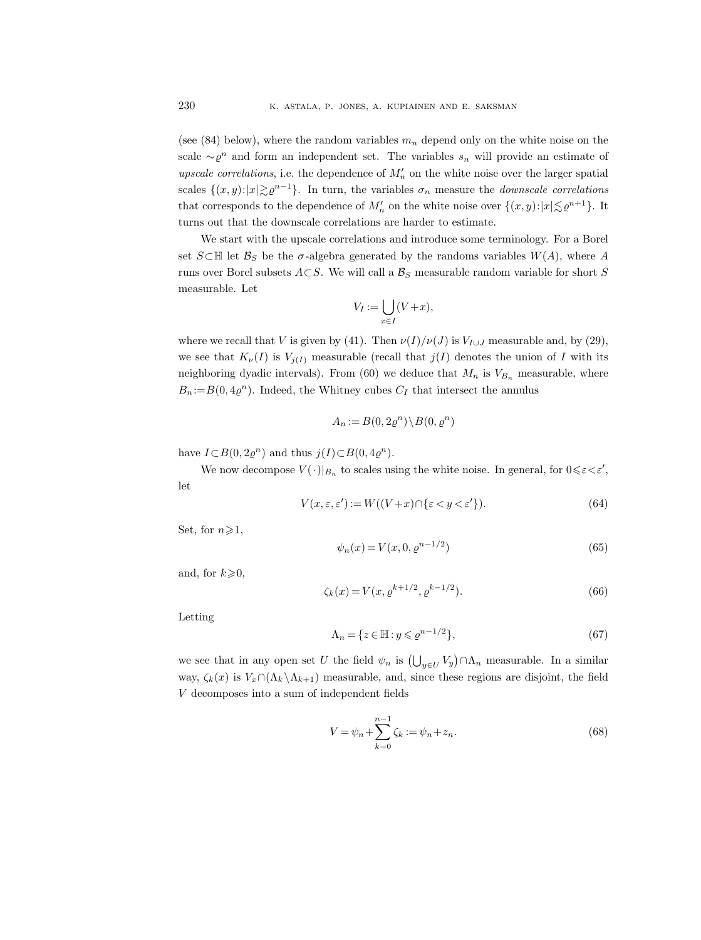(see (84) below), where the random variables  $m_n$  depend only on the white noise on the scale  $\sim \varrho^n$  and form an independent set. The variables  $s_n$  will provide an estimate of *upscale correlations*, i.e. the dependence of  $M'_n$  on the white noise over the larger spatial scales  $\{(x, y): |x| \geq e^{n-1}\}$ . In turn, the variables  $\sigma_n$  measure the *downscale correlations* that corresponds to the dependence of  $M'_n$  on the white noise over  $\{(x, y): |x| \lesssim \varrho^{n+1}\}.$  It turns out that the downscale correlations are harder to estimate.

We start with the upscale correlations and introduce some terminology. For a Borel set  $S \subset \mathbb{H}$  let  $\mathcal{B}_S$  be the  $\sigma$ -algebra generated by the randoms variables  $W(A)$ , where A runs over Borel subsets  $A\subset S$ . We will call a  $B_S$  measurable random variable for short S measurable. Let

$$
V_I := \bigcup_{x \in I} (V + x),
$$

where we recall that V is given by (41). Then  $\nu(I)/\nu(J)$  is  $V_{I\cup J}$  measurable and, by (29), we see that  $K_{\nu}(I)$  is  $V_{j(I)}$  measurable (recall that  $j(I)$  denotes the union of I with its neighboring dyadic intervals). From (60) we deduce that  $M_n$  is  $V_{B_n}$  measurable, where  $B_n := B(0, 4\varrho^n)$ . Indeed, the Whitney cubes  $C_I$  that intersect the annulus

$$
A_n:=B(0,2\varrho^n)\backslash B(0,\varrho^n)
$$

have  $I \subset B(0, 2\varrho^n)$  and thus  $j(I) \subset B(0, 4\varrho^n)$ .

We now decompose  $V(\cdot)|_{B_n}$  to scales using the white noise. In general, for  $0 \leq \varepsilon \leq \varepsilon'$ , let

$$
V(x, \varepsilon, \varepsilon') := W((V + x) \cap \{\varepsilon < y < \varepsilon'\}).\tag{64}
$$

Set, for  $n \geqslant 1$ ,

$$
\psi_n(x) = V(x, 0, \varrho^{n-1/2})
$$
\n(65)

and, for  $k\geqslant 0$ ,

$$
\zeta_k(x) = V(x, \varrho^{k+1/2}, \varrho^{k-1/2}).
$$
\n(66)

Letting

$$
\Lambda_n = \{ z \in \mathbb{H} : y \leqslant \varrho^{n-1/2} \},\tag{67}
$$

we see that in any open set U the field  $\psi_n$  is  $\left(\bigcup_{y\in U} V_y\right) \cap \Lambda_n$  measurable. In a similar way,  $\zeta_k(x)$  is  $V_x \cap (\Lambda_k \setminus \Lambda_{k+1})$  measurable, and, since these regions are disjoint, the field V decomposes into a sum of independent fields

$$
V = \psi_n + \sum_{k=0}^{n-1} \zeta_k := \psi_n + z_n.
$$
 (68)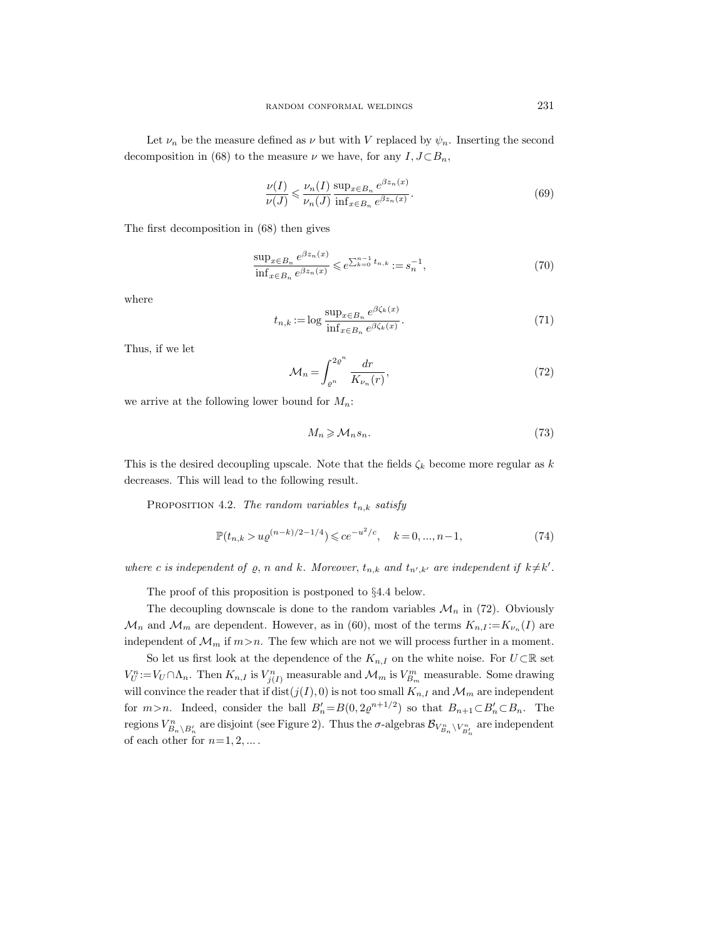Let  $\nu_n$  be the measure defined as  $\nu$  but with V replaced by  $\psi_n$ . Inserting the second decomposition in (68) to the measure  $\nu$  we have, for any  $I, J \subset B_n$ ,

$$
\frac{\nu(I)}{\nu(J)} \leqslant \frac{\nu_n(I)}{\nu_n(J)} \frac{\sup_{x \in B_n} e^{\beta z_n(x)}}{\inf_{x \in B_n} e^{\beta z_n(x)}}.
$$
\n
$$
(69)
$$

The first decomposition in (68) then gives

$$
\frac{\sup_{x \in B_n} e^{\beta z_n(x)}}{\inf_{x \in B_n} e^{\beta z_n(x)}} \leqslant e^{\sum_{k=0}^{n-1} t_{n,k}} := s_n^{-1},\tag{70}
$$

where

$$
t_{n,k} := \log \frac{\sup_{x \in B_n} e^{\beta \zeta_k(x)}}{\inf_{x \in B_n} e^{\beta \zeta_k(x)}}.
$$
\n
$$
(71)
$$

Thus, if we let

$$
\mathcal{M}_n = \int_{\varrho^n}^{2\varrho^n} \frac{dr}{K_{\nu_n}(r)},\tag{72}
$$

we arrive at the following lower bound for  $M_n$ :

$$
M_n \geqslant \mathcal{M}_n s_n. \tag{73}
$$

This is the desired decoupling upscale. Note that the fields  $\zeta_k$  become more regular as k decreases. This will lead to the following result.

PROPOSITION 4.2. The random variables  $t_{n,k}$  satisfy

$$
\mathbb{P}(t_{n,k} > u\varrho^{(n-k)/2 - 1/4}) \leqslant ce^{-u^2/c}, \quad k = 0, \dots, n-1,
$$
\n<sup>(74)</sup>

where c is independent of  $\varrho$ , n and k. Moreover,  $t_{n,k}$  and  $t_{n',k'}$  are independent if  $k \neq k'$ .

The proof of this proposition is postponed to §4.4 below.

The decoupling downscale is done to the random variables  $\mathcal{M}_n$  in (72). Obviously  $\mathcal{M}_n$  and  $\mathcal{M}_m$  are dependent. However, as in (60), most of the terms  $K_{n,I} := K_{\nu_n}(I)$  are independent of  $\mathcal{M}_m$  if  $m > n$ . The few which are not we will process further in a moment.

So let us first look at the dependence of the  $K_{n,I}$  on the white noise. For  $U\subset\mathbb{R}$  set  $V_U^n := V_U \cap \Lambda_n$ . Then  $K_{n,I}$  is  $V_{j(I)}^n$  measurable and  $\mathcal{M}_m$  is  $V_{B_m}^m$  measurable. Some drawing will convince the reader that if  $dist(j(I), 0)$  is not too small  $K_{n,I}$  and  $\mathcal{M}_m$  are independent for  $m>n$ . Indeed, consider the ball  $B'_n = B(0, 2\varrho^{n+1/2})$  so that  $B_{n+1} \subset B'_n \subset B_n$ . The regions  $V^n_{B_n\setminus B'_n}$  are disjoint (see Figure 2). Thus the  $\sigma$ -algebras  $\mathcal{B}_{V^n_{B_n}\setminus V^n_{B'_n}}$  are independent of each other for  $n=1, 2, ...$ .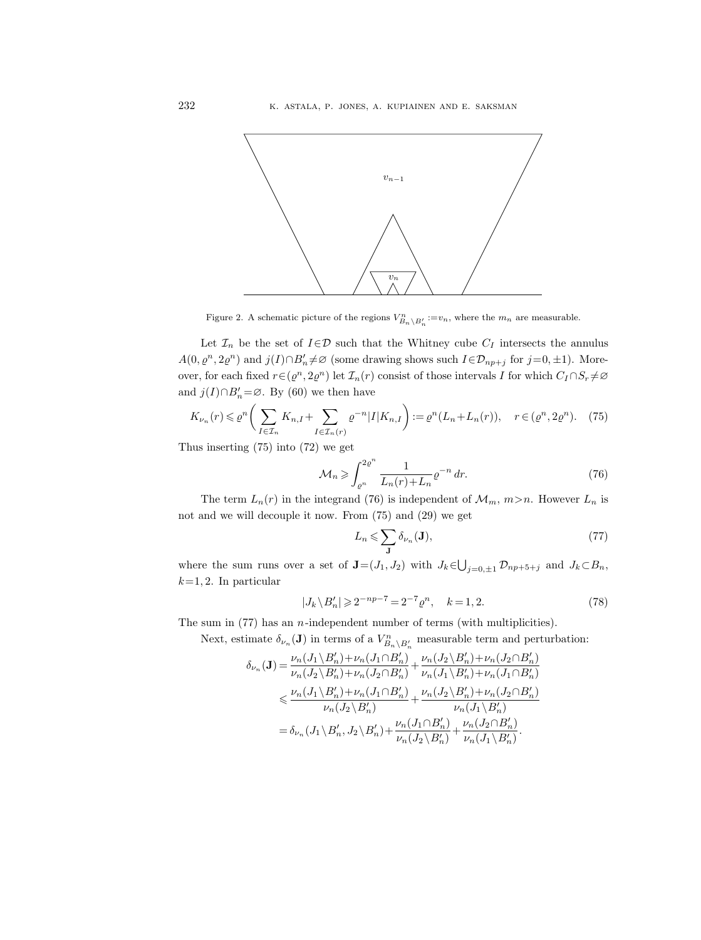

Figure 2. A schematic picture of the regions  $V_{B_n\setminus B'_n}^n := v_n$ , where the  $m_n$  are measurable.

Let  $\mathcal{I}_n$  be the set of  $I \in \mathcal{D}$  such that the Whitney cube  $C_I$  intersects the annulus  $A(0, \varrho^n, 2\varrho^n)$  and  $j(I)\cap B'_n\neq\varnothing$  (some drawing shows such  $I\in\mathcal{D}_{np+j}$  for  $j=0,\pm 1$ ). Moreover, for each fixed  $r \in (e^n, 2e^n)$  let  $\mathcal{I}_n(r)$  consist of those intervals I for which  $C_I \cap S_r \neq \emptyset$ and  $j(I) \cap B'_n = \emptyset$ . By (60) we then have

$$
K_{\nu_n}(r) \leq \varrho^n \bigg(\sum_{I \in \mathcal{I}_n} K_{n,I} + \sum_{I \in \mathcal{I}_n(r)} \varrho^{-n} |I| K_{n,I}\bigg) := \varrho^n (L_n + L_n(r)), \quad r \in (\varrho^n, 2\varrho^n). \tag{75}
$$

Thus inserting (75) into (72) we get

$$
\mathcal{M}_n \geqslant \int_{\varrho^n}^{2\varrho^n} \frac{1}{L_n(r) + L_n} \varrho^{-n} \, dr. \tag{76}
$$

The term  $L_n(r)$  in the integrand (76) is independent of  $\mathcal{M}_m$ ,  $m>n$ . However  $L_n$  is not and we will decouple it now. From (75) and (29) we get

$$
L_n \leqslant \sum_{\mathbf{J}} \delta_{\nu_n}(\mathbf{J}),\tag{77}
$$

where the sum runs over a set of  $\mathbf{J} = (J_1, J_2)$  with  $J_k \in \bigcup_{j=0,\pm 1} \mathcal{D}_{np+5+j}$  and  $J_k \subset B_n$ ,  $k=1, 2$ . In particular

$$
|J_k \backslash B'_n| \geqslant 2^{-np-7} = 2^{-7} \varrho^n, \quad k = 1, 2. \tag{78}
$$

The sum in  $(77)$  has an *n*-independent number of terms (with multiplicities).

Next, estimate  $\delta_{\nu_n}(\mathbf{J})$  in terms of a  $V_{B_n\setminus B'_n}^n$  measurable term and perturbation:

$$
\begin{aligned} \delta_{\nu_n}(\mathbf{J})=&\,\frac{\nu_n(J_1\backslash B_n')+\nu_n(J_1\cap B_n')}{\nu_n(J_2\backslash B_n')+\nu_n(J_2\cap B_n')}+\frac{\nu_n(J_2\backslash B_n')+\nu_n(J_2\cap B_n')}{\nu_n(J_1\backslash B_n')+\nu_n(J_1\cap B_n')}\\ &\leqslant \frac{\nu_n(J_1\backslash B_n')+\nu_n(J_1\cap B_n')}{\nu_n(J_2\backslash B_n')}+\frac{\nu_n(J_2\backslash B_n')+\nu_n(J_2\cap B_n')}{\nu_n(J_1\backslash B_n')}\\ &=\delta_{\nu_n}(J_1\backslash B_n', J_2\backslash B_n')+\frac{\nu_n(J_1\cap B_n')}{\nu_n(J_2\backslash B_n')}+\frac{\nu_n(J_2\cap B_n')}{\nu_n(J_1\backslash B_n')}.\end{aligned}
$$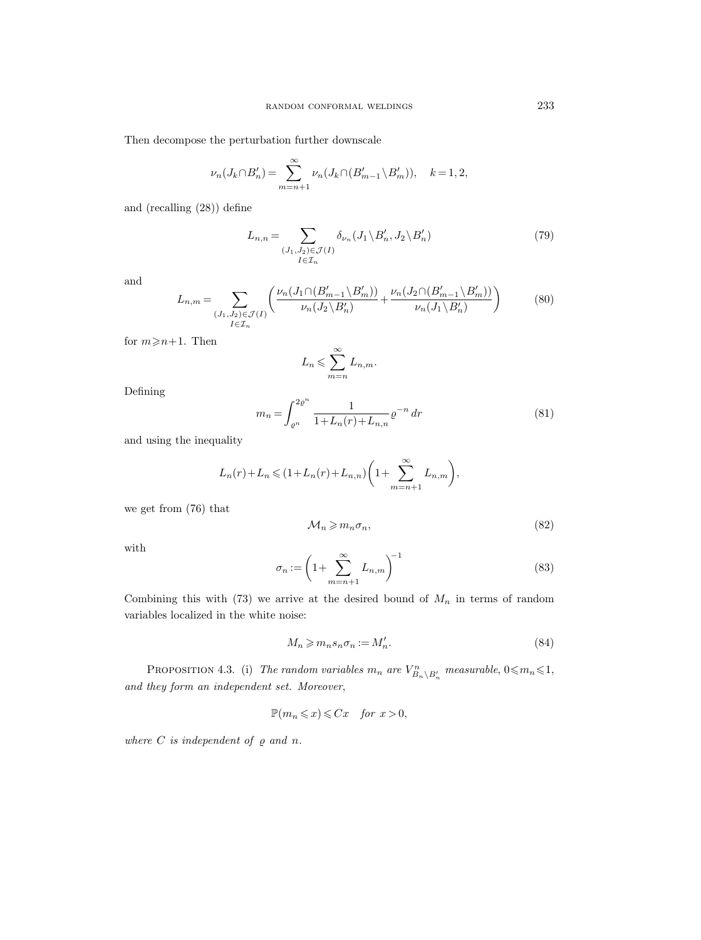Then decompose the perturbation further downscale

$$
\nu_n(J_k \cap B'_n) = \sum_{m=n+1}^{\infty} \nu_n(J_k \cap (B'_{m-1} \setminus B'_m)), \quad k = 1, 2,
$$

and (recalling (28)) define

$$
L_{n,n} = \sum_{\substack{(J_1, J_2) \in \mathcal{J}(I) \\ I \in \mathcal{I}_n}} \delta_{\nu_n}(J_1 \setminus B'_n, J_2 \setminus B'_n)
$$
(79)

and

$$
L_{n,m} = \sum_{\substack{(J_1, J_2) \in \mathcal{J}(I) \\ I \in \mathcal{I}_n}} \left( \frac{\nu_n(J_1 \cap (B'_{m-1} \setminus B'_m))}{\nu_n(J_2 \setminus B'_n)} + \frac{\nu_n(J_2 \cap (B'_{m-1} \setminus B'_m))}{\nu_n(J_1 \setminus B'_n)} \right) \tag{80}
$$

for  $m \geq n+1$ . Then

$$
L_n \leqslant \sum_{m=n}^{\infty} L_{n,m}.
$$

Defining

$$
m_n = \int_{\varrho^n}^{2\varrho^n} \frac{1}{1 + L_n(r) + L_{n,n}} \varrho^{-n} \, dr \tag{81}
$$

and using the inequality

$$
L_n(r)+L_n \leq (1+L_n(r)+L_{n,n})\left(1+\sum_{m=n+1}^{\infty} L_{n,m}\right),
$$

we get from (76) that

$$
\mathcal{M}_n \geqslant m_n \sigma_n,\tag{82}
$$

with

$$
\sigma_n := \left(1 + \sum_{m=n+1}^{\infty} L_{n,m}\right)^{-1} \tag{83}
$$

Combining this with  $(73)$  we arrive at the desired bound of  $M_n$  in terms of random variables localized in the white noise:

$$
M_n \geqslant m_n s_n \sigma_n := M'_n. \tag{84}
$$

PROPOSITION 4.3. (i) The random variables  $m_n$  are  $V^n_{B_n\setminus B'_n}$  measurable,  $0 \le m_n \le 1$ , and they form an independent set. Moreover,

$$
\mathbb{P}(m_n \leqslant x) \leqslant Cx \quad \text{for } x > 0,
$$

where  $C$  is independent of  $\varrho$  and  $n$ .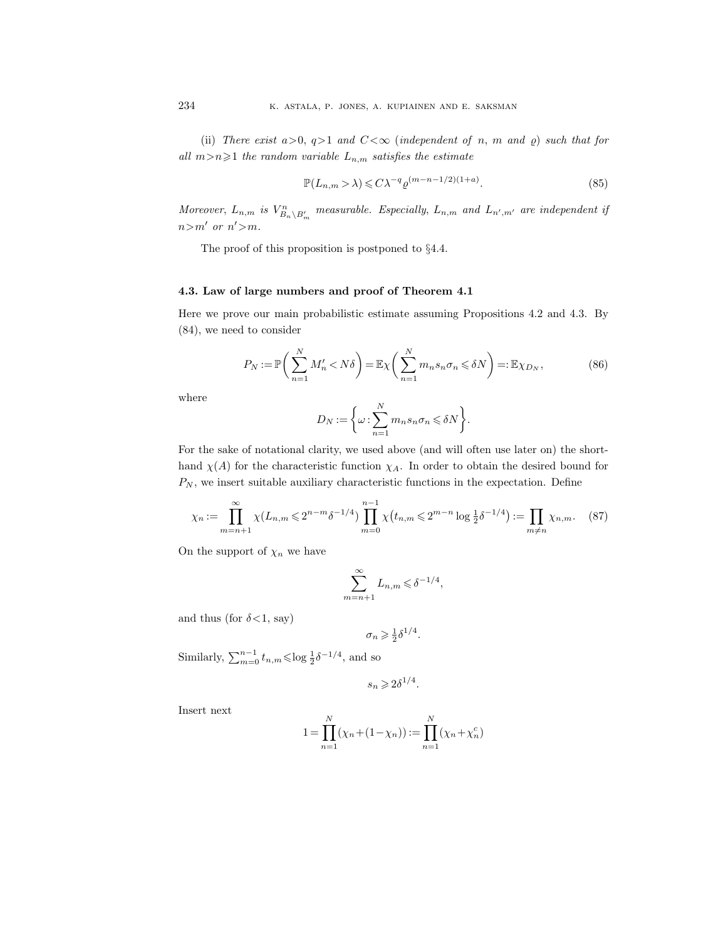(ii) There exist  $a>0$ ,  $q>1$  and  $C<\infty$  (independent of n, m and  $\varrho$ ) such that for all  $m>n\geqslant 1$  the random variable  $L_{n,m}$  satisfies the estimate

$$
\mathbb{P}(L_{n,m} > \lambda) \leq C\lambda^{-q} \varrho^{(m-n-1/2)(1+a)}.\tag{85}
$$

Moreover,  $L_{n,m}$  is  $V_{B_n\setminus B_m'}^n$  measurable. Especially,  $L_{n,m}$  and  $L_{n',m'}$  are independent if  $n>m'$  or  $n'$ >m.

The proof of this proposition is postponed to  $\S 4.4$ .

# 4.3. Law of large numbers and proof of Theorem 4.1

Here we prove our main probabilistic estimate assuming Propositions 4.2 and 4.3. By (84), we need to consider

$$
P_N := \mathbb{P}\bigg(\sum_{n=1}^N M'_n < N\delta\bigg) = \mathbb{E}\chi\bigg(\sum_{n=1}^N m_n s_n \sigma_n \leqslant \delta N\bigg) =: \mathbb{E}\chi_{D_N},\tag{86}
$$

where

$$
D_N := \bigg\{\omega : \sum_{n=1}^N m_n s_n \sigma_n \leqslant \delta N\bigg\}.
$$

For the sake of notational clarity, we used above (and will often use later on) the shorthand  $\chi(A)$  for the characteristic function  $\chi_A$ . In order to obtain the desired bound for  $P_N$ , we insert suitable auxiliary characteristic functions in the expectation. Define

$$
\chi_n := \prod_{m=n+1}^{\infty} \chi(L_{n,m} \leq 2^{n-m} \delta^{-1/4}) \prod_{m=0}^{n-1} \chi(t_{n,m} \leq 2^{m-n} \log \frac{1}{2} \delta^{-1/4}) := \prod_{m \neq n} \chi_{n,m}. \tag{87}
$$

On the support of  $\chi_n$  we have

$$
\sum_{m=n+1}^{\infty} L_{n,m} \leq \delta^{-1/4},
$$

and thus (for  $\delta$ <1, say)

$$
\sigma_n \geqslant \frac{1}{2} \delta^{1/4}.
$$

Similarly,  $\sum_{m=0}^{n-1} t_{n,m} \leqslant \log \frac{1}{2} \delta^{-1/4}$ , and so

$$
s_n \geqslant 2\delta^{1/4}.
$$

Insert next

$$
1 = \prod_{n=1}^{N} (\chi_n + (1 - \chi_n)) := \prod_{n=1}^{N} (\chi_n + \chi_n^c)
$$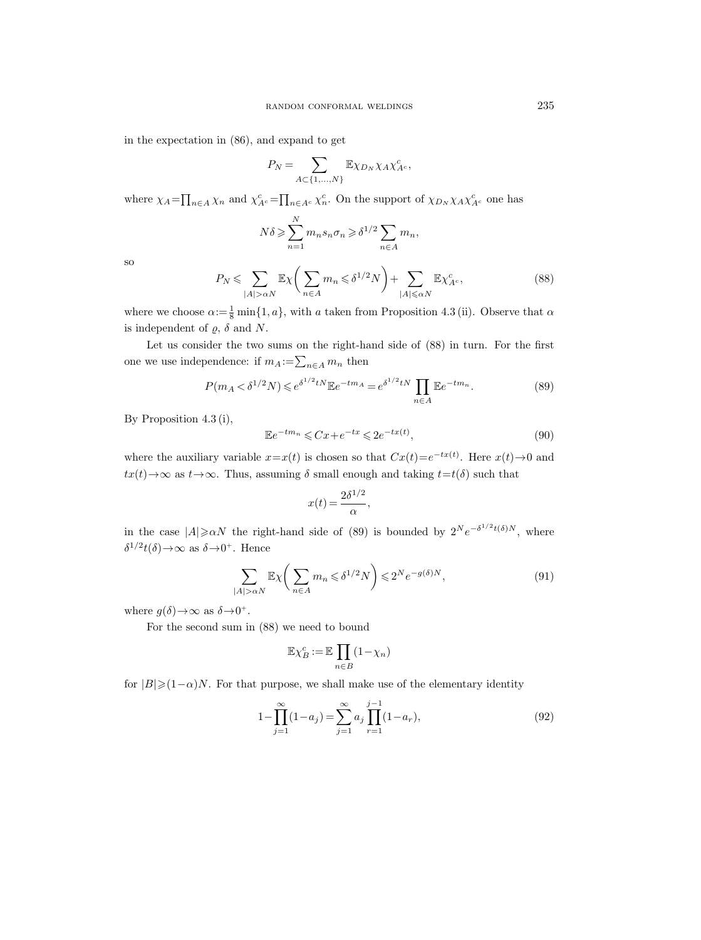in the expectation in (86), and expand to get

$$
P_N = \sum_{A \subset \{1,\dots,N\}} \mathbb{E}\chi_{D_N} \chi_A \chi^c_{A^c},
$$

where  $\chi_A = \prod_{n \in A} \chi_n$  and  $\chi_{A^c}^c = \prod_{n \in A^c} \chi_n^c$ . On the support of  $\chi_{D_N} \chi_A \chi_{A^c}^c$  one has

$$
N\delta \geqslant \sum_{n=1}^{N} m_n s_n \sigma_n \geqslant \delta^{1/2} \sum_{n \in A} m_n,
$$

so

$$
P_N \leqslant \sum_{|A| > \alpha N} \mathbb{E} \chi \bigg( \sum_{n \in A} m_n \leqslant \delta^{1/2} N \bigg) + \sum_{|A| \leqslant \alpha N} \mathbb{E} \chi^c_{A^c},\tag{88}
$$

where we choose  $\alpha := \frac{1}{8} \min\{1, a\}$ , with a taken from Proposition 4.3 (ii). Observe that  $\alpha$ is independent of  $\rho$ ,  $\delta$  and N.

Let us consider the two sums on the right-hand side of (88) in turn. For the first one we use independence: if  $m_A := \sum_{n \in A} m_n$  then

$$
P(m_A < \delta^{1/2} N) \le e^{\delta^{1/2} t N} \mathbb{E} e^{-tm_A} = e^{\delta^{1/2} t N} \prod_{n \in A} \mathbb{E} e^{-tm_n}.
$$
 (89)

By Proposition 4.3 (i),

$$
\mathbb{E}e^{-tm_n} \leqslant Cx + e^{-tx} \leqslant 2e^{-tx(t)},\tag{90}
$$

where the auxiliary variable  $x=x(t)$  is chosen so that  $Cx(t)=e^{-tx(t)}$ . Here  $x(t)\rightarrow 0$  and  $tx(t) \rightarrow \infty$  as  $t \rightarrow \infty$ . Thus, assuming  $\delta$  small enough and taking  $t=t(\delta)$  such that

$$
x(t) = \frac{2\delta^{1/2}}{\alpha},
$$

in the case  $|A| \ge \alpha N$  the right-hand side of (89) is bounded by  $2^N e^{-\delta^{1/2} t(\delta) N}$ , where  $\delta^{1/2} t(\delta) \rightarrow \infty$  as  $\delta \rightarrow 0^+$ . Hence

$$
\sum_{|A| > \alpha N} \mathbb{E} \chi \left( \sum_{n \in A} m_n \leqslant \delta^{1/2} N \right) \leqslant 2^N e^{-g(\delta)N},\tag{91}
$$

where  $g(\delta) \rightarrow \infty$  as  $\delta \rightarrow 0^+$ .

For the second sum in (88) we need to bound

$$
\mathbb{E}\chi_B^c := \mathbb{E}\prod_{n \in B} (1 - \chi_n)
$$

for  $|B|\geq (1-\alpha)N$ . For that purpose, we shall make use of the elementary identity

$$
1 - \prod_{j=1}^{\infty} (1 - a_j) = \sum_{j=1}^{\infty} a_j \prod_{r=1}^{j-1} (1 - a_r),
$$
\n(92)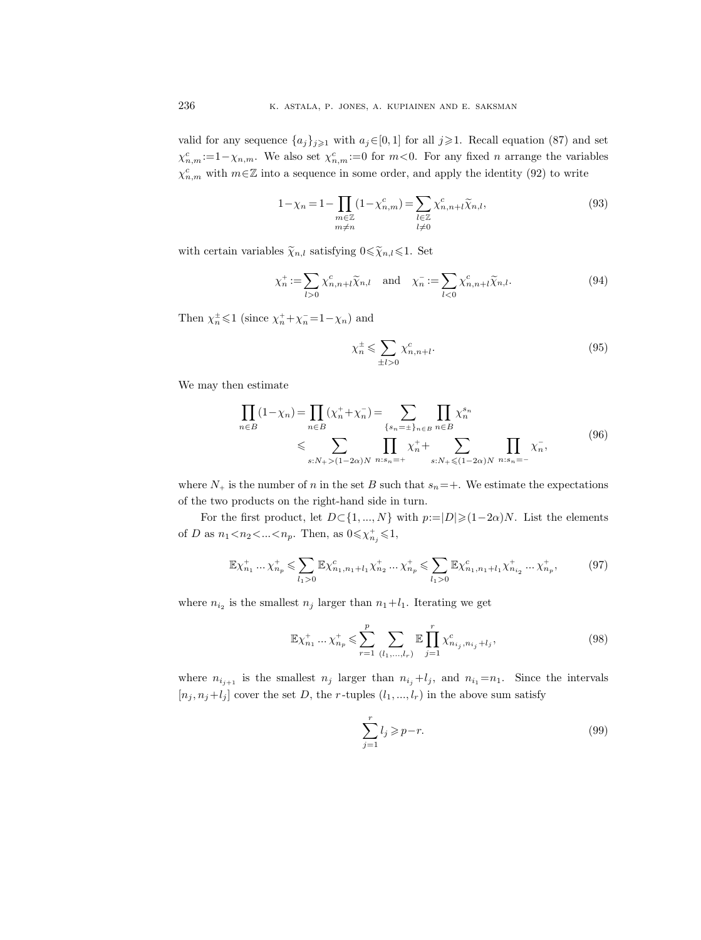valid for any sequence  $\{a_j\}_{j\geqslant1}$  with  $a_j\in[0,1]$  for all  $j\geqslant1$ . Recall equation (87) and set  $\chi_{n,m}^c:=1-\chi_{n,m}$ . We also set  $\chi_{n,m}^c:=0$  for  $m<0$ . For any fixed n arrange the variables  $\chi_{n,m}^c$  with  $m \in \mathbb{Z}$  into a sequence in some order, and apply the identity (92) to write

$$
1 - \chi_n = 1 - \prod_{\substack{m \in \mathbb{Z} \\ m \neq n}} (1 - \chi_{n,m}^c) = \sum_{\substack{l \in \mathbb{Z} \\ l \neq 0}} \chi_{n,n+l}^c \widetilde{\chi}_{n,l},\tag{93}
$$

with certain variables  $\widetilde{\chi}_{n,l}$  satisfying  $0 \leq \widetilde{\chi}_{n,l} \leq 1$ . Set

$$
\chi_n^+ := \sum_{l>0} \chi_{n,n+l}^c \widetilde{\chi}_{n,l} \quad \text{and} \quad \chi_n^- := \sum_{l<0} \chi_{n,n+l}^c \widetilde{\chi}_{n,l}. \tag{94}
$$

Then  $\chi_n^{\pm} \leq 1$  (since  $\chi_n^+ + \chi_n^- = 1 - \chi_n$ ) and

$$
\chi_n^{\pm} \leqslant \sum_{\pm l > 0} \chi_{n,n+l}^c. \tag{95}
$$

We may then estimate

$$
\prod_{n \in B} (1 - \chi_n) = \prod_{n \in B} (\chi_n^+ + \chi_n^-) = \sum_{\{s_n = \pm\}_{n \in B} \atop n \in B} \prod_{n \in B} \chi_n^{s_n} \chi_n^{s_n} \leq \sum_{s: N_+ > (1 - 2\alpha)N} \prod_{n: s_n = +} \chi_n^+ + \sum_{s: N_+ \leq (1 - 2\alpha)N} \prod_{n: s_n = -} \chi_n^-,\tag{96}
$$

where  $N_+$  is the number of n in the set B such that  $s_n=+$ . We estimate the expectations of the two products on the right-hand side in turn.

For the first product, let  $D \subset \{1, ..., N\}$  with  $p:=|D|\geq (1-2\alpha)N$ . List the elements of D as  $n_1 < n_2 < ... < n_p$ . Then, as  $0 \le \chi_{n_j}^+ \le 1$ ,

$$
\mathbb{E}\chi_{n_1}^+ \dots \chi_{n_p}^+ \leq \sum_{l_1 > 0} \mathbb{E}\chi_{n_1, n_1 + l_1}^c \chi_{n_2}^+ \dots \chi_{n_p}^+ \leq \sum_{l_1 > 0} \mathbb{E}\chi_{n_1, n_1 + l_1}^c \chi_{n_{i_2}}^+ \dots \chi_{n_p}^+, \tag{97}
$$

where  $n_{i_2}$  is the smallest  $n_j$  larger than  $n_1+l_1$ . Iterating we get

$$
\mathbb{E}\chi_{n_1}^+ \dots \chi_{n_p}^+ \leqslant \sum_{r=1}^p \sum_{(l_1, \dots, l_r)} \mathbb{E}\prod_{j=1}^r \chi_{n_{i_j}, n_{i_j}+l_j}^c,
$$
\n(98)

where  $n_{i_{j+1}}$  is the smallest  $n_j$  larger than  $n_{i_j}+l_j$ , and  $n_{i_1}=n_1$ . Since the intervals  $[n_j, n_j+l_j]$  cover the set D, the r-tuples  $(l_1, ..., l_r)$  in the above sum satisfy

$$
\sum_{j=1}^{r} l_j \geqslant p-r.
$$
\n(99)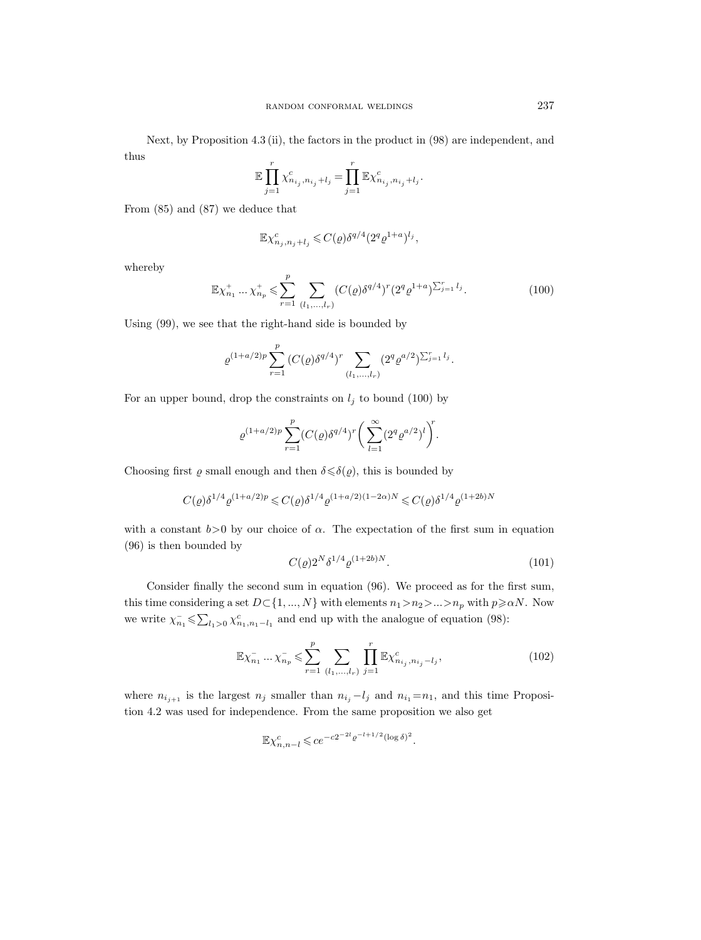Next, by Proposition 4.3 (ii), the factors in the product in (98) are independent, and thus

$$
\mathbb{E} \prod_{j=1}^r \chi^c_{n_{i_j}, n_{i_j} + l_j} = \prod_{j=1}^r \mathbb{E} \chi^c_{n_{i_j}, n_{i_j} + l_j}.
$$

From (85) and (87) we deduce that

$$
\mathbb{E}\chi_{n_j,n_j+l_j}^c \leqslant C(\varrho)\delta^{q/4}(2^q\varrho^{1+a})^{l_j},
$$

whereby

$$
\mathbb{E}\chi_{n_1}^+ \dots \chi_{n_p}^+ \leq \sum_{r=1}^p \sum_{(l_1, \dots, l_r)} (C(\varrho) \delta^{q/4})^r (2^q \varrho^{1+a})^{\sum_{j=1}^r l_j}.
$$
 (100)

Using (99), we see that the right-hand side is bounded by

$$
\varrho^{(1+a/2)p} \sum_{r=1}^p (C(\varrho) \delta^{q/4})^r \sum_{(l_1,...,l_r)} (2^q \varrho^{a/2})^{\sum_{j=1}^r l_j}.
$$

For an upper bound, drop the constraints on  $l_j$  to bound (100) by

$$
\varrho^{(1+a/2)p} \sum_{r=1}^{p} (C(\varrho) \delta^{q/4})^r \bigg( \sum_{l=1}^{\infty} (2^q \varrho^{a/2})^l \bigg)^r.
$$

Choosing first  $\varrho$  small enough and then  $\delta \leq \delta(\varrho)$ , this is bounded by

$$
C(\varrho)\delta^{1/4}\varrho^{(1+a/2)p} \leqslant C(\varrho)\delta^{1/4}\varrho^{(1+a/2)(1-2\alpha)N} \leqslant C(\varrho)\delta^{1/4}\varrho^{(1+2b)N}
$$

with a constant  $b>0$  by our choice of  $\alpha$ . The expectation of the first sum in equation (96) is then bounded by

$$
C(\varrho)2^N\delta^{1/4}\varrho^{(1+2b)N}.\tag{101}
$$

Consider finally the second sum in equation (96). We proceed as for the first sum, this time considering a set  $D \subset \{1, ..., N\}$  with elements  $n_1 > n_2 > ... > n_p$  with  $p \ge \alpha N$ . Now we write  $\chi_{n_1}^- \leq \sum_{l_1>0} \chi_{n_1,n_1-l_1}^c$  and end up with the analogue of equation (98):

$$
\mathbb{E}\chi_{n_1}^{-}\dots\chi_{n_p}^{-} \leq \sum_{r=1}^p \sum_{(l_1,\dots,l_r)} \prod_{j=1}^r \mathbb{E}\chi_{n_{i_j},n_{i_j}-l_j}^c,
$$
\n(102)

where  $n_{i_{j+1}}$  is the largest  $n_j$  smaller than  $n_{i_j} - l_j$  and  $n_{i_1} = n_1$ , and this time Proposition 4.2 was used for independence. From the same proposition we also get

$$
\mathbb{E} \chi_{n,n-l}^c \leqslant c e^{-c2^{-2l} \varrho^{-l+1/2} (\log \delta)^2}.
$$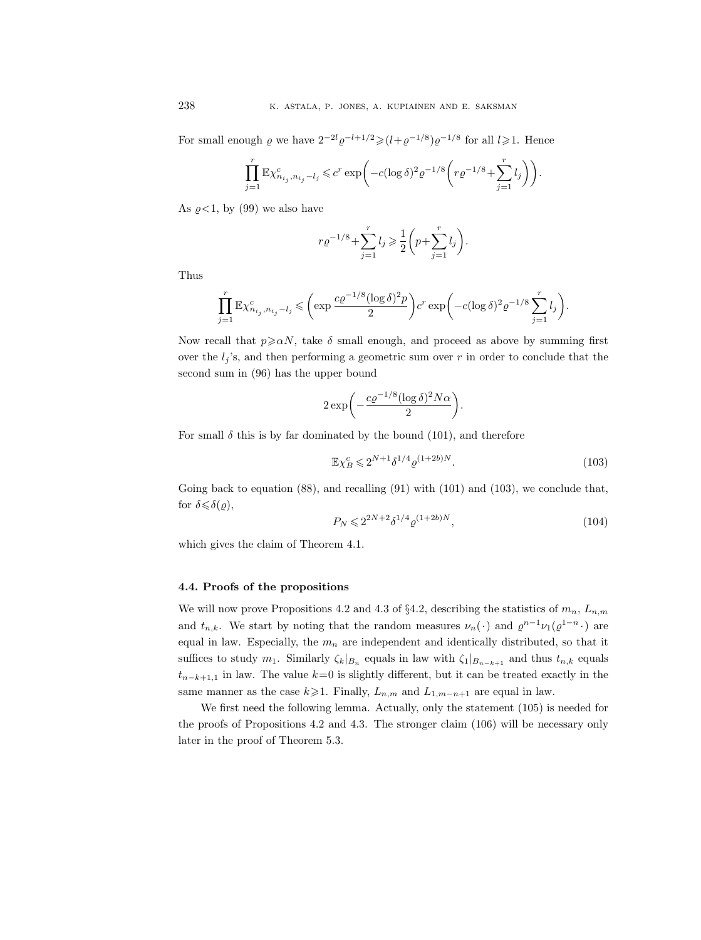For small enough  $\varrho$  we have  $2^{-2l}\varrho^{-l+1/2} \geq (l+\varrho^{-1/8})\varrho^{-1/8}$  for all  $l \geq 1$ . Hence

$$
\prod_{j=1}^r \mathbb{E} \chi^c_{n_{i_j}, n_{i_j} - l_j} \leqslant c^r \exp\biggl( - c (\log \delta)^2 \varrho^{-1/8} \biggl( r \varrho^{-1/8} + \sum_{j=1}^r l_j \biggr) \biggr).
$$

As  $\rho < 1$ , by (99) we also have

$$
r \varrho^{-1/8} + \sum_{j=1}^r l_j \ge \frac{1}{2} \left( p + \sum_{j=1}^r l_j \right).
$$

Thus

$$
\prod_{j=1}^r \mathbb{E} \chi^c_{n_{i_j}, n_{i_j} - l_j} \leqslant \left( \exp \frac{c\varrho^{-1/8} (\log \delta)^2 p}{2} \right) c^r \exp \left( -c(\log \delta)^2 \varrho^{-1/8} \sum_{j=1}^r l_j \right).
$$

Now recall that  $p \ge \alpha N$ , take  $\delta$  small enough, and proceed as above by summing first over the  $l_j$ 's, and then performing a geometric sum over r in order to conclude that the second sum in (96) has the upper bound

$$
2\exp\biggl(-\frac{c\varrho^{-1/8}(\log \delta)^2N\alpha}{2}\biggr).
$$

For small  $\delta$  this is by far dominated by the bound (101), and therefore

$$
\mathbb{E}\chi_B^c \leq 2^{N+1} \delta^{1/4} \varrho^{(1+2b)N}.\tag{103}
$$

Going back to equation (88), and recalling (91) with (101) and (103), we conclude that, for  $\delta \leqslant \delta(\rho)$ ,

$$
P_N \leq 2^{2N+2} \delta^{1/4} \varrho^{(1+2b)N},\tag{104}
$$

which gives the claim of Theorem 4.1.

# 4.4. Proofs of the propositions

We will now prove Propositions 4.2 and 4.3 of §4.2, describing the statistics of  $m_n$ ,  $L_{n,m}$ and  $t_{n,k}$ . We start by noting that the random measures  $\nu_n(\cdot)$  and  $\varrho^{n-1}\nu_1(\varrho^{1-n}\cdot)$  are equal in law. Especially, the  $m_n$  are independent and identically distributed, so that it suffices to study  $m_1$ . Similarly  $\zeta_k|_{B_n}$  equals in law with  $\zeta_1|_{B_{n-k+1}}$  and thus  $t_{n,k}$  equals  $t_{n-k+1,1}$  in law. The value  $k=0$  is slightly different, but it can be treated exactly in the same manner as the case  $k\geq 1$ . Finally,  $L_{n,m}$  and  $L_{1,m-n+1}$  are equal in law.

We first need the following lemma. Actually, only the statement (105) is needed for the proofs of Propositions 4.2 and 4.3. The stronger claim (106) will be necessary only later in the proof of Theorem 5.3.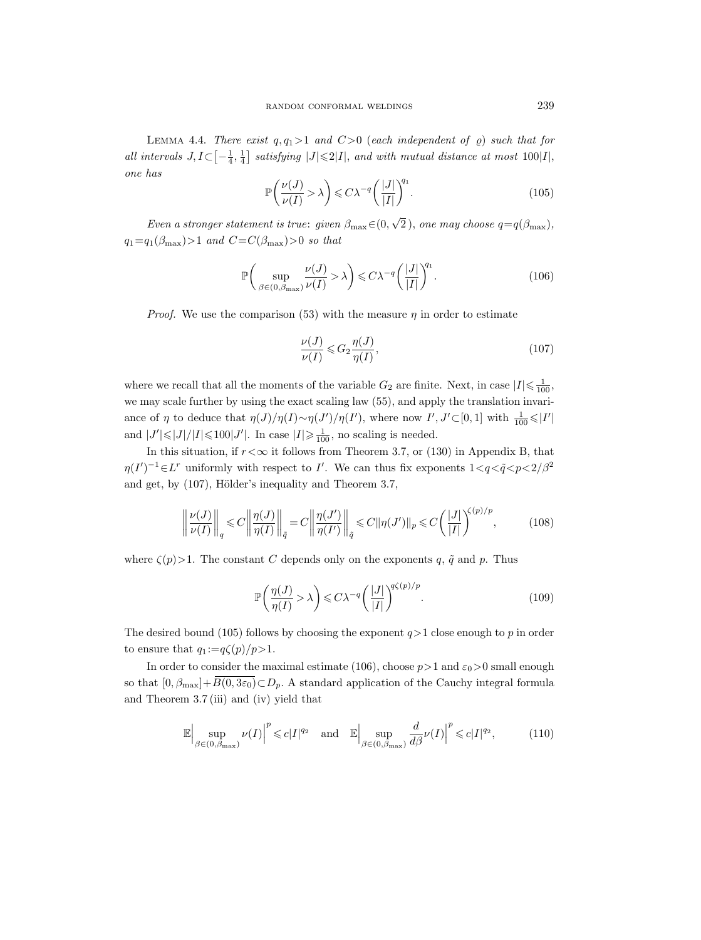LEMMA 4.4. There exist  $q, q_1 > 1$  and  $C > 0$  (each independent of  $\varrho$ ) such that for all intervals  $J, I \subset \left[-\frac{1}{4}, \frac{1}{4}\right]$  satisfying  $|J| \leq 2|I|$ , and with mutual distance at most  $100|I|$ , one has

$$
\mathbb{P}\left(\frac{\nu(J)}{\nu(I)} > \lambda\right) \leq C\lambda^{-q} \left(\frac{|J|}{|I|}\right)^{q_1}.\tag{105}
$$

Even a stronger statement is true: given  $\beta_{\text{max}} \in (0, 1)$  $2$ ), one may choose  $q = q(\beta_{\text{max}})$ ,  $q_1=q_1(\beta_{\text{max}})>1$  and  $C=C(\beta_{\text{max}})>0$  so that

$$
\mathbb{P}\bigg(\sup_{\beta\in(0,\beta_{\max})}\frac{\nu(J)}{\nu(I)}>\lambda\bigg)\leqslant C\lambda^{-q}\bigg(\frac{|J|}{|I|}\bigg)^{q_1}.\tag{106}
$$

*Proof.* We use the comparison (53) with the measure  $\eta$  in order to estimate

$$
\frac{\nu(J)}{\nu(I)} \leqslant G_2 \frac{\eta(J)}{\eta(I)},\tag{107}
$$

where we recall that all the moments of the variable  $G_2$  are finite. Next, in case  $|I| \leq \frac{1}{100}$ , we may scale further by using the exact scaling law (55), and apply the translation invariance of  $\eta$  to deduce that  $\eta(J)/\eta(I) \sim \eta(J')/\eta(I')$ , where now  $I', J' \subset [0,1]$  with  $\frac{1}{100} \leq |I'|$ and  $|J'| \leq |J|/|I| \leq 100|J'|$ . In case  $|I| \geq \frac{1}{100}$ , no scaling is needed.

In this situation, if  $r < \infty$  it follows from Theorem 3.7, or (130) in Appendix B, that  $\eta(I')^{-1} \in L^r$  uniformly with respect to I'. We can thus fix exponents  $1 \lt q \lt \tilde{q} \lt p \lt 2/\beta^2$ and get, by  $(107)$ , Hölder's inequality and Theorem 3.7,

$$
\left\|\frac{\nu(J)}{\nu(I)}\right\|_q \leq C \left\|\frac{\eta(J)}{\eta(I)}\right\|_{\tilde{q}} = C \left\|\frac{\eta(J')}{\eta(I')}\right\|_{\tilde{q}} \leq C \|\eta(J')\|_p \leq C \left(\frac{|J|}{|I|}\right)^{\zeta(p)/p},\tag{108}
$$

where  $\zeta(p)$ >1. The constant C depends only on the exponents q,  $\tilde{q}$  and p. Thus

$$
\mathbb{P}\left(\frac{\eta(J)}{\eta(I)} > \lambda\right) \leq C\lambda^{-q} \left(\frac{|J|}{|I|}\right)^{q\zeta(p)/p}.\tag{109}
$$

The desired bound (105) follows by choosing the exponent  $q>1$  close enough to p in order to ensure that  $q_1 := q\zeta(p)/p > 1$ .

In order to consider the maximal estimate (106), choose  $p > 1$  and  $\varepsilon_0 > 0$  small enough so that  $[0, \beta_{\text{max}}]+B(0, 3\varepsilon_0)\subset D_p$ . A standard application of the Cauchy integral formula and Theorem 3.7 (iii) and (iv) yield that

$$
\mathbb{E}\Big|\sup_{\beta\in(0,\beta_{\text{max}})}\nu(I)\Big|^p\leqslant c|I|^{q_2}\quad\text{and}\quad\mathbb{E}\Big|\sup_{\beta\in(0,\beta_{\text{max}})}\frac{d}{d\beta}\nu(I)\Big|^p\leqslant c|I|^{q_2},\tag{110}
$$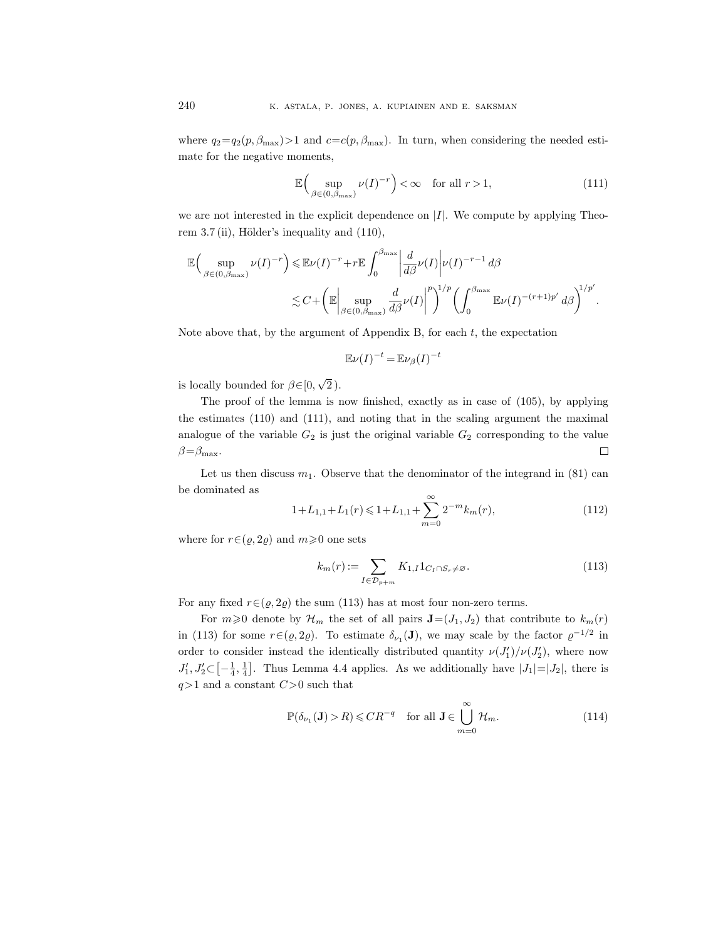where  $q_2=q_2(p, \beta_{\text{max}})>1$  and  $c=c(p, \beta_{\text{max}})$ . In turn, when considering the needed estimate for the negative moments,

$$
\mathbb{E}\Big(\sup_{\beta\in(0,\beta_{\max})}\nu(I)^{-r}\Big)<\infty\quad\text{for all }r>1,
$$
\n(111)

we are not interested in the explicit dependence on  $|I|$ . We compute by applying Theorem  $3.7$  (ii), Hölder's inequality and  $(110)$ ,

$$
\mathbb{E}\Big(\sup_{\beta\in(0,\beta_{\text{max}})}\nu(I)^{-r}\Big)\leqslant \mathbb{E}\nu(I)^{-r}+r\mathbb{E}\int_{0}^{\beta_{\text{max}}}\left|\frac{d}{d\beta}\nu(I)\right|\nu(I)^{-r-1}d\beta
$$
  

$$
\lesssim C+\left(\mathbb{E}\Big|\sup_{\beta\in(0,\beta_{\text{max}})}\frac{d}{d\beta}\nu(I)\right|^{p}\right)^{1/p}\left(\int_{0}^{\beta_{\text{max}}}\mathbb{E}\nu(I)^{-(r+1)p'}d\beta\right)^{1/p'}.
$$

Note above that, by the argument of Appendix B, for each  $t$ , the expectation

$$
\mathbb{E}\nu(I)^{-t} = \mathbb{E}\nu_{\beta}(I)^{-t}
$$

is locally bounded for  $\beta \in [0, \]$ √ 2 ).

The proof of the lemma is now finished, exactly as in case of (105), by applying the estimates (110) and (111), and noting that in the scaling argument the maximal analogue of the variable  $G_2$  is just the original variable  $G_2$  corresponding to the value  $\beta = \beta_{\text{max}}$ .  $\Box$ 

Let us then discuss  $m_1$ . Observe that the denominator of the integrand in (81) can be dominated as

$$
1 + L_{1,1} + L_1(r) \leq 1 + L_{1,1} + \sum_{m=0}^{\infty} 2^{-m} k_m(r),
$$
\n(112)

where for  $r \in (\varrho, 2\varrho)$  and  $m \geq 0$  one sets

$$
k_m(r) := \sum_{I \in \mathcal{D}_{p+m}} K_{1,I} 1_{C_I \cap S_r \neq \varnothing}.
$$
\n(113)

For any fixed  $r \in (\varrho, 2\varrho)$  the sum (113) has at most four non-zero terms.

For  $m\geqslant 0$  denote by  $\mathcal{H}_m$  the set of all pairs  $\mathbf{J}=(J_1, J_2)$  that contribute to  $k_m(r)$ in (113) for some  $r \in (\varrho, 2\varrho)$ . To estimate  $\delta_{\nu_1}(\mathbf{J})$ , we may scale by the factor  $\varrho^{-1/2}$  in order to consider instead the identically distributed quantity  $\nu(J'_1)/\nu(J'_2)$ , where now  $J'_1, J'_2 \subset [-\frac{1}{4}, \frac{1}{4}]$ . Thus Lemma 4.4 applies. As we additionally have  $|J_1|=|J_2|$ , there is  $q>1$  and a constant  $C>0$  such that

$$
\mathbb{P}(\delta_{\nu_1}(\mathbf{J}) > R) \leq C R^{-q} \quad \text{for all } \mathbf{J} \in \bigcup_{m=0}^{\infty} \mathcal{H}_m.
$$
 (114)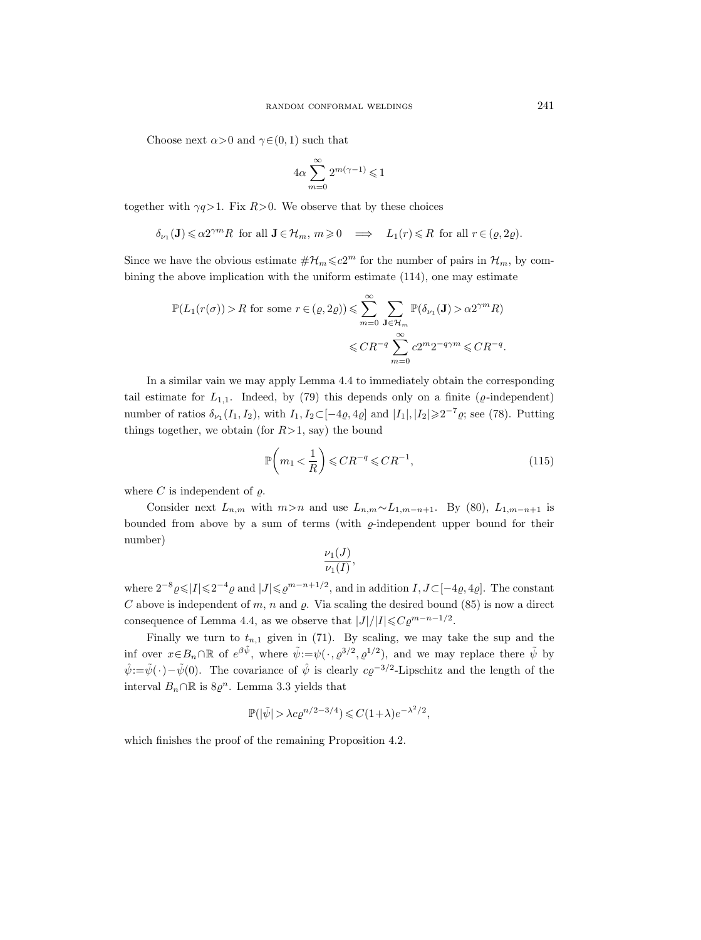Choose next  $\alpha > 0$  and  $\gamma \in (0, 1)$  such that

$$
4\alpha\sum_{m=0}^{\infty}2^{m(\gamma-1)}\leqslant 1
$$

together with  $\gamma q > 1$ . Fix  $R > 0$ . We observe that by these choices

$$
\delta_{\nu_1}(\mathbf{J}) \leq \alpha 2^{\gamma m} R \text{ for all } \mathbf{J} \in \mathcal{H}_m, m \geq 0 \implies L_1(r) \leq R \text{ for all } r \in (\varrho, 2\varrho).
$$

Since we have the obvious estimate  $\#\mathcal{H}_m \leq c2^m$  for the number of pairs in  $\mathcal{H}_m$ , by combining the above implication with the uniform estimate (114), one may estimate

$$
\mathbb{P}(L_1(r(\sigma)) > R \text{ for some } r \in (Q, 2Q)) \leq \sum_{m=0}^{\infty} \sum_{\mathbf{J} \in \mathcal{H}_m} \mathbb{P}(\delta_{\nu_1}(\mathbf{J}) > \alpha 2^{\gamma m} R) \\
&\leq C R^{-q} \sum_{m=0}^{\infty} c 2^m 2^{-q \gamma m} \leq C R^{-q}.
$$

In a similar vain we may apply Lemma 4.4 to immediately obtain the corresponding tail estimate for  $L_{1,1}$ . Indeed, by (79) this depends only on a finite ( $\varrho$ -independent) number of ratios  $\delta_{\nu_1}(I_1, I_2)$ , with  $I_1, I_2 \subset [-4\varrho, 4\varrho]$  and  $|I_1|, |I_2| \geq 2^{-7}\varrho$ ; see (78). Putting things together, we obtain (for  $R>1$ , say) the bound

$$
\mathbb{P}\left(m_1 < \frac{1}{R}\right) \leqslant CR^{-q} \leqslant CR^{-1},\tag{115}
$$

where C is independent of  $\varrho$ .

Consider next  $L_{n,m}$  with  $m>n$  and use  $L_{n,m}\sim L_{1,m-n+1}$ . By (80),  $L_{1,m-n+1}$  is bounded from above by a sum of terms (with  $\varrho$ -independent upper bound for their number)

$$
\frac{\nu_1(J)}{\nu_1(I)},
$$

where  $2^{-8} \varrho \leq |I| \leq 2^{-4} \varrho$  and  $|J| \leq \varrho^{m-n+1/2}$ , and in addition  $I, J \subset [-4\varrho, 4\varrho]$ . The constant C above is independent of m, n and  $\rho$ . Via scaling the desired bound (85) is now a direct consequence of Lemma 4.4, as we observe that  $|J|/|I| \leq C \varrho^{m-n-1/2}$ .

Finally we turn to  $t_{n,1}$  given in (71). By scaling, we may take the sup and the inf over  $x \in B_n \cap \mathbb{R}$  of  $e^{\beta \tilde{\psi}}$ , where  $\tilde{\psi} := \psi(\cdot, \varrho^{3/2}, \varrho^{1/2})$ , and we may replace there  $\tilde{\psi}$  by  $\hat{\psi}:=\tilde{\psi}(\cdot)-\tilde{\psi}(0)$ . The covariance of  $\hat{\psi}$  is clearly  $c\varrho^{-3/2}$ -Lipschitz and the length of the interval  $B_n \cap \mathbb{R}$  is  $8\varrho^n$ . Lemma 3.3 yields that

$$
\mathbb{P}(|\tilde{\psi}| > \lambda c \varrho^{n/2 - 3/4}) \leq C(1 + \lambda) e^{-\lambda^2/2},
$$

which finishes the proof of the remaining Proposition 4.2.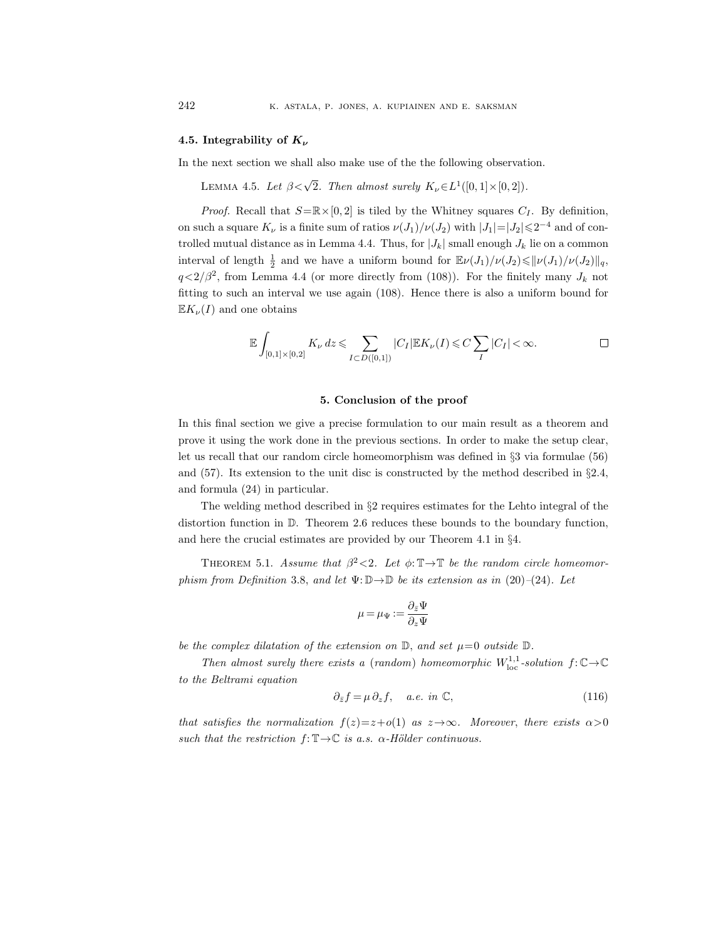## 4.5. Integrability of  $K_{\nu}$

In the next section we shall also make use of the the following observation.

LEMMA 4.5. Let  $\beta < \sqrt{2}$ . Then almost surely  $K_{\nu} \in L^1([0,1] \times [0,2])$ .

*Proof.* Recall that  $S=\mathbb{R}\times[0,2]$  is tiled by the Whitney squares  $C_I$ . By definition, on such a square  $K_{\nu}$  is a finite sum of ratios  $\nu(J_1)/\nu(J_2)$  with  $|J_1|=|J_2|\leq 2^{-4}$  and of controlled mutual distance as in Lemma 4.4. Thus, for  $|J_k|$  small enough  $J_k$  lie on a common interval of length  $\frac{1}{2}$  and we have a uniform bound for  $\mathbb{E}\nu(J_1)/\nu(J_2)\leqslant ||\nu(J_1)/\nu(J_2)||_q$ ,  $q<2/\beta^2$ , from Lemma 4.4 (or more directly from (108)). For the finitely many  $J_k$  not fitting to such an interval we use again (108). Hence there is also a uniform bound for  $\mathbb{E} K_{\nu}(I)$  and one obtains

$$
\mathbb{E}\int_{[0,1]\times[0,2]}K_{\nu}dz \leqslant \sum_{I\subset D([0,1])}|C_I|\mathbb{E}K_{\nu}(I)\leqslant C\sum_{I}|C_I|<\infty.
$$

#### 5. Conclusion of the proof

In this final section we give a precise formulation to our main result as a theorem and prove it using the work done in the previous sections. In order to make the setup clear, let us recall that our random circle homeomorphism was defined in §3 via formulae (56) and (57). Its extension to the unit disc is constructed by the method described in §2.4, and formula (24) in particular.

The welding method described in §2 requires estimates for the Lehto integral of the distortion function in D. Theorem 2.6 reduces these bounds to the boundary function, and here the crucial estimates are provided by our Theorem 4.1 in §4.

THEOREM 5.1. Assume that  $\beta^2 < 2$ . Let  $\phi: \mathbb{T} \to \mathbb{T}$  be the random circle homeomorphism from Definition 3.8, and let  $\Psi: \mathbb{D} \to \mathbb{D}$  be its extension as in (20)–(24). Let

$$
\mu = \mu_{\Psi} := \frac{\partial_{\bar{z}} \Psi}{\partial_z \Psi}
$$

be the complex dilatation of the extension on  $\mathbb{D}$ , and set  $\mu=0$  outside  $\mathbb{D}$ .

Then almost surely there exists a (random) homeomorphic  $W^{1,1}_{loc}$ -solution  $f: \mathbb{C} \to \mathbb{C}$ to the Beltrami equation

$$
\partial_{\bar{z}}f = \mu \, \partial_z f, \quad a.e. \text{ in } \mathbb{C}, \tag{116}
$$

that satisfies the normalization  $f(z)=z+o(1)$  as  $z\rightarrow\infty$ . Moreover, there exists  $\alpha>0$ such that the restriction  $f: \mathbb{T} \to \mathbb{C}$  is a.s.  $\alpha$ -Hölder continuous.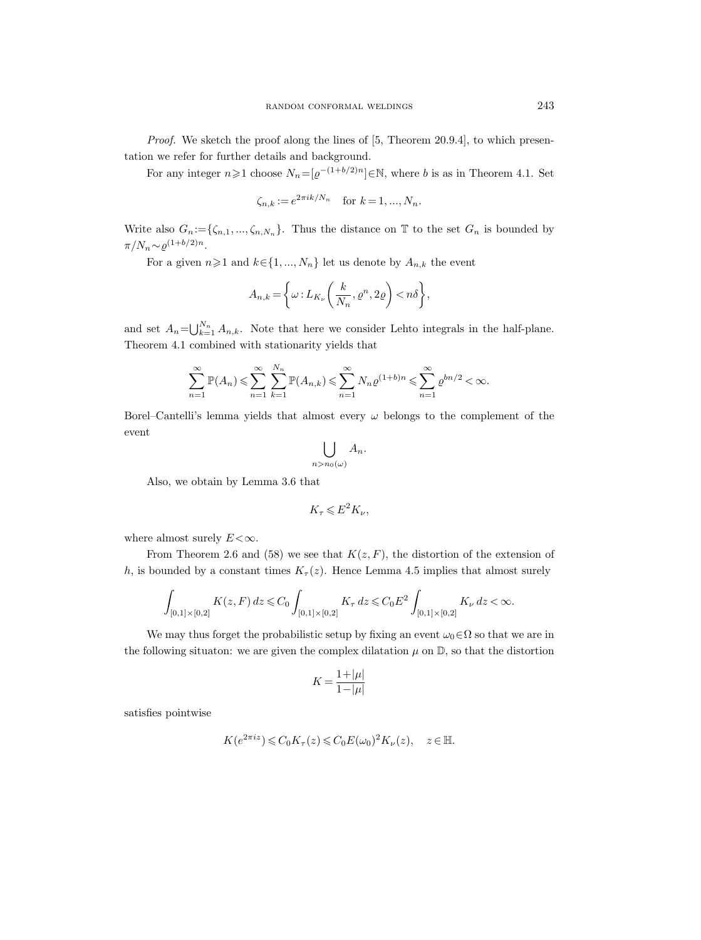Proof. We sketch the proof along the lines of [5, Theorem 20.9.4], to which presentation we refer for further details and background.

For any integer  $n \geq 1$  choose  $N_n = [\varrho^{-(1+b/2)n}] \in \mathbb{N}$ , where b is as in Theorem 4.1. Set

$$
\zeta_{n,k} := e^{2\pi i k/N_n}
$$
 for  $k = 1, ..., N_n$ .

Write also  $G_n := \{\zeta_{n,1}, ..., \zeta_{n,N_n}\}.$  Thus the distance on  $\mathbb T$  to the set  $G_n$  is bounded by  $\pi/N_n \sim \varrho^{(1+b/2)n}$ .

For a given  $n\geq 1$  and  $k\in\{1, ..., N_n\}$  let us denote by  $A_{n,k}$  the event

$$
A_{n,k} = \left\{ \omega : L_{K_{\nu}}\left(\frac{k}{N_n}, \varrho^n, 2\varrho\right) < n\delta \right\},\,
$$

and set  $A_n = \bigcup_{k=1}^{N_n} A_{n,k}$ . Note that here we consider Lehto integrals in the half-plane. Theorem 4.1 combined with stationarity yields that

$$
\sum_{n=1}^{\infty} \mathbb{P}(A_n) \leqslant \sum_{n=1}^{\infty} \sum_{k=1}^{N_n} \mathbb{P}(A_{n,k}) \leqslant \sum_{n=1}^{\infty} N_n \varrho^{(1+b)n} \leqslant \sum_{n=1}^{\infty} \varrho^{bn/2} < \infty.
$$

Borel–Cantelli's lemma yields that almost every  $\omega$  belongs to the complement of the event

$$
\bigcup_{n>n_0(\omega)}A_n.
$$

Also, we obtain by Lemma 3.6 that

$$
K_{\tau} \leqslant E^2 K_{\nu},
$$

where almost surely  $E<\infty$ .

From Theorem 2.6 and (58) we see that  $K(z, F)$ , the distortion of the extension of h, is bounded by a constant times  $K_\tau(z)$ . Hence Lemma 4.5 implies that almost surely

$$
\int_{[0,1]\times[0,2]} K(z,F) dz \leq C_0 \int_{[0,1]\times[0,2]} K_\tau dz \leq C_0 E^2 \int_{[0,1]\times[0,2]} K_\nu dz < \infty.
$$

We may thus forget the probabilistic setup by fixing an event  $\omega_0 \in \Omega$  so that we are in the following situaton: we are given the complex dilatation  $\mu$  on  $\mathbb{D}$ , so that the distortion

$$
K=\frac{1+|\mu|}{1-|\mu|}
$$

satisfies pointwise

$$
K(e^{2\pi iz}) \leq C_0 K_\tau(z) \leq C_0 E(\omega_0)^2 K_\nu(z), \quad z \in \mathbb{H}.
$$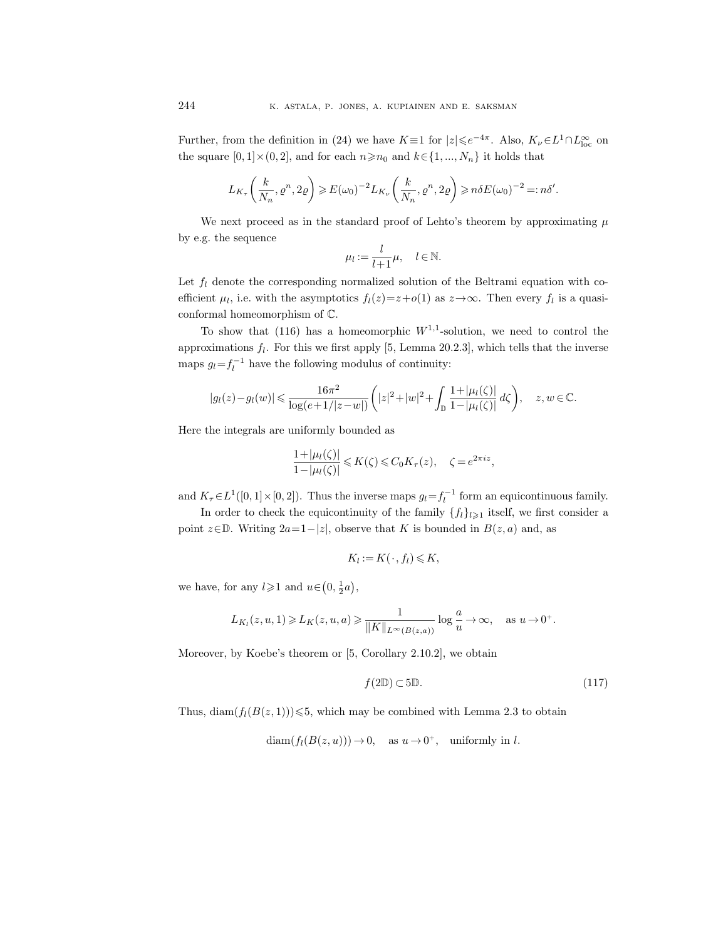Further, from the definition in (24) we have  $K \equiv 1$  for  $|z| \le e^{-4\pi}$ . Also,  $K_{\nu} \in L^{1} \cap L^{\infty}_{loc}$  on the square  $[0, 1] \times (0, 2]$ , and for each  $n \ge n_0$  and  $k \in \{1, ..., N_n\}$  it holds that

$$
L_{K_{\tau}}\left(\frac{k}{N_n},\varrho^n,2\varrho\right)\geqslant E\hspace{0.05em}\left(\omega_0\right)^{-2}L_{K_{\nu}}\left(\frac{k}{N_n},\varrho^n,2\varrho\right)\geqslant n\delta E\hspace{0.05em}\left(\omega_0\right)^{-2}=:n\delta'.
$$

We next proceed as in the standard proof of Lehto's theorem by approximating  $\mu$ by e.g. the sequence

$$
\mu_l := \frac{l}{l+1}\mu, \quad l \in \mathbb{N}.
$$

Let  $f_l$  denote the corresponding normalized solution of the Beltrami equation with coefficient  $\mu_l$ , i.e. with the asymptotics  $f_l(z) = z + o(1)$  as  $z \to \infty$ . Then every  $f_l$  is a quasiconformal homeomorphism of C.

To show that  $(116)$  has a homeomorphic  $W^{1,1}$ -solution, we need to control the approximations  $f_l$ . For this we first apply [5, Lemma 20.2.3], which tells that the inverse maps  $g_l = f_l^{-1}$  have the following modulus of continuity:

$$
|g_l(z) - g_l(w)| \leq \frac{16\pi^2}{\log(e+1/|z-w|)} \left( |z|^2 + |w|^2 + \int_{\mathbb{D}} \frac{1 + |\mu_l(\zeta)|}{1 - |\mu_l(\zeta)|} d\zeta \right), \quad z, w \in \mathbb{C}.
$$

Here the integrals are uniformly bounded as

$$
\frac{1+|\mu_l(\zeta)|}{1-|\mu_l(\zeta)|} \leqslant K(\zeta) \leqslant C_0 K_\tau(z), \quad \zeta = e^{2\pi i z},
$$

and  $K_{\tau} \in L^1([0,1] \times [0,2])$ . Thus the inverse maps  $g_l = f_l^{-1}$  form an equicontinuous family.

In order to check the equicontinuity of the family  $\{f_l\}_{l\geqslant1}$  itself, we first consider a point  $z \in \mathbb{D}$ . Writing  $2a=1-|z|$ , observe that K is bounded in  $B(z, a)$  and, as

$$
K_l := K(\cdot, f_l) \leqslant K,
$$

we have, for any  $l \geqslant 1$  and  $u \in (0, \frac{1}{2}a)$ ,

$$
L_{K_l}(z, u, 1) \geqslant L_K(z, u, a) \geqslant \frac{1}{\|K\|_{L^{\infty}(B(z, a))}} \log \frac{a}{u} \to \infty, \quad \text{as } u \to 0^+.
$$

Moreover, by Koebe's theorem or [5, Corollary 2.10.2], we obtain

$$
f(2\mathbb{D}) \subset 5\mathbb{D}.\tag{117}
$$

Thus, diam $(f_l(B(z, 1)))\leq 5$ , which may be combined with Lemma 2.3 to obtain

 $\text{diam}(f_l(B(z, u))) \to 0, \text{ as } u \to 0^+, \text{ uniformly in } l.$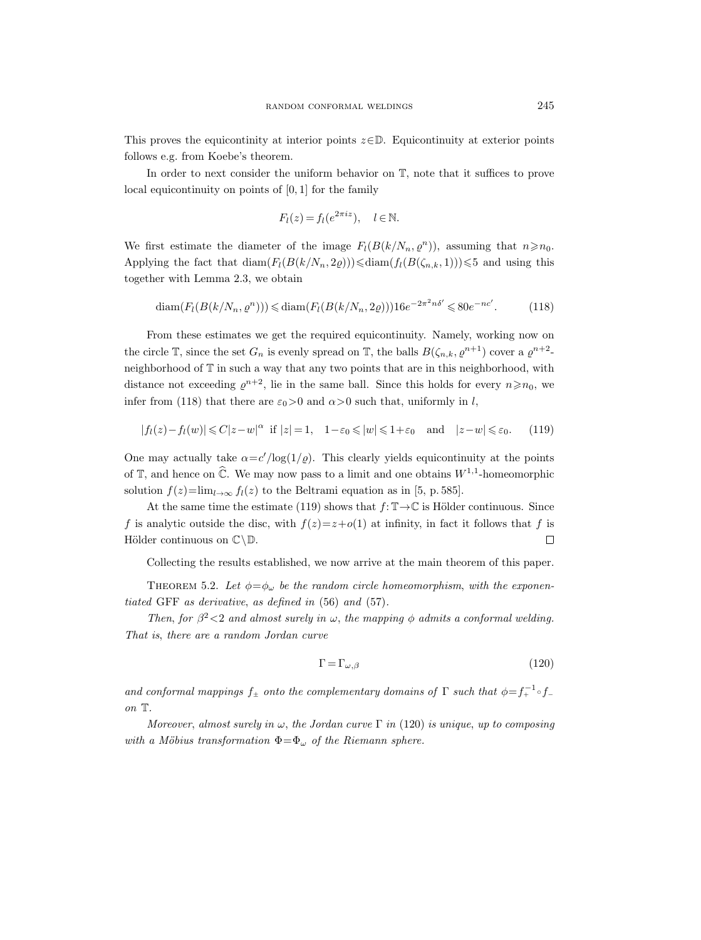This proves the equicontinity at interior points  $z \in \mathbb{D}$ . Equicontinuity at exterior points follows e.g. from Koebe's theorem.

In order to next consider the uniform behavior on T, note that it suffices to prove local equicontinuity on points of [0, 1] for the family

$$
F_l(z) = f_l(e^{2\pi i z}), \quad l \in \mathbb{N}.
$$

We first estimate the diameter of the image  $F_l(B(k/N_n, \rho^n))$ , assuming that  $n \ge n_0$ . Applying the fact that  $\text{diam}(F_l(B(k/N_n, 2\varrho))) \leq \text{diam}(f_l(B(\zeta_{n,k}, 1))) \leq 5$  and using this together with Lemma 2.3, we obtain

$$
\operatorname{diam}(F_l(B(k/N_n, \varrho^n))) \leq \operatorname{diam}(F_l(B(k/N_n, 2\varrho))) 16e^{-2\pi^2 n\delta'} \leq 80e^{-nc'}.
$$
 (118)

From these estimates we get the required equicontinuity. Namely, working now on the circle  $\mathbb{T}$ , since the set  $G_n$  is evenly spread on  $\mathbb{T}$ , the balls  $B(\zeta_{n,k}, \varrho^{n+1})$  cover a  $\varrho^{n+2}$ neighborhood of T in such a way that any two points that are in this neighborhood, with distance not exceeding  $\varrho^{n+2}$ , lie in the same ball. Since this holds for every  $n \ge n_0$ , we infer from (118) that there are  $\varepsilon_0 > 0$  and  $\alpha > 0$  such that, uniformly in l,

$$
|f_l(z) - f_l(w)| \leq C|z - w|^{\alpha} \text{ if } |z| = 1, \quad 1 - \varepsilon_0 \leq |w| \leq 1 + \varepsilon_0 \quad \text{and} \quad |z - w| \leq \varepsilon_0. \tag{119}
$$

One may actually take  $\alpha = c'/\log(1/\varrho)$ . This clearly yields equicontinuity at the points of  $\mathbb{T}$ , and hence on  $\widehat{\mathbb{C}}$ . We may now pass to a limit and one obtains  $W^{1,1}$ -homeomorphic solution  $f(z) = \lim_{l \to \infty} f_l(z)$  to the Beltrami equation as in [5, p. 585].

At the same time the estimate (119) shows that  $f: \mathbb{T} \to \mathbb{C}$  is Hölder continuous. Since f is analytic outside the disc, with  $f(z)=z+o(1)$  at infinity, in fact it follows that f is Hölder continuous on  $\mathbb{C}\backslash\mathbb{D}$ .  $\Box$ 

Collecting the results established, we now arrive at the main theorem of this paper.

THEOREM 5.2. Let  $\phi = \phi_{\omega}$  be the random circle homeomorphism, with the exponentiated GFF as derivative, as defined in (56) and (57).

Then, for  $\beta^2 < 2$  and almost surely in  $\omega$ , the mapping  $\phi$  admits a conformal welding. That is, there are a random Jordan curve

$$
\Gamma = \Gamma_{\omega,\beta} \tag{120}
$$

and conformal mappings  $f_{\pm}$  onto the complementary domains of  $\Gamma$  such that  $\phi = f_{+}^{-1} \circ f_{-}$ on T.

Moreover, almost surely in  $\omega$ , the Jordan curve  $\Gamma$  in (120) is unique, up to composing with a Möbius transformation  $\Phi = \Phi_{\omega}$  of the Riemann sphere.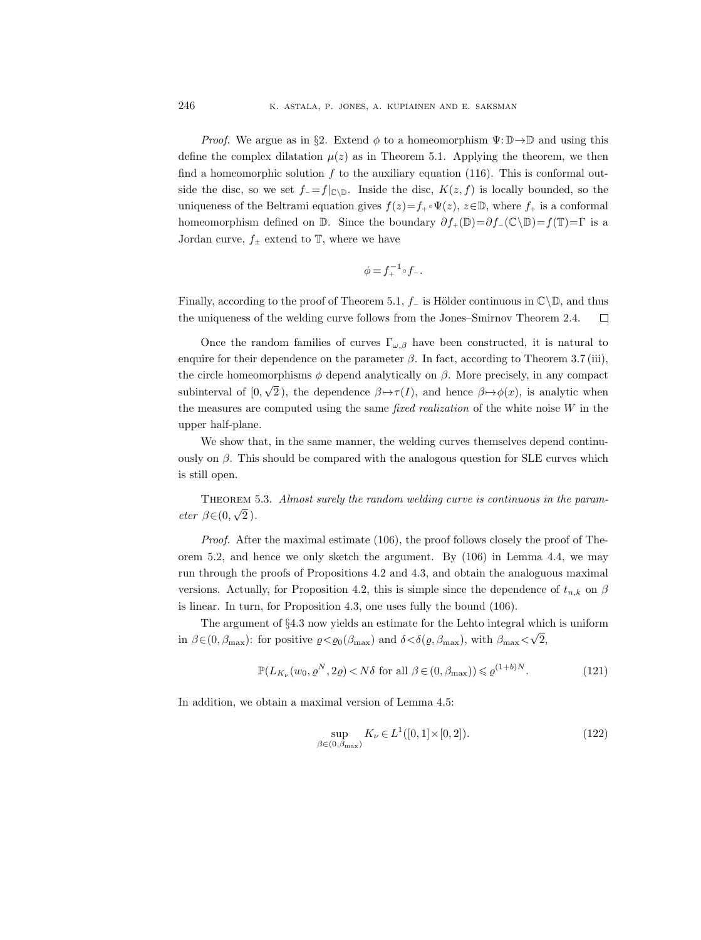*Proof.* We argue as in §2. Extend  $\phi$  to a homeomorphism  $\Psi: \mathbb{D} \to \mathbb{D}$  and using this define the complex dilatation  $\mu(z)$  as in Theorem 5.1. Applying the theorem, we then find a homeomorphic solution  $f$  to the auxiliary equation (116). This is conformal outside the disc, so we set  $f_$  =  $f|_{\mathbb{C}\setminus\mathbb{D}}$ . Inside the disc,  $K(z, f)$  is locally bounded, so the uniqueness of the Beltrami equation gives  $f(z)=f_+\circ \Psi(z), z\in\mathbb{D}$ , where  $f_+$  is a conformal homeomorphism defined on D. Since the boundary  $\partial f_+(\mathbb{D})=\partial f_-(\mathbb{C}\setminus\mathbb{D})=f(\mathbb{T})=\Gamma$  is a Jordan curve,  $f_{\pm}$  extend to  $\mathbb{T}$ , where we have

$$
\phi = f_+^{-1} \circ f_-.
$$

Finally, according to the proof of Theorem 5.1,  $f_-\$  is Hölder continuous in  $\mathbb{C}\backslash\mathbb{D}$ , and thus the uniqueness of the welding curve follows from the Jones–Smirnov Theorem 2.4.  $\Box$ 

Once the random families of curves  $\Gamma_{\omega,\beta}$  have been constructed, it is natural to enquire for their dependence on the parameter  $\beta$ . In fact, according to Theorem 3.7 (iii), the circle homeomorphisms  $\phi$  depend analytically on  $\beta$ . More precisely, in any compact subinterval of [0, √ 2), the dependence  $\beta \mapsto \tau(I)$ , and hence  $\beta \mapsto \phi(x)$ , is analytic when the measures are computed using the same *fixed realization* of the white noise  $W$  in the upper half-plane.

We show that, in the same manner, the welding curves themselves depend continuously on  $\beta$ . This should be compared with the analogous question for SLE curves which is still open.

Theorem 5.3. Almost surely the random welding curve is continuous in the parameter  $\beta \in (0,$ √ 2 ).

Proof. After the maximal estimate (106), the proof follows closely the proof of Theorem 5.2, and hence we only sketch the argument. By (106) in Lemma 4.4, we may run through the proofs of Propositions 4.2 and 4.3, and obtain the analoguous maximal versions. Actually, for Proposition 4.2, this is simple since the dependence of  $t_{n,k}$  on  $\beta$ is linear. In turn, for Proposition 4.3, one uses fully the bound (106).

The argument of §4.3 now yields an estimate for the Lehto integral which is uniform in  $\beta \in (0, \beta_{\text{max}})$ : for positive  $\varrho < \varrho_0(\beta_{\text{max}})$  and  $\delta < \delta(\varrho, \beta_{\text{max}})$ , with  $\beta_{\text{max}} <$ √ 2,

$$
\mathbb{P}(L_{K_{\nu}}(w_0, \varrho^N, 2\varrho) < N\delta \text{ for all } \beta \in (0, \beta_{\max})) \leqslant \varrho^{(1+b)N}.\tag{121}
$$

In addition, we obtain a maximal version of Lemma 4.5:

$$
\sup_{\beta \in (0,\beta_{\max})} K_{\nu} \in L^{1}([0,1] \times [0,2]).
$$
\n(122)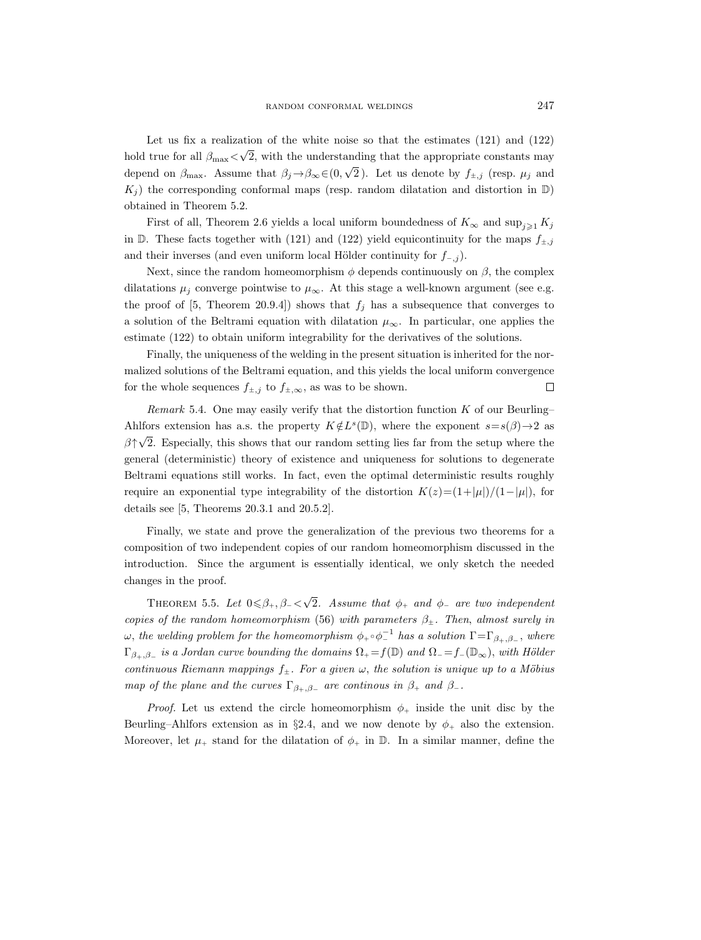Let us fix a realization of the white noise so that the estimates (121) and (122) hold true for all  $\beta_{\rm max}$ < √ 2, with the understanding that the appropriate constants may depend on  $\beta_{\text{max}}$ . Assume that  $\beta_j \rightarrow \beta_\infty \in (0,$ √ 2). Let us denote by  $f_{\pm,j}$  (resp.  $\mu_j$  and  $K_i$ ) the corresponding conformal maps (resp. random dilatation and distortion in D) obtained in Theorem 5.2.

First of all, Theorem 2.6 yields a local uniform boundedness of  $K_{\infty}$  and  $\sup_{i\geq 1} K_j$ in  $\mathbb{D}$ . These facts together with (121) and (122) yield equicontinuity for the maps  $f_{\pm,j}$ and their inverses (and even uniform local Hölder continuity for  $f_{-,j}$ ).

Next, since the random homeomorphism  $\phi$  depends continuously on  $\beta$ , the complex dilatations  $\mu_j$  converge pointwise to  $\mu_\infty$ . At this stage a well-known argument (see e.g. the proof of [5, Theorem 20.9.4]) shows that  $f_j$  has a subsequence that converges to a solution of the Beltrami equation with dilatation  $\mu_{\infty}$ . In particular, one applies the estimate (122) to obtain uniform integrability for the derivatives of the solutions.

Finally, the uniqueness of the welding in the present situation is inherited for the normalized solutions of the Beltrami equation, and this yields the local uniform convergence for the whole sequences  $f_{\pm,j}$  to  $f_{\pm,\infty}$ , as was to be shown.  $\Box$ 

Remark 5.4. One may easily verify that the distortion function  $K$  of our Beurling– Ahlfors extension has a.s. the property  $K \notin L^s(\mathbb{D})$ , where the exponent  $s = s(\beta) \rightarrow 2$  as  $\beta \uparrow$ √ 2. Especially, this shows that our random setting lies far from the setup where the general (deterministic) theory of existence and uniqueness for solutions to degenerate Beltrami equations still works. In fact, even the optimal deterministic results roughly require an exponential type integrability of the distortion  $K(z)=(1+|\mu|)/(1-|\mu|)$ , for details see [5, Theorems 20.3.1 and 20.5.2].

Finally, we state and prove the generalization of the previous two theorems for a composition of two independent copies of our random homeomorphism discussed in the introduction. Since the argument is essentially identical, we only sketch the needed changes in the proof.

THEOREM 5.5. Let  $0 \le \beta_+,\beta_- < \sqrt{\beta_-}$ 2. Assume that  $\phi_+$  and  $\phi_-$  are two independent copies of the random homeomorphism (56) with parameters  $\beta_{\pm}$ . Then, almost surely in  $\omega,$  the welding problem for the homeomorphism  $\phi_+\circ \phi_-^{-1}$  has a solution  $\Gamma{=}\Gamma_{\beta_+,\beta_-},$  where  $\Gamma_{\beta_+,\beta_-}$  is a Jordan curve bounding the domains  $\Omega_+ = f(\mathbb{D})$  and  $\Omega_- = f_-(\mathbb{D}_{\infty})$ , with Hölder continuous Riemann mappings  $f_{\pm}$ . For a given  $\omega$ , the solution is unique up to a Möbius map of the plane and the curves  $\Gamma_{\beta_+,\beta_-}$  are continuos in  $\beta_+$  and  $\beta_-$ .

*Proof.* Let us extend the circle homeomorphism  $\phi_+$  inside the unit disc by the Beurling–Ahlfors extension as in §2.4, and we now denote by  $\phi_+$  also the extension. Moreover, let  $\mu_+$  stand for the dilatation of  $\phi_+$  in  $\mathbb D$ . In a similar manner, define the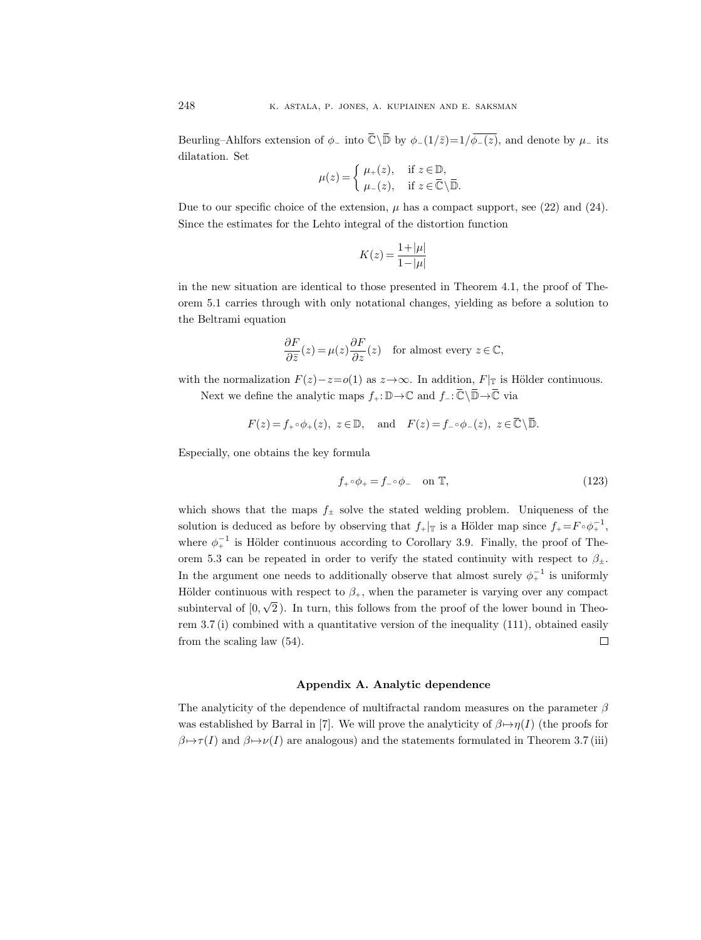Beurling–Ahlfors extension of  $\phi_-$  into  $\overline{\mathbb{C}}\backslash\overline{\mathbb{D}}$  by  $\phi_-(1/\overline{z})=1/\overline{\phi_-(z)}$ , and denote by  $\mu_-$  its dilatation. Set

$$
\mu(z) = \begin{cases} \mu_+(z), & \text{if } z \in \mathbb{D}, \\ \mu_-(z), & \text{if } z \in \overline{\mathbb{C}} \setminus \overline{\mathbb{D}}. \end{cases}
$$

Due to our specific choice of the extension,  $\mu$  has a compact support, see (22) and (24). Since the estimates for the Lehto integral of the distortion function

$$
K(z)=\frac{1+|\mu|}{1-|\mu|}
$$

in the new situation are identical to those presented in Theorem 4.1, the proof of Theorem 5.1 carries through with only notational changes, yielding as before a solution to the Beltrami equation

$$
\frac{\partial F}{\partial \bar{z}}(z) = \mu(z) \frac{\partial F}{\partial z}(z) \quad \text{for almost every } z \in \mathbb{C},
$$

with the normalization  $F(z)-z=o(1)$  as  $z\rightarrow\infty$ . In addition,  $F|_{\mathbb{T}}$  is Hölder continuous.

Next we define the analytic maps  $f_+:\mathbb{D}\to\mathbb{C}$  and  $f_-\colon\overline{\mathbb{C}}\setminus\overline{\mathbb{D}}\to\overline{\mathbb{C}}$  via

$$
F(z) = f_+ \circ \phi_+(z), \ z \in \mathbb{D}, \text{ and } F(z) = f_- \circ \phi_-(z), \ z \in \overline{\mathbb{C}} \setminus \overline{\mathbb{D}}.
$$

Especially, one obtains the key formula

$$
f_{+} \circ \phi_{+} = f_{-} \circ \phi_{-} \quad \text{on } \mathbb{T}, \tag{123}
$$

which shows that the maps  $f_{\pm}$  solve the stated welding problem. Uniqueness of the solution is deduced as before by observing that  $f_{+}|_{\mathbb{T}}$  is a Hölder map since  $f_{+} = F \circ \phi_{+}^{-1}$ , where  $\phi^{-1}_+$  is Hölder continuous according to Corollary 3.9. Finally, the proof of Theorem 5.3 can be repeated in order to verify the stated continuity with respect to  $\beta_{\pm}$ . In the argument one needs to additionally observe that almost surely  $\phi_+^{-1}$  is uniformly Hölder continuous with respect to  $\beta_{+}$ , when the parameter is varying over any compact √ subinterval of [0, 2 ). In turn, this follows from the proof of the lower bound in Theorem  $3.7$  (i) combined with a quantitative version of the inequality  $(111)$ , obtained easily from the scaling law (54).  $\Box$ 

# Appendix A. Analytic dependence

The analyticity of the dependence of multifractal random measures on the parameter  $\beta$ was established by Barral in [7]. We will prove the analyticity of  $\beta \mapsto \eta(I)$  (the proofs for  $\beta \mapsto \tau(I)$  and  $\beta \mapsto \nu(I)$  are analogous) and the statements formulated in Theorem 3.7 (iii)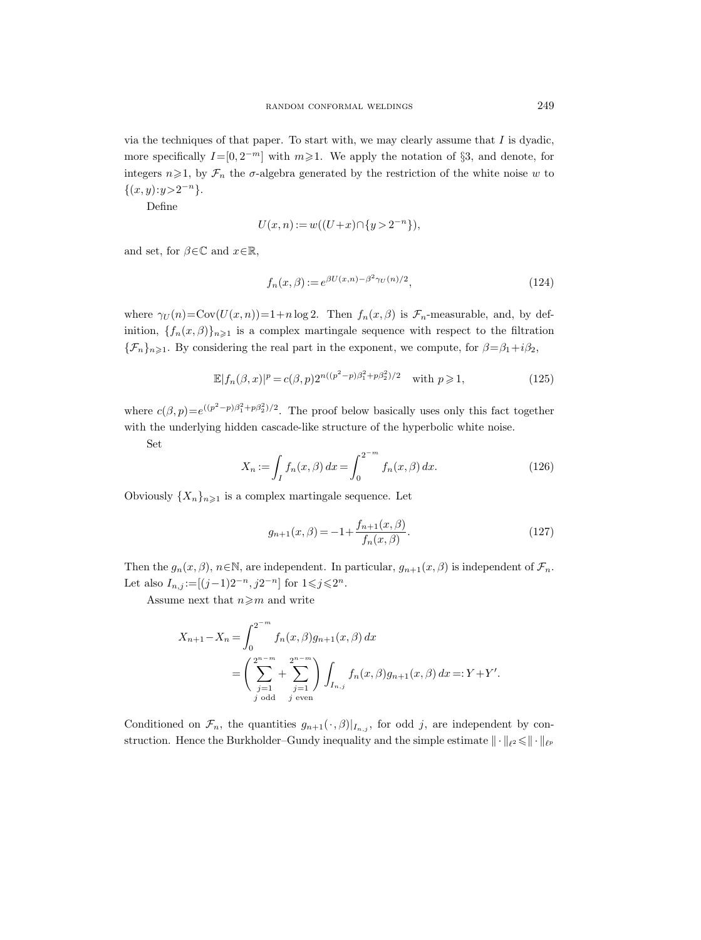via the techniques of that paper. To start with, we may clearly assume that  $I$  is dyadic, more specifically  $I=[0,2^{-m}]$  with  $m\geqslant 1$ . We apply the notation of §3, and denote, for integers  $n\geqslant 1$ , by  $\mathcal{F}_n$  the  $\sigma$ -algebra generated by the restriction of the white noise w to  $\{(x, y): y > 2^{-n}\}.$ 

Define

$$
U(x, n) := w((U+x) \cap \{y > 2^{-n}\}),
$$

and set, for  $\beta \in \mathbb{C}$  and  $x \in \mathbb{R}$ ,

$$
f_n(x,\beta) := e^{\beta U(x,n) - \beta^2 \gamma_U(n)/2},\tag{124}
$$

where  $\gamma_U(n) = \text{Cov}(U(x, n)) = 1+n \log 2$ . Then  $f_n(x, \beta)$  is  $\mathcal{F}_n$ -measurable, and, by definition,  ${f_n(x, \beta)}_{n\geq 1}$  is a complex martingale sequence with respect to the filtration  ${\{\mathcal{F}_n\}}_{n\geqslant1}$ . By considering the real part in the exponent, we compute, for  $\beta = \beta_1 + i\beta_2$ ,

$$
\mathbb{E}|f_n(\beta, x)|^p = c(\beta, p)2^{n((p^2 - p)\beta_1^2 + p\beta_2^2)/2} \quad \text{with } p \ge 1,
$$
\n(125)

where  $c(\beta, p) = e^{((p^2 - p)\beta_1^2 + p\beta_2^2)/2}$ . The proof below basically uses only this fact together with the underlying hidden cascade-like structure of the hyperbolic white noise.

Set

$$
X_n := \int_I f_n(x,\beta) \, dx = \int_0^{2^{-m}} f_n(x,\beta) \, dx. \tag{126}
$$

Obviously  $\{X_n\}_{n\geq 1}$  is a complex martingale sequence. Let

$$
g_{n+1}(x,\beta) = -1 + \frac{f_{n+1}(x,\beta)}{f_n(x,\beta)}.
$$
\n(127)

Then the  $g_n(x, \beta)$ ,  $n \in \mathbb{N}$ , are independent. In particular,  $g_{n+1}(x, \beta)$  is independent of  $\mathcal{F}_n$ . Let also  $I_{n,j} := [(j-1)2^{-n}, j2^{-n}]$  for  $1 \leq j \leq 2^n$ .

Assume next that  $n \geqslant m$  and write

$$
X_{n+1} - X_n = \int_0^{2^{-m}} f_n(x, \beta) g_{n+1}(x, \beta) dx
$$
  
=  $\left( \sum_{j=1}^{2^{n-m}} + \sum_{j=1}^{2^{n-m}} \right) \int_{I_{n,j}} f_n(x, \beta) g_{n+1}(x, \beta) dx =: Y + Y'.$   
*j* odd *j* even

Conditioned on  $\mathcal{F}_n$ , the quantities  $g_{n+1}(\cdot,\beta)|_{I_{n,j}}$ , for odd j, are independent by construction. Hence the Burkholder–Gundy inequality and the simple estimate  $\|\cdot\|_{\ell^2} \leq \|\cdot\|_{\ell^p}$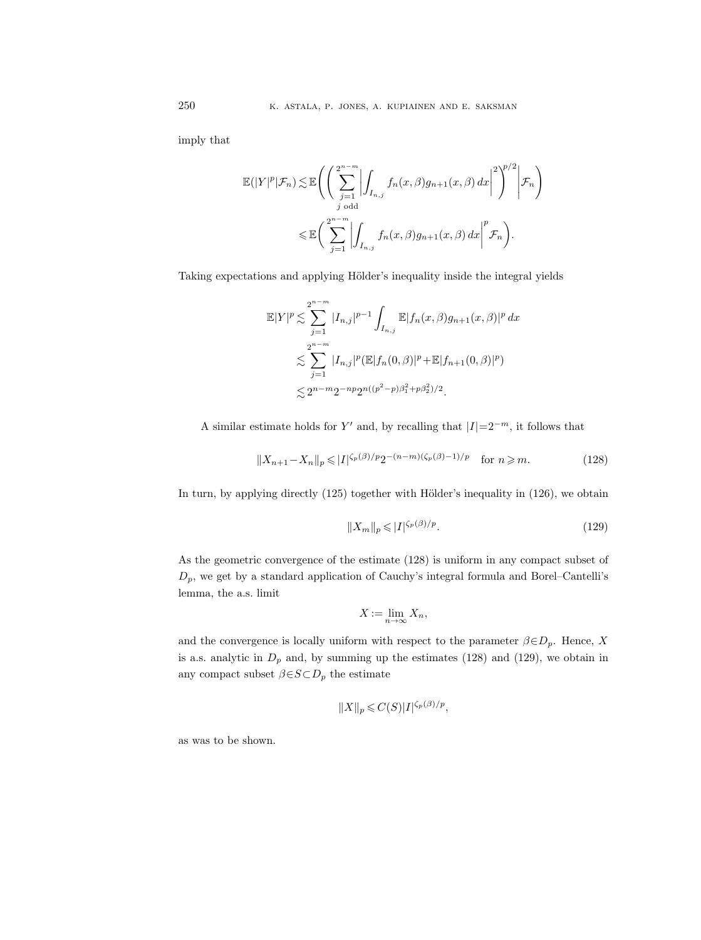imply that

$$
\mathbb{E}(|Y|^p|\mathcal{F}_n) \lesssim \mathbb{E}\Bigg(\Bigg(\sum_{\substack{j=1 \ j \text{ odd}}}^{2^{n-m}} \Bigg| \int_{I_{n,j}} f_n(x,\beta)g_{n+1}(x,\beta) dx \Bigg|^2\Bigg)^{p/2} \Bigg|\mathcal{F}_n\Bigg)
$$
  

$$
\leq \mathbb{E}\Bigg(\sum_{j=1}^{2^{n-m}} \Bigg| \int_{I_{n,j}} f_n(x,\beta)g_{n+1}(x,\beta) dx \Bigg|^p \mathcal{F}_n\Bigg).
$$

Taking expectations and applying Hölder's inequality inside the integral yields

$$
\mathbb{E}|Y|^p \lesssim \sum_{j=1}^{2^{n-m}} |I_{n,j}|^{p-1} \int_{I_{n,j}} \mathbb{E}|f_n(x,\beta)g_{n+1}(x,\beta)|^p dx
$$
  

$$
\lesssim \sum_{j=1}^{2^{n-m}} |I_{n,j}|^p (\mathbb{E}|f_n(0,\beta)|^p + \mathbb{E}|f_{n+1}(0,\beta)|^p)
$$
  

$$
\lesssim 2^{n-m} 2^{-np} 2^{n((p^2-p)\beta_1^2 + p\beta_2^2)/2}.
$$

A similar estimate holds for Y' and, by recalling that  $|I|=2^{-m}$ , it follows that

$$
||X_{n+1} - X_n||_p \le |I|^{\zeta_p(\beta)/p} 2^{-(n-m)(\zeta_p(\beta) - 1)/p} \quad \text{for } n \ge m. \tag{128}
$$

In turn, by applying directly  $(125)$  together with Hölder's inequality in  $(126)$ , we obtain

$$
||X_m||_p \leqslant |I|^{\zeta_p(\beta)/p}.\tag{129}
$$

As the geometric convergence of the estimate (128) is uniform in any compact subset of  $\mathcal{D}_p,$  we get by a standard application of Cauchy's integral formula and Borel–Cantelli's lemma, the a.s. limit

$$
X := \lim_{n \to \infty} X_n,
$$

and the convergence is locally uniform with respect to the parameter  $\beta \in D_p$ . Hence, X is a.s. analytic in  $D_p$  and, by summing up the estimates (128) and (129), we obtain in any compact subset  $\beta \in S \subset D_p$  the estimate

$$
||X||_p \leqslant C(S)|I|^{\zeta_p(\beta)/p},
$$

as was to be shown.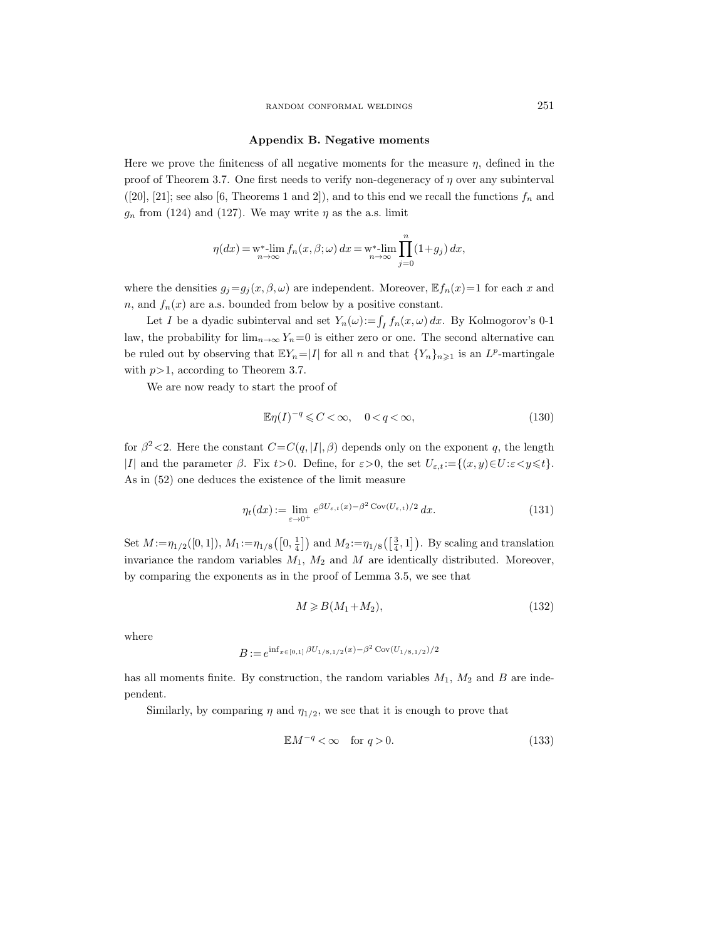#### Appendix B. Negative moments

Here we prove the finiteness of all negative moments for the measure  $\eta$ , defined in the proof of Theorem 3.7. One first needs to verify non-degeneracy of  $\eta$  over any subinterval ([20], [21]; see also [6, Theorems 1 and 2]), and to this end we recall the functions  $f_n$  and  $g_n$  from (124) and (127). We may write  $\eta$  as the a.s. limit

$$
\eta(dx)=\mathop{\rm w}\nolimits^*\!\!\operatorname{-lim}\limits_{n\to\infty}f_n(x,\beta;\omega)\,dx=\mathop{\rm w}\nolimits^*\!\!\operatorname{-lim}\limits_{n\to\infty}\prod\limits_{j=0}^n(1\!+\!g_j)\,dx,
$$

where the densities  $g_j = g_j(x, \beta, \omega)$  are independent. Moreover,  $\mathbb{E} f_n(x) = 1$  for each x and n, and  $f_n(x)$  are a.s. bounded from below by a positive constant.

Let I be a dyadic subinterval and set  $Y_n(\omega) := \int_I f_n(x, \omega) dx$ . By Kolmogorov's 0-1 law, the probability for  $\lim_{n\to\infty} Y_n=0$  is either zero or one. The second alternative can be ruled out by observing that  $\mathbb{E}Y_n = |I|$  for all n and that  $\{Y_n\}_{n \geq 1}$  is an  $L^p$ -martingale with  $p>1$ , according to Theorem 3.7.

We are now ready to start the proof of

$$
\mathbb{E}\eta(I)^{-q} \leqslant C < \infty, \quad 0 < q < \infty,\tag{130}
$$

for  $\beta^2$  < 2. Here the constant  $C=C(q, |I|, \beta)$  depends only on the exponent q, the length |I| and the parameter  $\beta$ . Fix t>0. Define, for  $\varepsilon > 0$ , the set  $U_{\varepsilon,t} := \{(x, y) \in U : \varepsilon < y \leq t\}.$ As in (52) one deduces the existence of the limit measure

$$
\eta_t(dx) := \lim_{\varepsilon \to 0^+} e^{\beta U_{\varepsilon,t}(x) - \beta^2 \operatorname{Cov}(U_{\varepsilon,t})/2} dx.
$$
\n(131)

Set  $M := \eta_{1/2}([0,1]), M_1 := \eta_{1/8}([0, \frac{1}{4}])$  and  $M_2 := \eta_{1/8}([0, \frac{3}{4}, 1])$ . By scaling and translation invariance the random variables  $M_1$ ,  $M_2$  and  $M$  are identically distributed. Moreover, by comparing the exponents as in the proof of Lemma 3.5, we see that

$$
M \geq B(M_1 + M_2),\tag{132}
$$

where

$$
B := e^{\inf_{x \in [0,1]} \beta U_{1/8,1/2}(x) - \beta^2 \text{Cov}(U_{1/8,1/2})/2}
$$

has all moments finite. By construction, the random variables  $M_1$ ,  $M_2$  and B are independent.

Similarly, by comparing  $\eta$  and  $\eta_{1/2}$ , we see that it is enough to prove that

$$
\mathbb{E}M^{-q} < \infty \quad \text{for } q > 0. \tag{133}
$$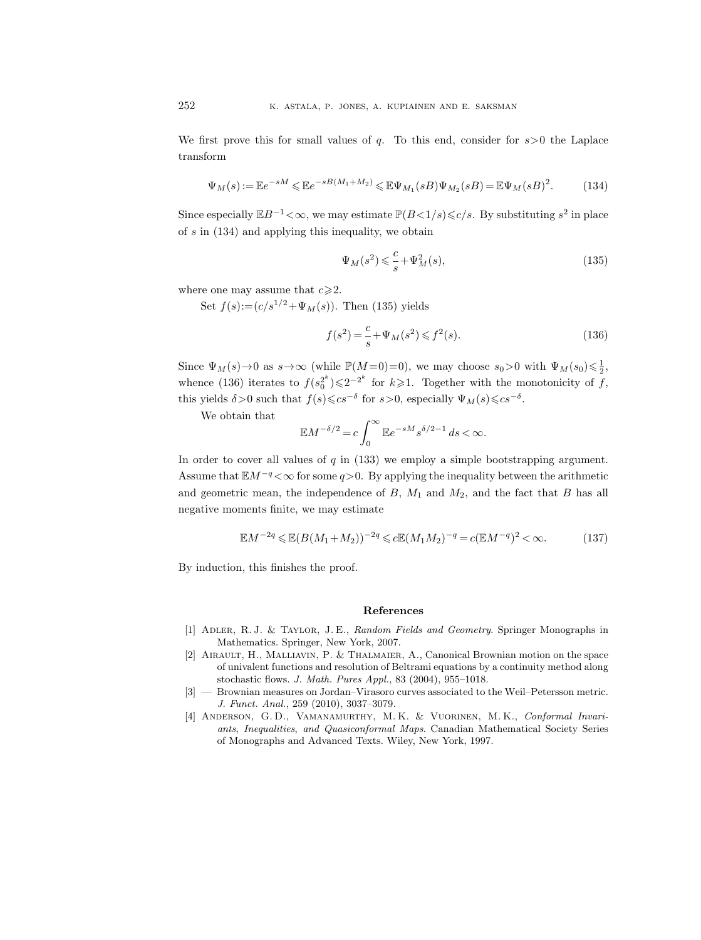We first prove this for small values of q. To this end, consider for  $s > 0$  the Laplace transform

$$
\Psi_M(s) := \mathbb{E}e^{-sM} \le \mathbb{E}e^{-sB(M_1 + M_2)} \le \mathbb{E}\Psi_{M_1}(sB)\Psi_{M_2}(sB) = \mathbb{E}\Psi_M(sB)^2.
$$
 (134)

Since especially  $\mathbb{E}B^{-1} < \infty$ , we may estimate  $\mathbb{P}(B<1/s) \leq c/s$ . By substituting  $s^2$  in place of s in (134) and applying this inequality, we obtain

$$
\Psi_M(s^2) \leqslant \frac{c}{s} + \Psi_M^2(s),\tag{135}
$$

where one may assume that  $c \geq 2$ .

Set  $f(s) := (c/s^{1/2} + \Psi_M(s))$ . Then (135) yields

$$
f(s^2) = \frac{c}{s} + \Psi_M(s^2) \leq f^2(s).
$$
 (136)

Since  $\Psi_M(s) \to 0$  as  $s \to \infty$  (while  $\mathbb{P}(M=0)=0$ ), we may choose  $s_0>0$  with  $\Psi_M(s_0) \leq \frac{1}{2}$ , whence (136) iterates to  $f(s_0^{2^k}) \leq 2^{-2^k}$  for  $k \geq 1$ . Together with the monotonicity of f, this yields  $\delta > 0$  such that  $f(s) \leqslant c s^{-\delta}$  for  $s > 0$ , especially  $\Psi_M(s) \leqslant c s^{-\delta}$ .

We obtain that

$$
\mathbb{E} M^{-\delta/2} = c \int_0^\infty \mathbb{E} e^{-sM} s^{\delta/2-1} \, ds < \infty.
$$

In order to cover all values of  $q$  in (133) we employ a simple bootstrapping argument. Assume that  $\mathbb{E}M^{-q} < \infty$  for some  $q>0$ . By applying the inequality between the arithmetic and geometric mean, the independence of  $B$ ,  $M_1$  and  $M_2$ , and the fact that  $B$  has all negative moments finite, we may estimate

$$
\mathbb{E}M^{-2q} \le \mathbb{E}(B(M_1 + M_2))^{-2q} \le c \mathbb{E}(M_1 M_2)^{-q} = c(\mathbb{E}M^{-q})^2 < \infty.
$$
 (137)

By induction, this finishes the proof.

#### References

- [1] Adler, R. J. & Taylor, J. E., Random Fields and Geometry. Springer Monographs in Mathematics. Springer, New York, 2007.
- [2] Airault, H., Malliavin, P. & Thalmaier, A., Canonical Brownian motion on the space of univalent functions and resolution of Beltrami equations by a continuity method along stochastic flows. J. Math. Pures Appl., 83 (2004), 955–1018.
- [3] Brownian measures on Jordan–Virasoro curves associated to the Weil–Petersson metric. J. Funct. Anal., 259 (2010), 3037–3079.
- [4] Anderson, G. D., Vamanamurthy, M. K. & Vuorinen, M. K., Conformal Invariants, Inequalities, and Quasiconformal Maps. Canadian Mathematical Society Series of Monographs and Advanced Texts. Wiley, New York, 1997.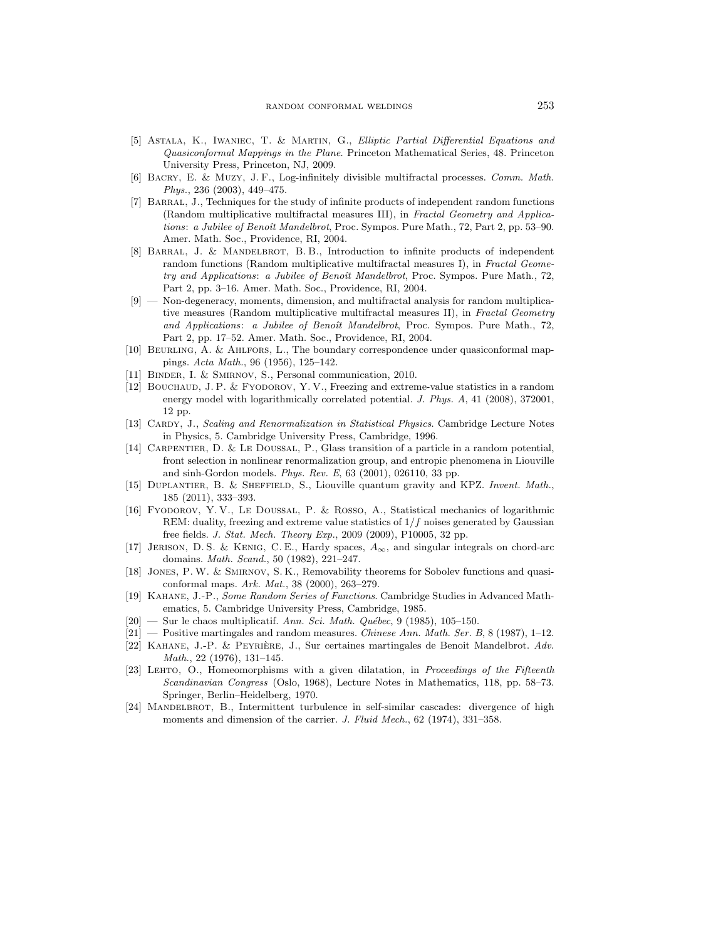- [5] Astala, K., Iwaniec, T. & Martin, G., Elliptic Partial Differential Equations and Quasiconformal Mappings in the Plane. Princeton Mathematical Series, 48. Princeton University Press, Princeton, NJ, 2009.
- [6] Bacry, E. & Muzy, J. F., Log-infinitely divisible multifractal processes. Comm. Math. Phys., 236 (2003), 449–475.
- [7] Barral, J., Techniques for the study of infinite products of independent random functions (Random multiplicative multifractal measures III), in Fractal Geometry and Applications: a Jubilee of Benoît Mandelbrot, Proc. Sympos. Pure Math., 72, Part 2, pp. 53-90. Amer. Math. Soc., Providence, RI, 2004.
- [8] BARRAL, J. & MANDELBROT, B.B., Introduction to infinite products of independent random functions (Random multiplicative multifractal measures I), in Fractal Geometry and Applications: a Jubilee of Benoît Mandelbrot, Proc. Sympos. Pure Math., 72. Part 2, pp. 3–16. Amer. Math. Soc., Providence, RI, 2004.
- [9] Non-degeneracy, moments, dimension, and multifractal analysis for random multiplicative measures (Random multiplicative multifractal measures II), in Fractal Geometry and Applications: a Jubilee of Benoît Mandelbrot, Proc. Sympos. Pure Math., 72, Part 2, pp. 17–52. Amer. Math. Soc., Providence, RI, 2004.
- [10] Beurling, A. & Ahlfors, L., The boundary correspondence under quasiconformal mappings. Acta Math., 96 (1956), 125–142.
- [11] BINDER, I. & SMIRNOV, S., Personal communication, 2010.
- [12] Bouchaud, J. P. & Fyodorov, Y. V., Freezing and extreme-value statistics in a random energy model with logarithmically correlated potential. J. Phys. A, 41 (2008), 372001, 12 pp.
- [13] CARDY, J., Scaling and Renormalization in Statistical Physics. Cambridge Lecture Notes in Physics, 5. Cambridge University Press, Cambridge, 1996.
- [14] Carpentier, D. & Le Doussal, P., Glass transition of a particle in a random potential, front selection in nonlinear renormalization group, and entropic phenomena in Liouville and sinh-Gordon models. Phys. Rev. E, 63 (2001), 026110, 33 pp.
- [15] Duplantier, B. & Sheffield, S., Liouville quantum gravity and KPZ. Invent. Math., 185 (2011), 333–393.
- [16] Fyodorov, Y. V., Le Doussal, P. & Rosso, A., Statistical mechanics of logarithmic REM: duality, freezing and extreme value statistics of  $1/f$  noises generated by Gaussian free fields. J. Stat. Mech. Theory Exp., 2009 (2009), P10005, 32 pp.
- [17] JERISON, D. S. & KENIG, C. E., Hardy spaces,  $A_{\infty}$ , and singular integrals on chord-arc domains. Math. Scand., 50 (1982), 221–247.
- [18] Jones, P. W. & Smirnov, S. K., Removability theorems for Sobolev functions and quasiconformal maps. Ark. Mat., 38 (2000), 263–279.
- [19] Kahane, J.-P., Some Random Series of Functions. Cambridge Studies in Advanced Mathematics, 5. Cambridge University Press, Cambridge, 1985.
- $[20]$  Sur le chaos multiplicatif. Ann. Sci. Math. Québec, 9 (1985), 105-150.
- $[21]$  Positive martingales and random measures. Chinese Ann. Math. Ser. B, 8 (1987), 1–12.
- [22] KAHANE, J.-P. & PEYRIÈRE, J., Sur certaines martingales de Benoit Mandelbrot. Adv. Math., 22 (1976), 131–145.
- [23] LEHTO, O., Homeomorphisms with a given dilatation, in Proceedings of the Fifteenth Scandinavian Congress (Oslo, 1968), Lecture Notes in Mathematics, 118, pp. 58–73. Springer, Berlin–Heidelberg, 1970.
- [24] MANDELBROT, B., Intermittent turbulence in self-similar cascades: divergence of high moments and dimension of the carrier. J. Fluid Mech., 62 (1974), 331–358.